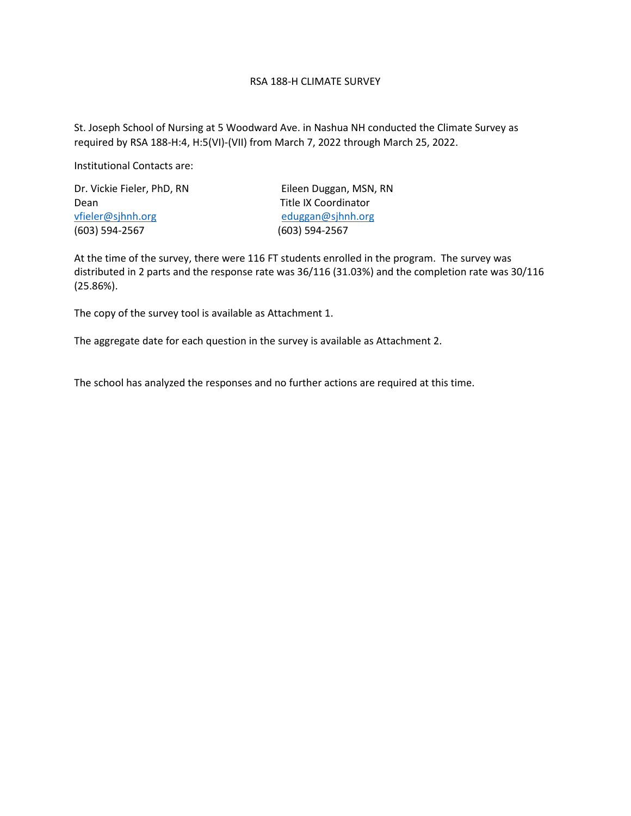### RSA 188-H CLIMATE SURVEY

St. Joseph School of Nursing at 5 Woodward Ave. in Nashua NH conducted the Climate Survey as required by RSA 188-H:4, H:5(VI)-(VII) from March 7, 2022 through March 25, 2022.

Institutional Contacts are:

Dr. Vickie Fieler, PhD, RN Eileen Duggan, MSN, RN Dean Title IX Coordinator vfieler@sjhnh.org eduggan@sjhnh.org (603) 594-2567 (603) 594-2567

At the time of the survey, there were 116 FT students enrolled in the program. The survey was distributed in 2 parts and the response rate was 36/116 (31.03%) and the completion rate was 30/116 (25.86%).

The copy of the survey tool is available as Attachment 1.

The aggregate date for each question in the survey is available as Attachment 2.

The school has analyzed the responses and no further actions are required at this time.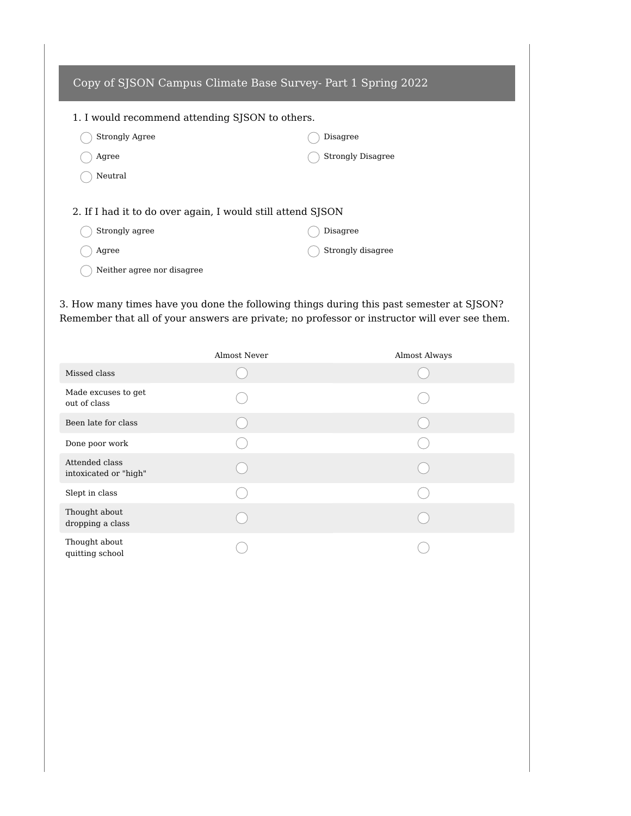| Copy of SJSON Campus Climate Base Survey- Part 1 Spring 2022 |                          |  |  |  |  |
|--------------------------------------------------------------|--------------------------|--|--|--|--|
| 1. I would recommend attending SJSON to others.              |                          |  |  |  |  |
| <b>Strongly Agree</b>                                        | Disagree                 |  |  |  |  |
| Agree                                                        | <b>Strongly Disagree</b> |  |  |  |  |
| Neutral                                                      |                          |  |  |  |  |
| 2. If I had it to do over again, I would still attend SJSON  |                          |  |  |  |  |
| Strongly agree                                               | Disagree                 |  |  |  |  |
| Agree                                                        | Strongly disagree        |  |  |  |  |
| Neither agree nor disagree                                   |                          |  |  |  |  |

3. How many times have you done the following things during this past semester at SJSON? Remember that all of your answers are private; no professor or instructor will ever see them.

|                                         | Almost Never | Almost Always |
|-----------------------------------------|--------------|---------------|
| Missed class                            |              |               |
| Made excuses to get<br>out of class     |              |               |
| Been late for class                     |              |               |
| Done poor work                          |              |               |
| Attended class<br>intoxicated or "high" |              |               |
| Slept in class                          |              |               |
| Thought about<br>dropping a class       |              |               |
| Thought about<br>quitting school        |              |               |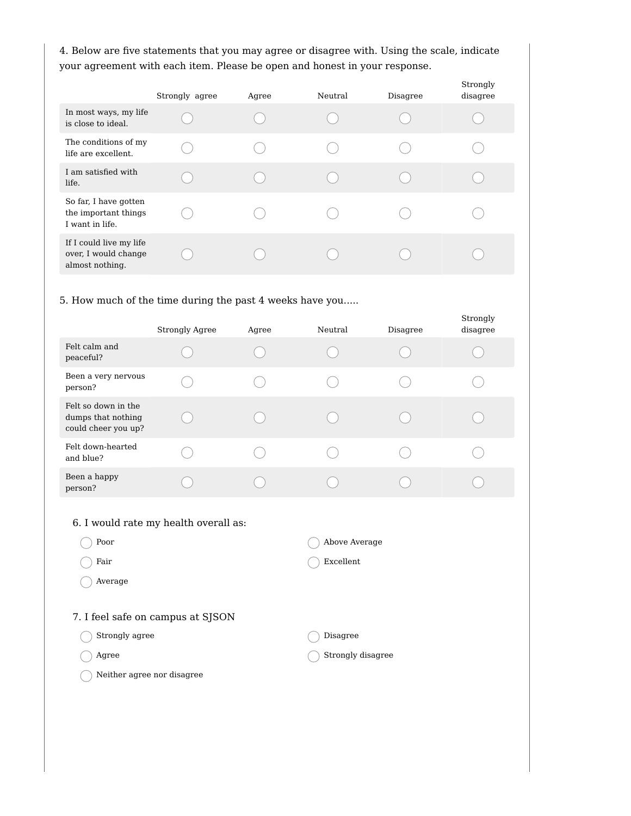4. Below are five statements that you may agree or disagree with. Using the scale, indicate your agreement with each item. Please be open and honest in your response.

|                                                                    | Strongly agree | Agree | Neutral | Disagree | Strongly<br>disagree |
|--------------------------------------------------------------------|----------------|-------|---------|----------|----------------------|
| In most ways, my life<br>is close to ideal.                        |                |       |         |          |                      |
| The conditions of my<br>life are excellent.                        |                |       |         |          |                      |
| I am satisfied with<br>life.                                       |                |       |         |          |                      |
| So far, I have gotten<br>the important things<br>I want in life.   |                |       |         |          |                      |
| If I could live my life<br>over, I would change<br>almost nothing. |                |       |         |          |                      |

### 5. How much of the time during the past 4 weeks have you.....

|                                                                  | <b>Strongly Agree</b> | Agree | Neutral | Disagree | Strongly<br>disagree |
|------------------------------------------------------------------|-----------------------|-------|---------|----------|----------------------|
| Felt calm and<br>peaceful?                                       |                       |       |         |          |                      |
| Been a very nervous<br>person?                                   |                       |       |         |          |                      |
| Felt so down in the<br>dumps that nothing<br>could cheer you up? |                       |       |         |          |                      |
| Felt down-hearted<br>and blue?                                   |                       |       |         |          |                      |
| Been a happy<br>person?                                          |                       |       |         |          |                      |

## 6. I would rate my health overall as:

| Poor                              | Above Average     |
|-----------------------------------|-------------------|
| Fair                              | Excellent         |
| Average                           |                   |
|                                   |                   |
| 7. I feel safe on campus at SJSON |                   |
| Strongly agree                    | Disagree          |
| Agree                             | Strongly disagree |
| Neither agree nor disagree        |                   |
|                                   |                   |
|                                   |                   |
|                                   |                   |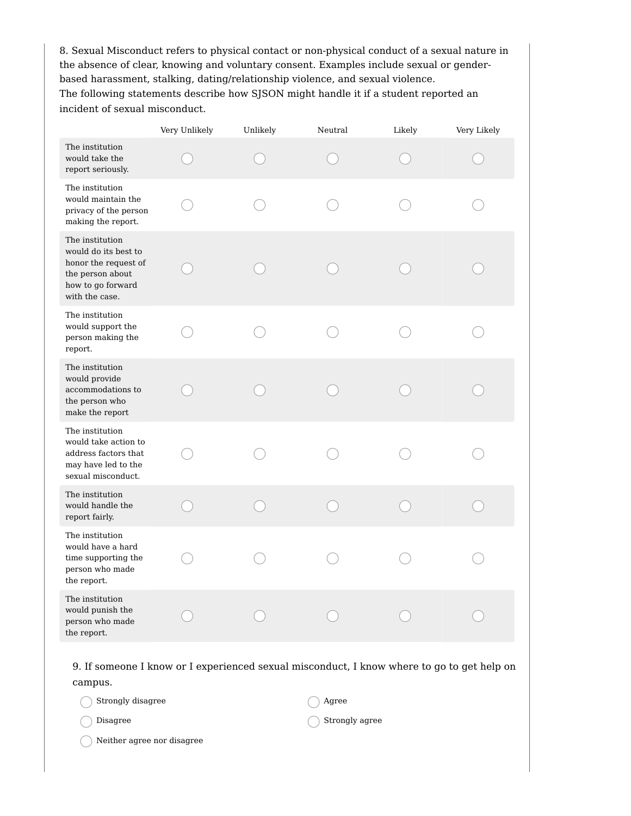8. Sexual Misconduct refers to physical contact or non-physical conduct of a sexual nature in the absence of clear, knowing and voluntary consent. Examples include sexual or genderbased harassment, stalking, dating/relationship violence, and sexual violence. The following statements describe how SJSON might handle it if a student reported an incident of sexual misconduct.

|                                                                                                                            | Very Unlikely | Unlikely | Neutral | Likely | Very Likely |
|----------------------------------------------------------------------------------------------------------------------------|---------------|----------|---------|--------|-------------|
| The institution<br>would take the<br>report seriously.                                                                     |               |          |         |        |             |
| The institution<br>would maintain the<br>privacy of the person<br>making the report.                                       |               |          |         |        |             |
| The institution<br>would do its best to<br>honor the request of<br>the person about<br>how to go forward<br>with the case. |               |          |         |        |             |
| The institution<br>would support the<br>person making the<br>report.                                                       |               |          |         |        |             |
| The institution<br>would provide<br>accommodations to<br>the person who<br>make the report                                 |               |          |         |        |             |
| The institution<br>would take action to<br>address factors that<br>may have led to the<br>sexual misconduct.               |               |          |         |        |             |
| The institution<br>would handle the<br>report fairly.                                                                      |               |          |         |        |             |
| The institution<br>would have a hard<br>time supporting the<br>person who made<br>the report.                              |               |          |         |        |             |
| The institution<br>would punish the<br>person who made<br>the report.                                                      |               |          |         |        |             |

9. If someone I know or I experienced sexual misconduct, I know where to go to get help on campus.

| Strongly disagree          | Agree                     |
|----------------------------|---------------------------|
| Disagree                   | $\bigcirc$ Strongly agree |
| Neither agree nor disagree |                           |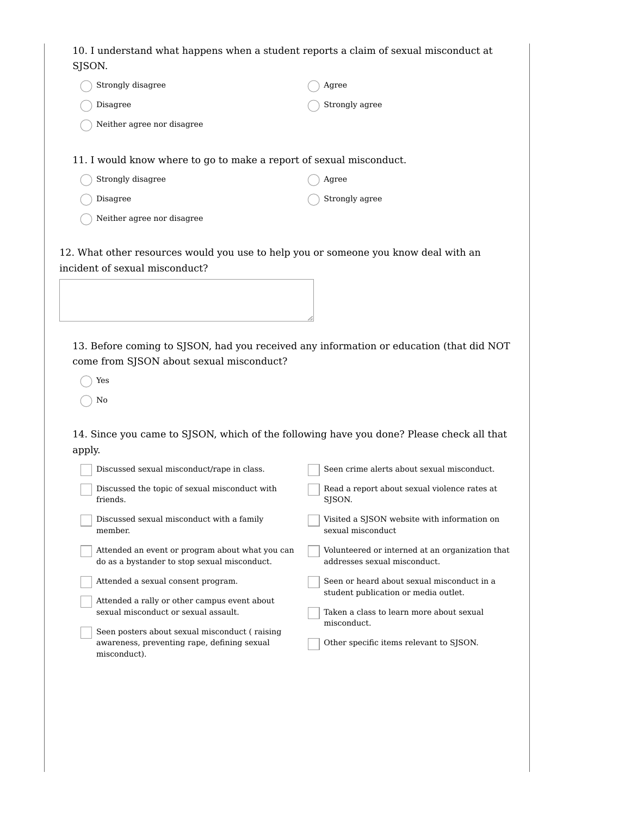10. I understand what happens when a student reports a claim of sexual misconduct at SJSON. Strongly disagree Disagree Neither agree nor disagree Agree Strongly agree 11. I would know where to go to make a report of sexual misconduct. Strongly disagree Disagree Neither agree nor disagree Agree Strongly agree 12. What other resources would you use to help you or someone you know deal with an incident of sexual misconduct? 13. Before coming to SJSON, had you received any information or education (that did NOT come from SJSON about sexual misconduct? ◯ Yes  $\bigcap$  No 14. Since you came to SJSON, which of the following have you done? Please check all that apply. Discussed sexual misconduct/rape in class. Discussed the topic of sexual misconduct with friends. Discussed sexual misconduct with a family member. Attended an event or program about what you can do as a bystander to stop sexual misconduct. Attended a sexual consent program. Attended a rally or other campus event about sexual misconduct or sexual assault. Seen posters about sexual misconduct ( raising awareness, preventing rape, defining sexual misconduct). Seen crime alerts about sexual misconduct. Read a report about sexual violence rates at SJSON. Visited a SJSON website with information on sexual misconduct Volunteered or interned at an organization that addresses sexual misconduct. Seen or heard about sexual misconduct in a student publication or media outlet. Taken a class to learn more about sexual misconduct. Other specific items relevant to SJSON.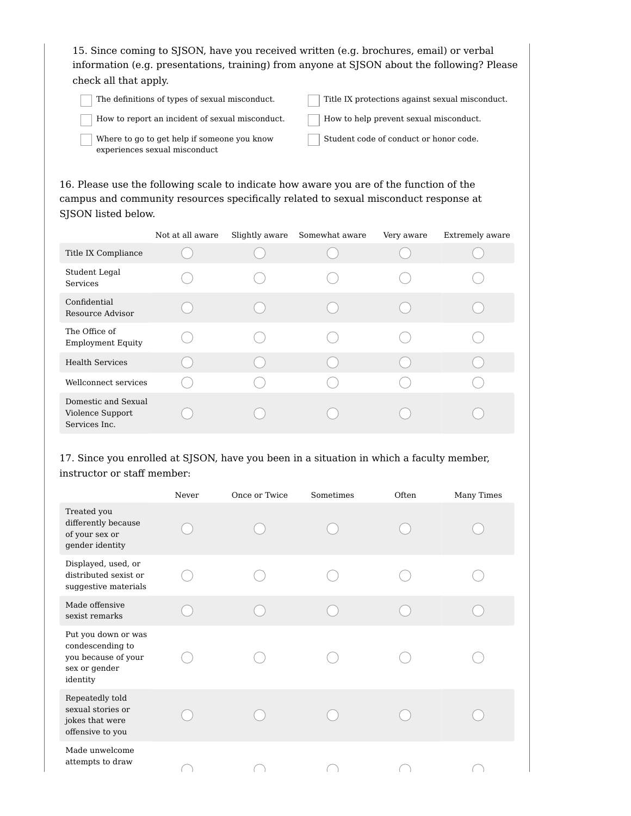15. Since coming to SJSON, have you received written (e.g. brochures, email) or verbal information (e.g. presentations, training) from anyone at SJSON about the following? Please check all that apply.

The definitions of types of sexual misconduct.

Title IX protections against sexual misconduct.

How to report an incident of sexual misconduct.

How to help prevent sexual misconduct.

Where to go to get help if someone you know experiences sexual misconduct

Student code of conduct or honor code.

16. Please use the following scale to indicate how aware you are of the function of the campus and community resources specifically related to sexual misconduct response at SJSON listed below.

|                                                          | Not at all aware | Slightly aware | Somewhat aware | Very aware | Extremely aware |
|----------------------------------------------------------|------------------|----------------|----------------|------------|-----------------|
| Title IX Compliance                                      |                  |                |                |            |                 |
| Student Legal<br>Services                                |                  |                |                |            |                 |
| Confidential<br>Resource Advisor                         |                  |                |                |            |                 |
| The Office of<br><b>Employment Equity</b>                |                  |                |                |            |                 |
| <b>Health Services</b>                                   |                  |                |                |            |                 |
| Wellconnect services                                     |                  |                |                |            |                 |
| Domestic and Sexual<br>Violence Support<br>Services Inc. |                  |                |                |            |                 |

17. Since you enrolled at SJSON, have you been in a situation in which a faculty member, instructor or staff member:

|                                                                                             | Never | Once or Twice | Sometimes | Often | Many Times |
|---------------------------------------------------------------------------------------------|-------|---------------|-----------|-------|------------|
| Treated you<br>differently because<br>of your sex or<br>gender identity                     |       |               |           |       |            |
| Displayed, used, or<br>distributed sexist or<br>suggestive materials                        |       |               |           |       |            |
| Made offensive<br>sexist remarks                                                            |       |               |           |       |            |
| Put you down or was<br>condescending to<br>you because of your<br>sex or gender<br>identity |       |               |           |       |            |
| Repeatedly told<br>sexual stories or<br>jokes that were<br>offensive to you                 |       |               |           |       |            |
| Made unwelcome<br>attempts to draw                                                          |       |               |           |       |            |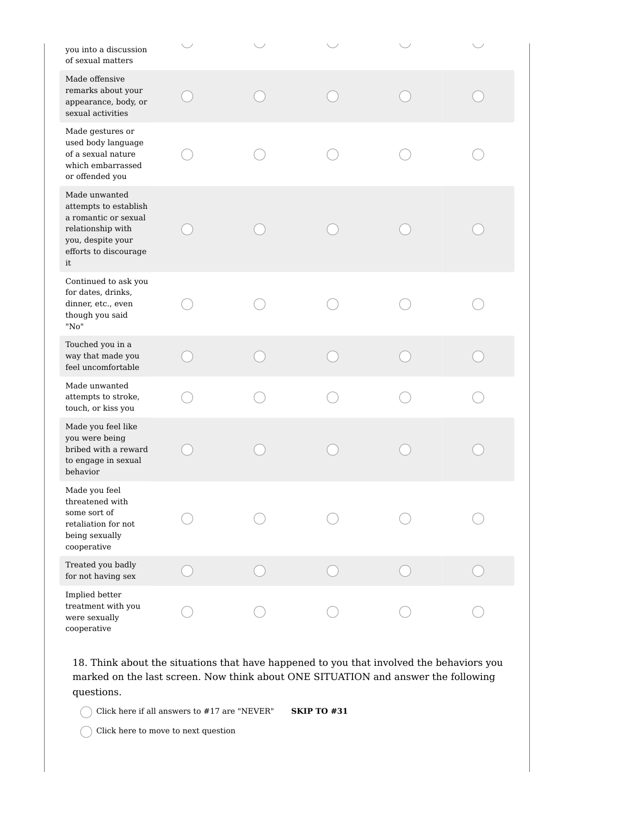| you into a discussion<br>of sexual matters                                                                                              |  |  |  |
|-----------------------------------------------------------------------------------------------------------------------------------------|--|--|--|
| Made offensive<br>remarks about your<br>appearance, body, or<br>sexual activities                                                       |  |  |  |
| Made gestures or<br>used body language<br>of a sexual nature<br>which embarrassed<br>or offended you                                    |  |  |  |
| Made unwanted<br>attempts to establish<br>a romantic or sexual<br>relationship with<br>you, despite your<br>efforts to discourage<br>it |  |  |  |
| Continued to ask you<br>for dates, drinks,<br>dinner, etc., even<br>though you said<br>"No"                                             |  |  |  |
| Touched you in a<br>way that made you<br>feel uncomfortable                                                                             |  |  |  |
| Made unwanted<br>attempts to stroke,<br>touch, or kiss you                                                                              |  |  |  |
| Made you feel like<br>you were being<br>bribed with a reward<br>to engage in sexual<br>behavior                                         |  |  |  |
| Made you feel<br>threatened with<br>some sort of<br>retaliation for not<br>being sexually<br>cooperative                                |  |  |  |
| Treated you badly<br>for not having sex                                                                                                 |  |  |  |
| Implied better<br>treatment with you<br>were sexually<br>cooperative                                                                    |  |  |  |

18. Think about the situations that have happened to you that involved the behaviors you marked on the last screen. Now think about ONE SITUATION and answer the following questions.

Click here if all answers to #17 are "NEVER" **SKIP TO #31**

 $\bigcap$  Click here to move to next question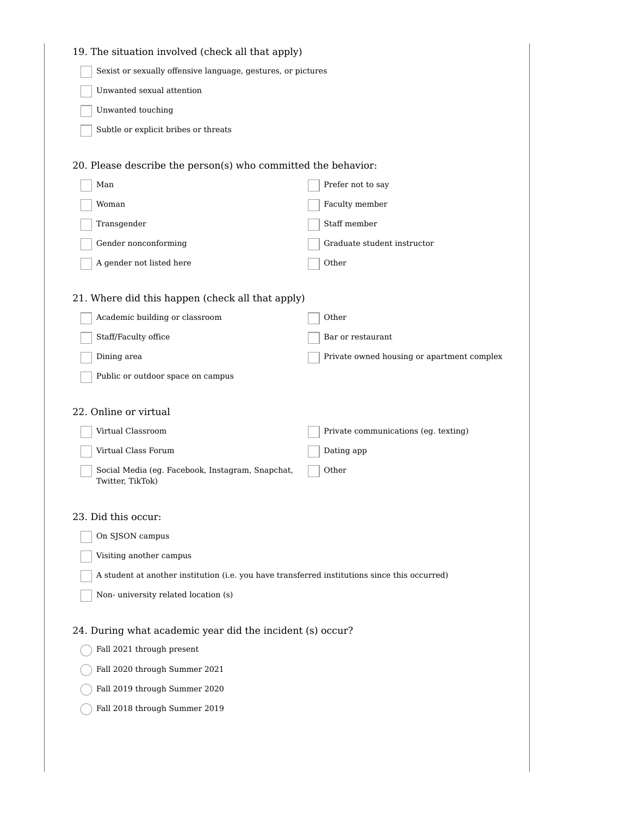| 19. The situation involved (check all that apply)                                             |                                            |
|-----------------------------------------------------------------------------------------------|--------------------------------------------|
| Sexist or sexually offensive language, gestures, or pictures                                  |                                            |
| Unwanted sexual attention                                                                     |                                            |
| Unwanted touching                                                                             |                                            |
| Subtle or explicit bribes or threats                                                          |                                            |
|                                                                                               |                                            |
| 20. Please describe the person(s) who committed the behavior:                                 |                                            |
| Man                                                                                           | Prefer not to say                          |
| Woman                                                                                         | Faculty member                             |
| Transgender                                                                                   | Staff member                               |
| Gender nonconforming                                                                          | Graduate student instructor                |
| A gender not listed here                                                                      | Other                                      |
|                                                                                               |                                            |
| 21. Where did this happen (check all that apply)                                              |                                            |
| Academic building or classroom                                                                | Other                                      |
| Staff/Faculty office                                                                          | Bar or restaurant                          |
| Dining area                                                                                   | Private owned housing or apartment complex |
| Public or outdoor space on campus                                                             |                                            |
| 22. Online or virtual                                                                         |                                            |
| Virtual Classroom                                                                             | Private communications (eg. texting)       |
| Virtual Class Forum                                                                           | Dating app                                 |
| Social Media (eg. Facebook, Instagram, Snapchat,                                              | Other                                      |
| Twitter, TikTok)                                                                              |                                            |
|                                                                                               |                                            |
| 23. Did this occur:                                                                           |                                            |
| On SJSON campus                                                                               |                                            |
| Visiting another campus                                                                       |                                            |
| A student at another institution (i.e. you have transferred institutions since this occurred) |                                            |
| Non-university related location (s)                                                           |                                            |
|                                                                                               |                                            |
| 24. During what academic year did the incident (s) occur?                                     |                                            |
| Fall 2021 through present                                                                     |                                            |
| Fall 2020 through Summer 2021                                                                 |                                            |
| Fall 2019 through Summer 2020                                                                 |                                            |
| Fall 2018 through Summer 2019                                                                 |                                            |
|                                                                                               |                                            |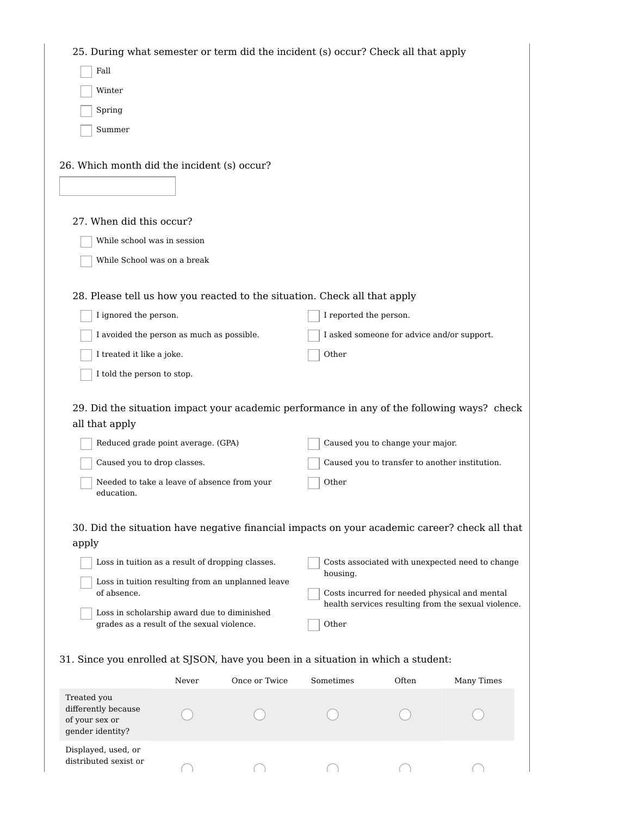| 25. During what semester or term did the incident (s) occur? Check all that apply             |                                             |                                                   |                        |                                            |                                                     |
|-----------------------------------------------------------------------------------------------|---------------------------------------------|---------------------------------------------------|------------------------|--------------------------------------------|-----------------------------------------------------|
| Fall                                                                                          |                                             |                                                   |                        |                                            |                                                     |
| Winter                                                                                        |                                             |                                                   |                        |                                            |                                                     |
| Spring                                                                                        |                                             |                                                   |                        |                                            |                                                     |
| Summer                                                                                        |                                             |                                                   |                        |                                            |                                                     |
|                                                                                               |                                             |                                                   |                        |                                            |                                                     |
| 26. Which month did the incident (s) occur?                                                   |                                             |                                                   |                        |                                            |                                                     |
|                                                                                               |                                             |                                                   |                        |                                            |                                                     |
|                                                                                               |                                             |                                                   |                        |                                            |                                                     |
| 27. When did this occur?                                                                      |                                             |                                                   |                        |                                            |                                                     |
| While school was in session                                                                   |                                             |                                                   |                        |                                            |                                                     |
| While School was on a break                                                                   |                                             |                                                   |                        |                                            |                                                     |
|                                                                                               |                                             |                                                   |                        |                                            |                                                     |
| 28. Please tell us how you reacted to the situation. Check all that apply                     |                                             |                                                   |                        |                                            |                                                     |
| I ignored the person.                                                                         |                                             |                                                   | I reported the person. |                                            |                                                     |
| I avoided the person as much as possible.                                                     |                                             |                                                   |                        | I asked someone for advice and/or support. |                                                     |
| I treated it like a joke.                                                                     |                                             |                                                   | Other                  |                                            |                                                     |
| I told the person to stop.                                                                    |                                             |                                                   |                        |                                            |                                                     |
|                                                                                               |                                             |                                                   |                        |                                            |                                                     |
| 29. Did the situation impact your academic performance in any of the following ways? check    |                                             |                                                   |                        |                                            |                                                     |
| all that apply                                                                                |                                             |                                                   |                        |                                            |                                                     |
| Reduced grade point average. (GPA)                                                            |                                             |                                                   |                        | Caused you to change your major.           |                                                     |
| Caused you to drop classes.                                                                   |                                             |                                                   |                        |                                            | Caused you to transfer to another institution.      |
| education.                                                                                    | Needed to take a leave of absence from your |                                                   | Other                  |                                            |                                                     |
|                                                                                               |                                             |                                                   |                        |                                            |                                                     |
| 30. Did the situation have negative financial impacts on your academic career? check all that |                                             |                                                   |                        |                                            |                                                     |
| apply                                                                                         |                                             |                                                   |                        |                                            |                                                     |
| Loss in tuition as a result of dropping classes.                                              |                                             |                                                   | housing.               |                                            | Costs associated with unexpected need to change     |
| of absence.                                                                                   |                                             | Loss in tuition resulting from an unplanned leave |                        |                                            | Costs incurred for needed physical and mental       |
| Loss in scholarship award due to diminished                                                   |                                             |                                                   |                        |                                            | health services resulting from the sexual violence. |
| grades as a result of the sexual violence.                                                    |                                             |                                                   | Other                  |                                            |                                                     |
|                                                                                               |                                             |                                                   |                        |                                            |                                                     |
| 31. Since you enrolled at SJSON, have you been in a situation in which a student:             |                                             |                                                   |                        |                                            |                                                     |
|                                                                                               | Never                                       | Once or Twice                                     | Sometimes              | Often                                      | Many Times                                          |
| Treated you<br>differently because                                                            |                                             |                                                   |                        |                                            |                                                     |
| of your sex or                                                                                |                                             |                                                   |                        |                                            |                                                     |
| gender identity?                                                                              |                                             |                                                   |                        |                                            |                                                     |
| Displayed, used, or<br>distributed sexist or                                                  |                                             |                                                   |                        |                                            |                                                     |
|                                                                                               |                                             |                                                   |                        |                                            |                                                     |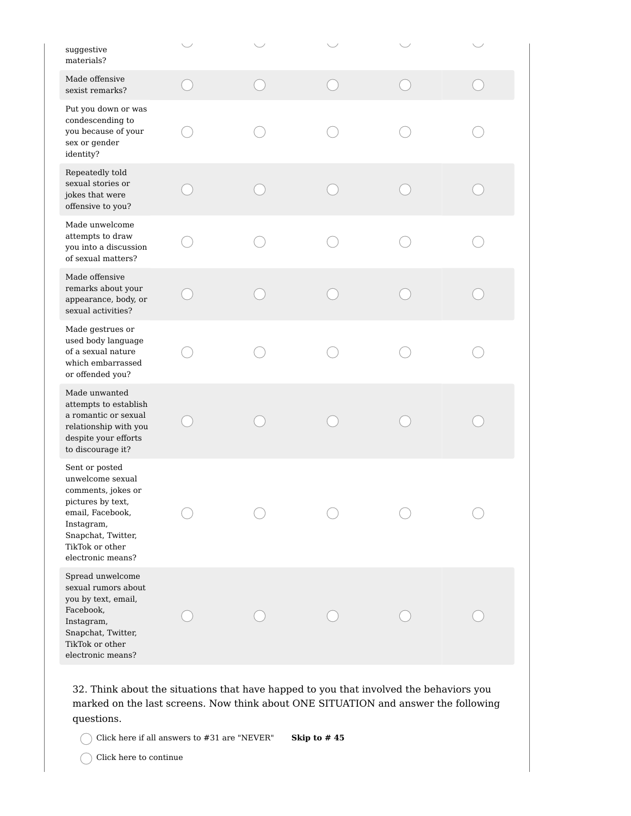| suggestive<br>materials?                                                                                                                                                      |  |  |  |
|-------------------------------------------------------------------------------------------------------------------------------------------------------------------------------|--|--|--|
| Made offensive<br>sexist remarks?                                                                                                                                             |  |  |  |
| Put you down or was<br>condescending to<br>you because of your<br>sex or gender<br>identity?                                                                                  |  |  |  |
| Repeatedly told<br>sexual stories or<br>jokes that were<br>offensive to you?                                                                                                  |  |  |  |
| Made unwelcome<br>attempts to draw<br>you into a discussion<br>of sexual matters?                                                                                             |  |  |  |
| Made offensive<br>remarks about your<br>appearance, body, or<br>sexual activities?                                                                                            |  |  |  |
| Made gestrues or<br>used body language<br>of a sexual nature<br>which embarrassed<br>or offended you?                                                                         |  |  |  |
| Made unwanted<br>attempts to establish<br>a romantic or sexual<br>relationship with you<br>despite your efforts<br>to discourage it?                                          |  |  |  |
| Sent or posted<br>unwelcome sexual<br>comments, jokes or<br>pictures by text,<br>email, Facebook,<br>Instagram,<br>Snapchat, Twitter,<br>TikTok or other<br>electronic means? |  |  |  |
| Spread unwelcome<br>sexual rumors about<br>you by text, email,<br>Facebook,<br>Instagram,<br>Snapchat, Twitter,<br>TikTok or other<br>electronic means?                       |  |  |  |

32. Think about the situations that have happed to you that involved the behaviors you marked on the last screens. Now think about ONE SITUATION and answer the following questions.

Click here if all answers to #31 are "NEVER" **Skip to # 45**

 $\bigcap$  Click here to continue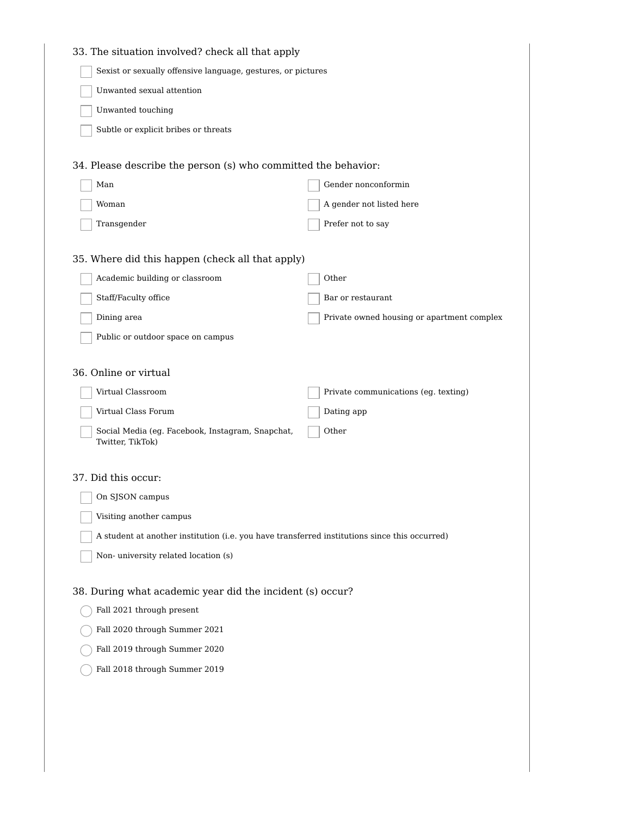| 33. The situation involved? check all that apply                                              |                                            |
|-----------------------------------------------------------------------------------------------|--------------------------------------------|
| Sexist or sexually offensive language, gestures, or pictures                                  |                                            |
| Unwanted sexual attention                                                                     |                                            |
| Unwanted touching                                                                             |                                            |
| Subtle or explicit bribes or threats                                                          |                                            |
| 34. Please describe the person (s) who committed the behavior:                                |                                            |
| Man                                                                                           | Gender nonconformin                        |
| Woman                                                                                         | A gender not listed here                   |
| Transgender                                                                                   | Prefer not to say                          |
| 35. Where did this happen (check all that apply)                                              |                                            |
| Academic building or classroom                                                                | Other                                      |
| Staff/Faculty office                                                                          | Bar or restaurant                          |
| Dining area                                                                                   | Private owned housing or apartment complex |
| Public or outdoor space on campus                                                             |                                            |
| 36. Online or virtual                                                                         |                                            |
| Virtual Classroom                                                                             | Private communications (eg. texting)       |
| Virtual Class Forum                                                                           | Dating app                                 |
| Social Media (eg. Facebook, Instagram, Snapchat,<br>Twitter, TikTok)                          | Other                                      |
| 37. Did this occur:                                                                           |                                            |
| On SJSON campus                                                                               |                                            |
| Visiting another campus                                                                       |                                            |
| A student at another institution (i.e. you have transferred institutions since this occurred) |                                            |
| Non-university related location (s)                                                           |                                            |
| 38. During what academic year did the incident (s) occur?                                     |                                            |
| Fall 2021 through present                                                                     |                                            |
| Fall 2020 through Summer 2021                                                                 |                                            |
| Fall 2019 through Summer 2020                                                                 |                                            |
| Fall 2018 through Summer 2019                                                                 |                                            |
|                                                                                               |                                            |
|                                                                                               |                                            |
|                                                                                               |                                            |
|                                                                                               |                                            |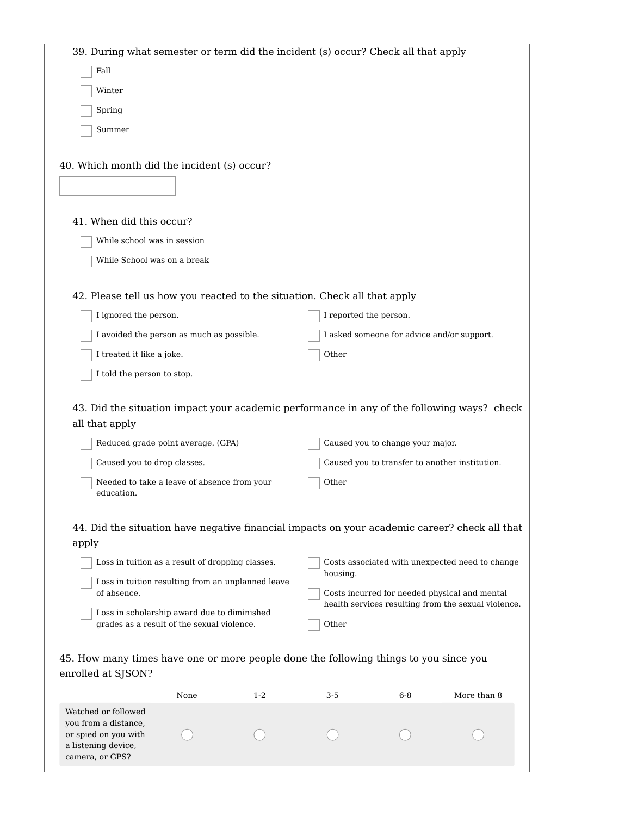| 39. During what semester or term did the incident (s) occur? Check all that apply                            |      |         |                        |                                  |                                                                                                      |
|--------------------------------------------------------------------------------------------------------------|------|---------|------------------------|----------------------------------|------------------------------------------------------------------------------------------------------|
| Fall                                                                                                         |      |         |                        |                                  |                                                                                                      |
| Winter                                                                                                       |      |         |                        |                                  |                                                                                                      |
| Spring                                                                                                       |      |         |                        |                                  |                                                                                                      |
| Summer                                                                                                       |      |         |                        |                                  |                                                                                                      |
|                                                                                                              |      |         |                        |                                  |                                                                                                      |
| 40. Which month did the incident (s) occur?                                                                  |      |         |                        |                                  |                                                                                                      |
|                                                                                                              |      |         |                        |                                  |                                                                                                      |
|                                                                                                              |      |         |                        |                                  |                                                                                                      |
| 41. When did this occur?                                                                                     |      |         |                        |                                  |                                                                                                      |
| While school was in session                                                                                  |      |         |                        |                                  |                                                                                                      |
| While School was on a break                                                                                  |      |         |                        |                                  |                                                                                                      |
|                                                                                                              |      |         |                        |                                  |                                                                                                      |
| 42. Please tell us how you reacted to the situation. Check all that apply                                    |      |         |                        |                                  |                                                                                                      |
| I ignored the person.                                                                                        |      |         | I reported the person. |                                  |                                                                                                      |
| I avoided the person as much as possible.                                                                    |      |         |                        |                                  | I asked someone for advice and/or support.                                                           |
| I treated it like a joke.                                                                                    |      |         | Other                  |                                  |                                                                                                      |
| I told the person to stop.                                                                                   |      |         |                        |                                  |                                                                                                      |
| 43. Did the situation impact your academic performance in any of the following ways? check<br>all that apply |      |         |                        |                                  |                                                                                                      |
| Reduced grade point average. (GPA)                                                                           |      |         |                        | Caused you to change your major. |                                                                                                      |
| Caused you to drop classes.                                                                                  |      |         |                        |                                  | Caused you to transfer to another institution.                                                       |
| Needed to take a leave of absence from your<br>education.                                                    |      |         | Other                  |                                  |                                                                                                      |
| 44. Did the situation have negative financial impacts on your academic career? check all that                |      |         |                        |                                  |                                                                                                      |
| apply                                                                                                        |      |         |                        |                                  |                                                                                                      |
| Loss in tuition as a result of dropping classes.                                                             |      |         |                        |                                  | Costs associated with unexpected need to change                                                      |
| Loss in tuition resulting from an unplanned leave                                                            |      |         | housing.               |                                  |                                                                                                      |
| of absence.                                                                                                  |      |         |                        |                                  | Costs incurred for needed physical and mental<br>health services resulting from the sexual violence. |
| Loss in scholarship award due to diminished<br>grades as a result of the sexual violence.                    |      |         | Other                  |                                  |                                                                                                      |
|                                                                                                              |      |         |                        |                                  |                                                                                                      |
| 45. How many times have one or more people done the following things to you since you                        |      |         |                        |                                  |                                                                                                      |
| enrolled at SJSON?                                                                                           |      |         |                        |                                  |                                                                                                      |
|                                                                                                              | None | $1 - 2$ | 3-5                    | $6-8$                            | More than 8                                                                                          |
| Watched or followed<br>you from a distance,<br>or spied on you with<br>a listening device,                   |      |         |                        |                                  |                                                                                                      |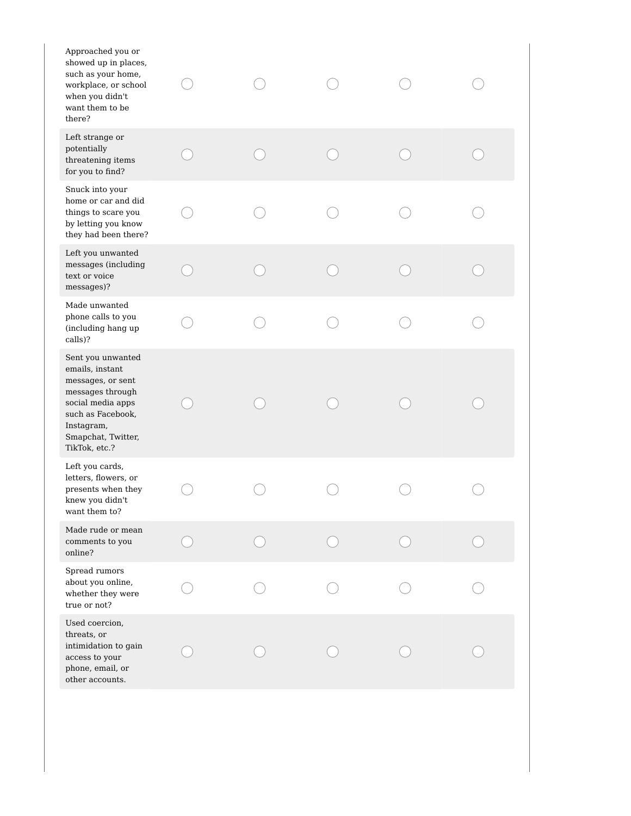| Approached you or<br>showed up in places,<br>such as your home,<br>workplace, or school<br>when you didn't<br>want them to be<br>there?                                      |  |  |  |
|------------------------------------------------------------------------------------------------------------------------------------------------------------------------------|--|--|--|
| Left strange or<br>potentially<br>threatening items<br>for you to find?                                                                                                      |  |  |  |
| Snuck into your<br>home or car and did<br>things to scare you<br>by letting you know<br>they had been there?                                                                 |  |  |  |
| Left you unwanted<br>messages (including<br>text or voice<br>messages)?                                                                                                      |  |  |  |
| Made unwanted<br>phone calls to you<br>(including hang up<br>calls)?                                                                                                         |  |  |  |
| Sent you unwanted<br>emails, instant<br>messages, or sent<br>messages through<br>social media apps<br>such as Facebook,<br>Instagram,<br>Smapchat, Twitter,<br>TikTok, etc.? |  |  |  |
| Left you cards,<br>letters, flowers, or<br>presents when they<br>knew you didn't<br>want them to?                                                                            |  |  |  |
| Made rude or mean<br>comments to you<br>online?                                                                                                                              |  |  |  |
| Spread rumors<br>about you online,<br>whether they were<br>true or not?                                                                                                      |  |  |  |
| Used coercion,<br>threats, or<br>intimidation to gain<br>access to your<br>phone, email, or<br>other accounts.                                                               |  |  |  |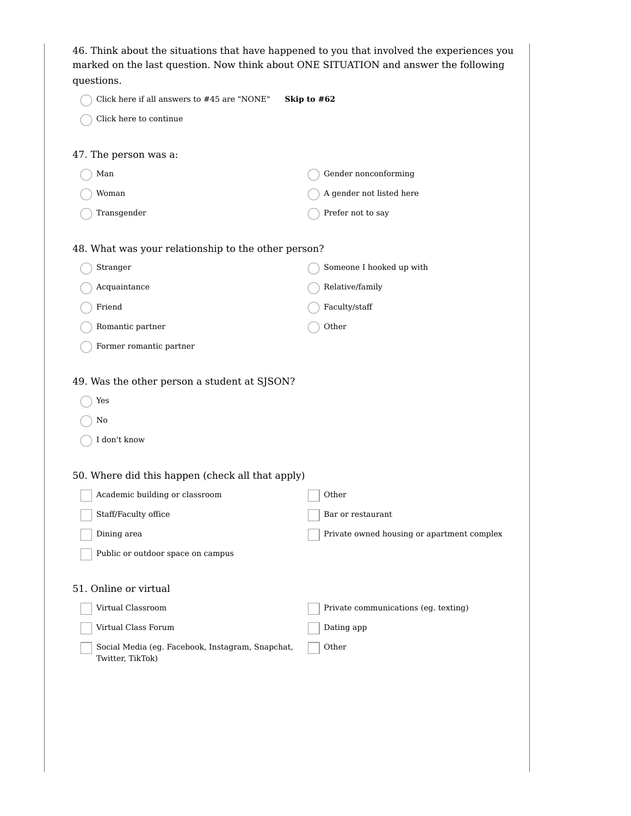| questions.                                                                                                                                                                                             | 46. Think about the situations that have happened to you that involved the experiences you<br>marked on the last question. Now think about ONE SITUATION and answer the following |
|--------------------------------------------------------------------------------------------------------------------------------------------------------------------------------------------------------|-----------------------------------------------------------------------------------------------------------------------------------------------------------------------------------|
| Click here if all answers to #45 are "NONE"                                                                                                                                                            | Skip to #62                                                                                                                                                                       |
| Click here to continue                                                                                                                                                                                 |                                                                                                                                                                                   |
| 47. The person was a:                                                                                                                                                                                  |                                                                                                                                                                                   |
| Man                                                                                                                                                                                                    | Gender nonconforming                                                                                                                                                              |
| Woman                                                                                                                                                                                                  | A gender not listed here                                                                                                                                                          |
| Transgender                                                                                                                                                                                            | Prefer not to say                                                                                                                                                                 |
| 48. What was your relationship to the other person?                                                                                                                                                    |                                                                                                                                                                                   |
| Stranger                                                                                                                                                                                               | Someone I hooked up with                                                                                                                                                          |
| Acquaintance                                                                                                                                                                                           | Relative/family                                                                                                                                                                   |
| Friend                                                                                                                                                                                                 | Faculty/staff                                                                                                                                                                     |
| Romantic partner                                                                                                                                                                                       | Other                                                                                                                                                                             |
| Former romantic partner                                                                                                                                                                                |                                                                                                                                                                                   |
| 49. Was the other person a student at SJSON?<br>Yes<br>No<br>I don't know<br>50. Where did this happen (check all that apply)<br>Academic building or classroom<br>Staff/Faculty office<br>Dining area | Other<br>Bar or restaurant<br>Private owned housing or apartment complex                                                                                                          |
| Public or outdoor space on campus                                                                                                                                                                      |                                                                                                                                                                                   |
| 51. Online or virtual<br>Virtual Classroom<br>Virtual Class Forum<br>Social Media (eg. Facebook, Instagram, Snapchat,<br>Twitter, TikTok)                                                              | Private communications (eg. texting)<br>Dating app<br>Other                                                                                                                       |
|                                                                                                                                                                                                        |                                                                                                                                                                                   |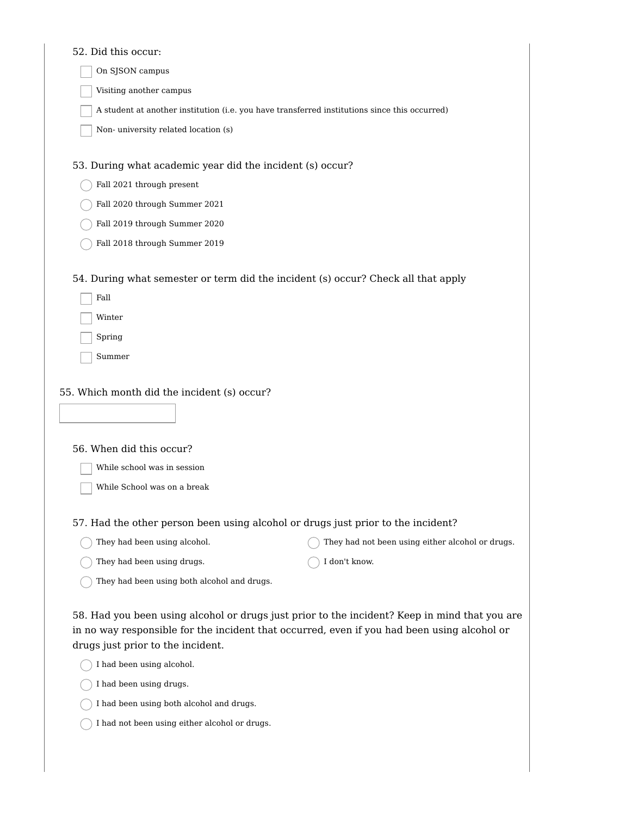| 52. Did this occur:                                                              |                                                                                                                                                                                              |
|----------------------------------------------------------------------------------|----------------------------------------------------------------------------------------------------------------------------------------------------------------------------------------------|
| On SJSON campus                                                                  |                                                                                                                                                                                              |
| Visiting another campus                                                          |                                                                                                                                                                                              |
|                                                                                  | A student at another institution (i.e. you have transferred institutions since this occurred)                                                                                                |
| Non-university related location (s)                                              |                                                                                                                                                                                              |
|                                                                                  |                                                                                                                                                                                              |
| 53. During what academic year did the incident (s) occur?                        |                                                                                                                                                                                              |
| Fall 2021 through present                                                        |                                                                                                                                                                                              |
| Fall 2020 through Summer 2021                                                    |                                                                                                                                                                                              |
| Fall 2019 through Summer 2020                                                    |                                                                                                                                                                                              |
| Fall 2018 through Summer 2019                                                    |                                                                                                                                                                                              |
|                                                                                  | 54. During what semester or term did the incident (s) occur? Check all that apply                                                                                                            |
| Fall                                                                             |                                                                                                                                                                                              |
| Winter                                                                           |                                                                                                                                                                                              |
| Spring                                                                           |                                                                                                                                                                                              |
| Summer                                                                           |                                                                                                                                                                                              |
| 55. Which month did the incident (s) occur?                                      |                                                                                                                                                                                              |
| 56. When did this occur?                                                         |                                                                                                                                                                                              |
| While school was in session                                                      |                                                                                                                                                                                              |
| While School was on a break                                                      |                                                                                                                                                                                              |
| 57. Had the other person been using alcohol or drugs just prior to the incident? |                                                                                                                                                                                              |
| They had been using alcohol.                                                     | They had not been using either alcohol or drugs.                                                                                                                                             |
| They had been using drugs.                                                       | I don't know.                                                                                                                                                                                |
| They had been using both alcohol and drugs.                                      |                                                                                                                                                                                              |
| drugs just prior to the incident.                                                | 58. Had you been using alcohol or drugs just prior to the incident? Keep in mind that you are<br>in no way responsible for the incident that occurred, even if you had been using alcohol or |
| I had been using alcohol.                                                        |                                                                                                                                                                                              |
| I had been using drugs.                                                          |                                                                                                                                                                                              |
| I had been using both alcohol and drugs.                                         |                                                                                                                                                                                              |

 $\bigcirc$  I had not been using either alcohol or drugs.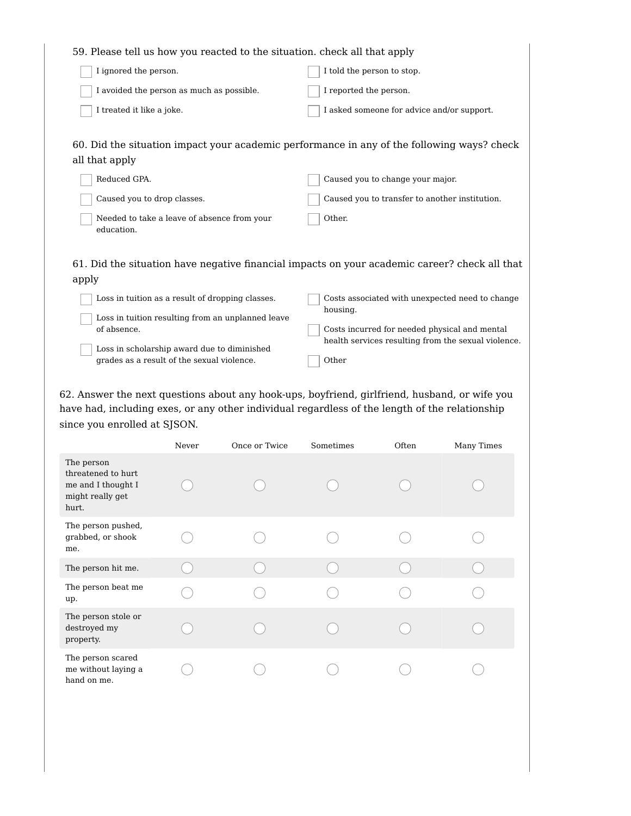| 59. Please tell us how you reacted to the situation, check all that apply                  |                                                                                                      |
|--------------------------------------------------------------------------------------------|------------------------------------------------------------------------------------------------------|
| I ignored the person.                                                                      | I told the person to stop.                                                                           |
| I avoided the person as much as possible.                                                  | I reported the person.                                                                               |
| I treated it like a joke.                                                                  | I asked someone for advice and/or support.                                                           |
|                                                                                            |                                                                                                      |
| 60. Did the situation impact your academic performance in any of the following ways? check |                                                                                                      |
| all that apply                                                                             |                                                                                                      |
| Reduced GPA.                                                                               | Caused you to change your major.                                                                     |
| Caused you to drop classes.                                                                | Caused you to transfer to another institution.                                                       |
| Needed to take a leave of absence from your<br>education.                                  | Other.                                                                                               |
|                                                                                            |                                                                                                      |
|                                                                                            | 61. Did the situation have negative financial impacts on your academic career? check all that        |
| apply                                                                                      |                                                                                                      |
| Loss in tuition as a result of dropping classes.                                           | Costs associated with unexpected need to change<br>housing.                                          |
| Loss in tuition resulting from an unplanned leave                                          |                                                                                                      |
| of absence.                                                                                | Costs incurred for needed physical and mental<br>health services resulting from the sexual violence. |
| Loss in scholarship award due to diminished                                                |                                                                                                      |

62. Answer the next questions about any hook-ups, boyfriend, girlfriend, husband, or wife you have had, including exes, or any other individual regardless of the length of the relationship since you enrolled at SJSON.

 $\overline{\phantom{a}}$  Other

grades as a result of the sexual violence.

|                                                                                     | Never | Once or Twice | Sometimes | Often | Many Times |
|-------------------------------------------------------------------------------------|-------|---------------|-----------|-------|------------|
| The person<br>threatened to hurt<br>me and I thought I<br>might really get<br>hurt. |       |               |           |       |            |
| The person pushed,<br>grabbed, or shook<br>me.                                      |       |               |           |       |            |
| The person hit me.                                                                  |       |               |           |       |            |
| The person beat me<br>up.                                                           |       |               |           |       |            |
| The person stole or<br>destroyed my<br>property.                                    |       |               |           |       |            |
| The person scared<br>me without laying a<br>hand on me.                             |       |               |           |       |            |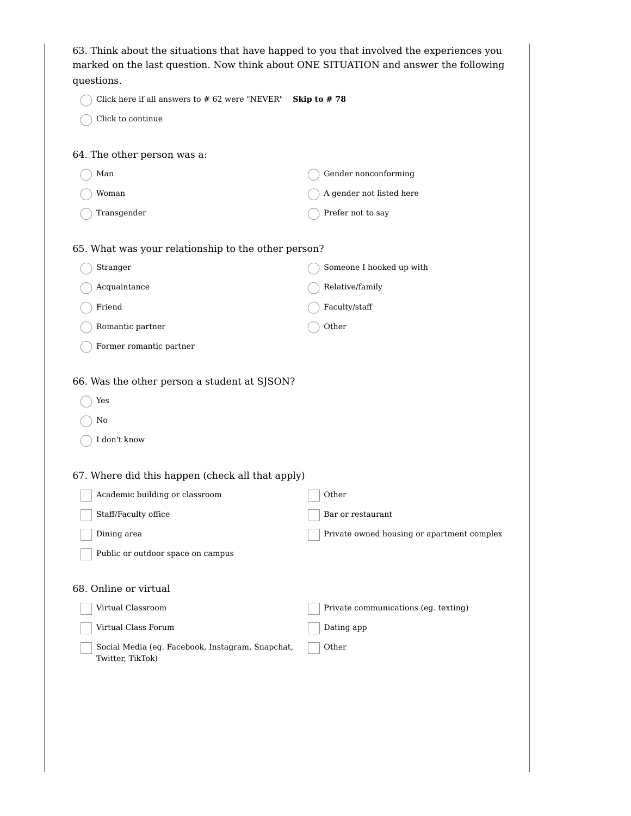| 63. Think about the situations that have happed to you that involved the experiences you<br>marked on the last question. Now think about ONE SITUATION and answer the following<br>questions. |                                            |
|-----------------------------------------------------------------------------------------------------------------------------------------------------------------------------------------------|--------------------------------------------|
| Click here if all answers to # 62 were "NEVER"                                                                                                                                                | Skip to #78                                |
| Click to continue                                                                                                                                                                             |                                            |
| 64. The other person was a:                                                                                                                                                                   |                                            |
| Man                                                                                                                                                                                           | Gender nonconforming                       |
| Woman                                                                                                                                                                                         | A gender not listed here                   |
| Transgender                                                                                                                                                                                   | Prefer not to say                          |
| 65. What was your relationship to the other person?                                                                                                                                           |                                            |
| Stranger                                                                                                                                                                                      | Someone I hooked up with                   |
| Acquaintance                                                                                                                                                                                  | Relative/family                            |
| Friend                                                                                                                                                                                        | Faculty/staff                              |
| Romantic partner                                                                                                                                                                              | Other                                      |
| Former romantic partner                                                                                                                                                                       |                                            |
| 66. Was the other person a student at SJSON?                                                                                                                                                  |                                            |
| Yes                                                                                                                                                                                           |                                            |
| No                                                                                                                                                                                            |                                            |
| I don't know                                                                                                                                                                                  |                                            |
| 67. Where did this happen (check all that apply)                                                                                                                                              |                                            |
| Academic building or classroom                                                                                                                                                                | Other                                      |
| Staff/Faculty office                                                                                                                                                                          | Bar or restaurant                          |
| Dining area                                                                                                                                                                                   | Private owned housing or apartment complex |
| Public or outdoor space on campus                                                                                                                                                             |                                            |
| 68. Online or virtual                                                                                                                                                                         |                                            |
| Virtual Classroom                                                                                                                                                                             | Private communications (eg. texting)       |
| Virtual Class Forum                                                                                                                                                                           | Dating app                                 |
| Social Media (eg. Facebook, Instagram, Snapchat,<br>Twitter, TikTok)                                                                                                                          | Other                                      |
|                                                                                                                                                                                               |                                            |
|                                                                                                                                                                                               |                                            |
|                                                                                                                                                                                               |                                            |
|                                                                                                                                                                                               |                                            |
|                                                                                                                                                                                               |                                            |
|                                                                                                                                                                                               |                                            |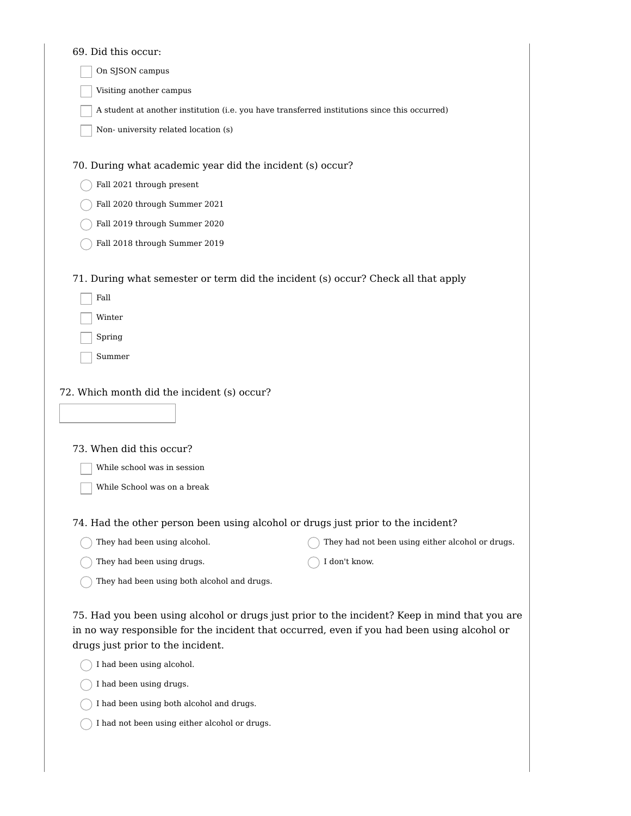| 69. Did this occur:                                                                                                                                                                                                               |                                                  |
|-----------------------------------------------------------------------------------------------------------------------------------------------------------------------------------------------------------------------------------|--------------------------------------------------|
| On SJSON campus                                                                                                                                                                                                                   |                                                  |
| Visiting another campus                                                                                                                                                                                                           |                                                  |
| A student at another institution (i.e. you have transferred institutions since this occurred)                                                                                                                                     |                                                  |
| Non-university related location (s)                                                                                                                                                                                               |                                                  |
| 70. During what academic year did the incident (s) occur?                                                                                                                                                                         |                                                  |
| Fall 2021 through present                                                                                                                                                                                                         |                                                  |
| Fall 2020 through Summer 2021                                                                                                                                                                                                     |                                                  |
| Fall 2019 through Summer 2020                                                                                                                                                                                                     |                                                  |
| Fall 2018 through Summer 2019                                                                                                                                                                                                     |                                                  |
| 71. During what semester or term did the incident (s) occur? Check all that apply<br>Fall                                                                                                                                         |                                                  |
| Winter                                                                                                                                                                                                                            |                                                  |
| Spring                                                                                                                                                                                                                            |                                                  |
| Summer                                                                                                                                                                                                                            |                                                  |
| 72. Which month did the incident (s) occur?                                                                                                                                                                                       |                                                  |
|                                                                                                                                                                                                                                   |                                                  |
| 73. When did this occur?                                                                                                                                                                                                          |                                                  |
| While school was in session                                                                                                                                                                                                       |                                                  |
| While School was on a break                                                                                                                                                                                                       |                                                  |
| 74. Had the other person been using alcohol or drugs just prior to the incident?                                                                                                                                                  |                                                  |
| They had been using alcohol.                                                                                                                                                                                                      | They had not been using either alcohol or drugs. |
| They had been using drugs.                                                                                                                                                                                                        | I don't know.                                    |
| They had been using both alcohol and drugs.                                                                                                                                                                                       |                                                  |
| 75. Had you been using alcohol or drugs just prior to the incident? Keep in mind that you are<br>in no way responsible for the incident that occurred, even if you had been using alcohol or<br>drugs just prior to the incident. |                                                  |
| I had been using alcohol.                                                                                                                                                                                                         |                                                  |
| I had been using drugs.                                                                                                                                                                                                           |                                                  |
| I had been using both alcohol and drugs.                                                                                                                                                                                          |                                                  |

 $\bigcirc$  I had not been using either alcohol or drugs.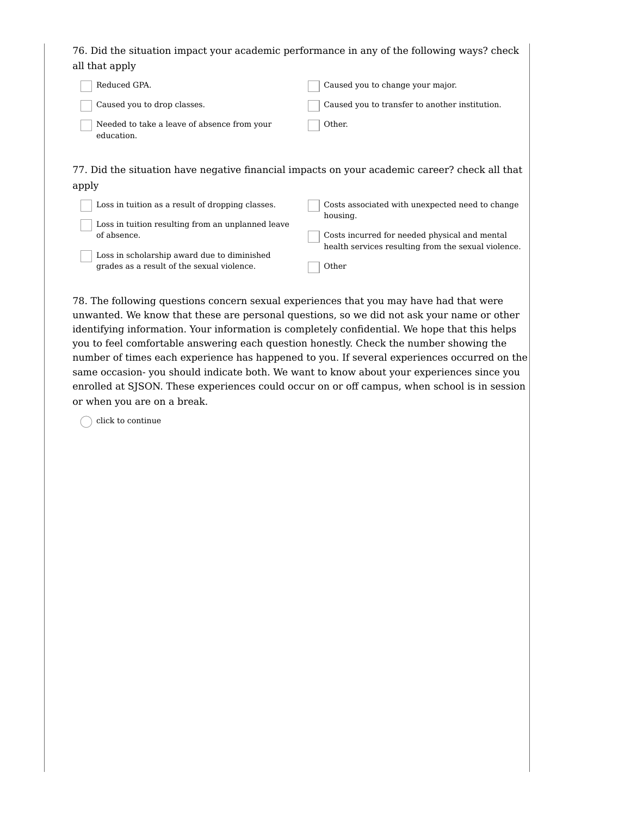76. Did the situation impact your academic performance in any of the following ways? check all that apply

| Reduced GPA.                                              | Caused you to change your major.               |
|-----------------------------------------------------------|------------------------------------------------|
| Caused you to drop classes.                               | Caused you to transfer to another institution. |
| Needed to take a leave of absence from your<br>education. | Other.                                         |

77. Did the situation have negative financial impacts on your academic career? check all that apply

| Loss in tuition as a result of dropping classes.  | Costs associated with unexpected need to change<br>housing. |
|---------------------------------------------------|-------------------------------------------------------------|
| Loss in tuition resulting from an unplanned leave |                                                             |
| of absence.                                       | Costs incurred for needed physical and mental               |
| Loss in scholarship award due to diminished       | health services resulting from the sexual violence.         |
| grades as a result of the sexual violence.        | Other                                                       |

78. The following questions concern sexual experiences that you may have had that were unwanted. We know that these are personal questions, so we did not ask your name or other identifying information. Your information is completely confidential. We hope that this helps you to feel comfortable answering each question honestly. Check the number showing the number of times each experience has happened to you. If several experiences occurred on the same occasion- you should indicate both. We want to know about your experiences since you enrolled at SJSON. These experiences could occur on or off campus, when school is in session or when you are on a break.

 $\bigcap$  click to continue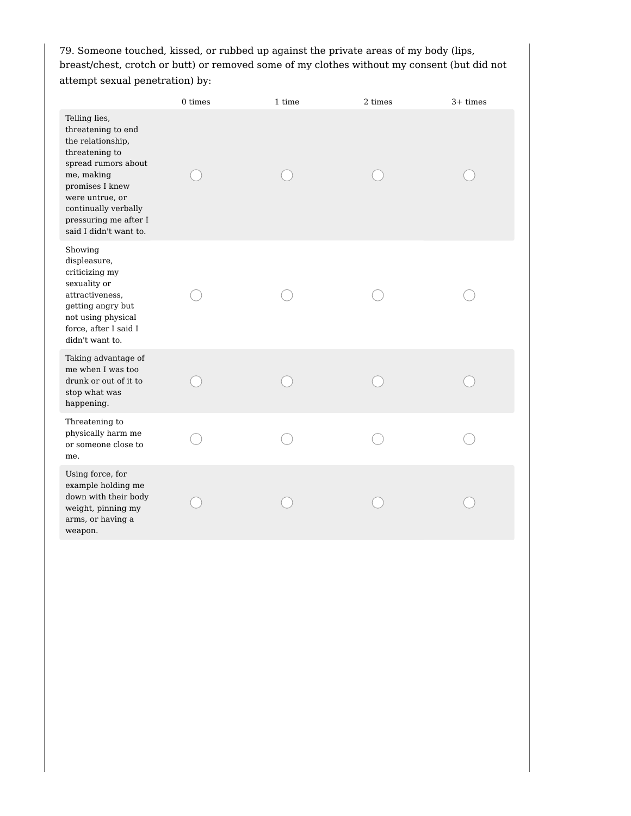79. Someone touched, kissed, or rubbed up against the private areas of my body (lips, breast/chest, crotch or butt) or removed some of my clothes without my consent (but did not attempt sexual penetration) by:

|                                                                                                                                                                                                                                  | 0 times | 1 time | 2 times | $3+$ times |
|----------------------------------------------------------------------------------------------------------------------------------------------------------------------------------------------------------------------------------|---------|--------|---------|------------|
| Telling lies,<br>threatening to end<br>the relationship,<br>threatening to<br>spread rumors about<br>me, making<br>promises I knew<br>were untrue, or<br>continually verbally<br>pressuring me after I<br>said I didn't want to. |         |        |         |            |
| Showing<br>displeasure,<br>criticizing my<br>sexuality or<br>attractiveness,<br>getting angry but<br>not using physical<br>force, after I said I<br>didn't want to.                                                              |         |        |         |            |
| Taking advantage of<br>me when I was too<br>drunk or out of it to<br>stop what was<br>happening.                                                                                                                                 |         |        |         |            |
| Threatening to<br>physically harm me<br>or someone close to<br>me.                                                                                                                                                               |         |        |         |            |
| Using force, for<br>example holding me<br>down with their body<br>weight, pinning my<br>arms, or having a<br>weapon.                                                                                                             |         |        |         |            |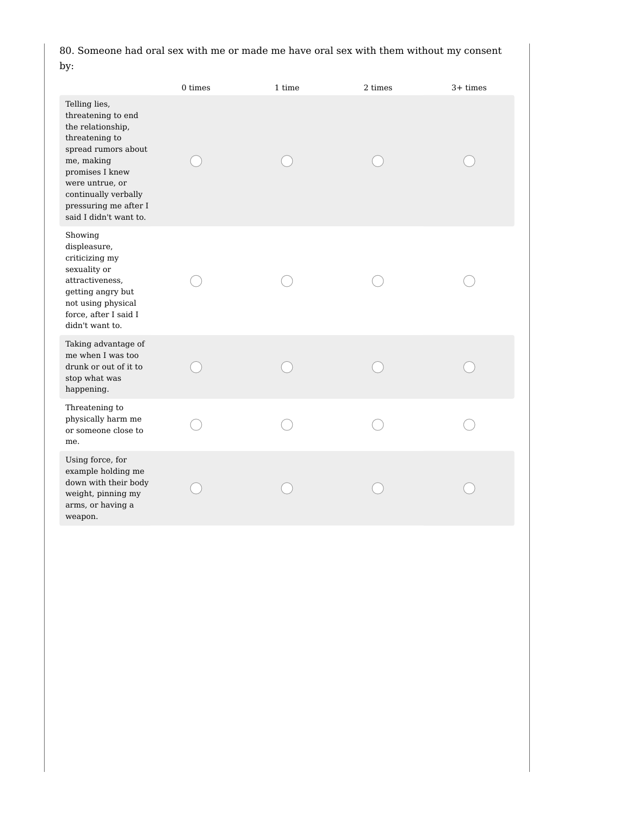80. Someone had oral sex with me or made me have oral sex with them without my consent by:

|                                                                                                                                                                                                                                  | 0 times | 1 time | 2 times | $3+$ times |
|----------------------------------------------------------------------------------------------------------------------------------------------------------------------------------------------------------------------------------|---------|--------|---------|------------|
| Telling lies,<br>threatening to end<br>the relationship,<br>threatening to<br>spread rumors about<br>me, making<br>promises I knew<br>were untrue, or<br>continually verbally<br>pressuring me after I<br>said I didn't want to. |         |        |         |            |
| Showing<br>displeasure,<br>criticizing my<br>sexuality or<br>attractiveness,<br>getting angry but<br>not using physical<br>force, after I said I<br>didn't want to.                                                              |         |        |         |            |
| Taking advantage of<br>me when I was too<br>drunk or out of it to<br>stop what was<br>happening.                                                                                                                                 |         |        |         |            |
| Threatening to<br>physically harm me<br>or someone close to<br>me.                                                                                                                                                               |         |        |         |            |
| Using force, for<br>example holding me<br>down with their body<br>weight, pinning my<br>arms, or having a<br>weapon.                                                                                                             |         |        |         |            |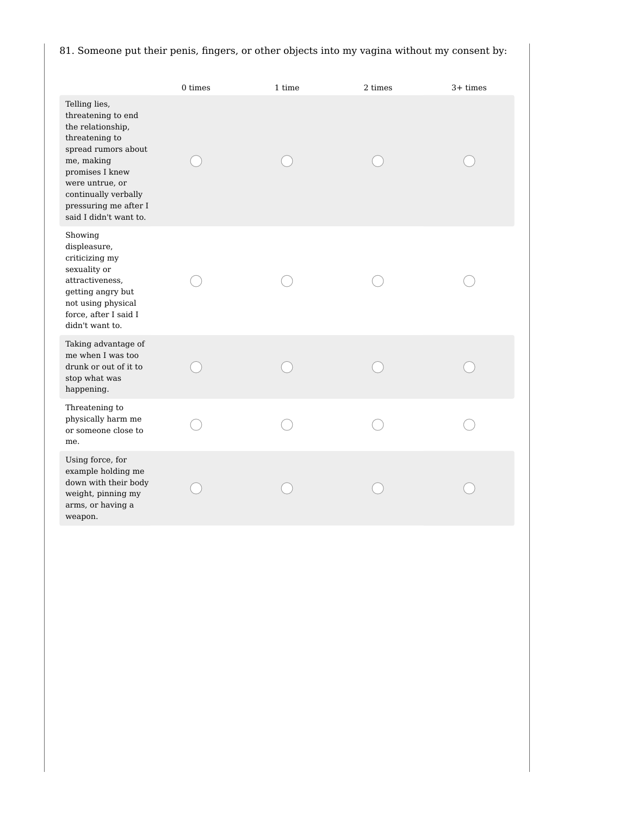## 81. Someone put their penis, fingers, or other objects into my vagina without my consent by:

|                                                                                                                                                                                                                                  | 0 times | 1 time | 2 times | $3+$ times |
|----------------------------------------------------------------------------------------------------------------------------------------------------------------------------------------------------------------------------------|---------|--------|---------|------------|
| Telling lies,<br>threatening to end<br>the relationship,<br>threatening to<br>spread rumors about<br>me, making<br>promises I knew<br>were untrue, or<br>continually verbally<br>pressuring me after I<br>said I didn't want to. |         |        |         |            |
| Showing<br>displeasure,<br>criticizing my<br>sexuality or<br>attractiveness,<br>getting angry but<br>not using physical<br>force, after I said I<br>didn't want to.                                                              |         |        |         |            |
| Taking advantage of<br>me when I was too<br>drunk or out of it to<br>stop what was<br>happening.                                                                                                                                 |         |        |         |            |
| Threatening to<br>physically harm me<br>or someone close to<br>me.                                                                                                                                                               |         |        |         |            |
| Using force, for<br>example holding me<br>down with their body<br>weight, pinning my<br>arms, or having a<br>weapon.                                                                                                             |         |        |         |            |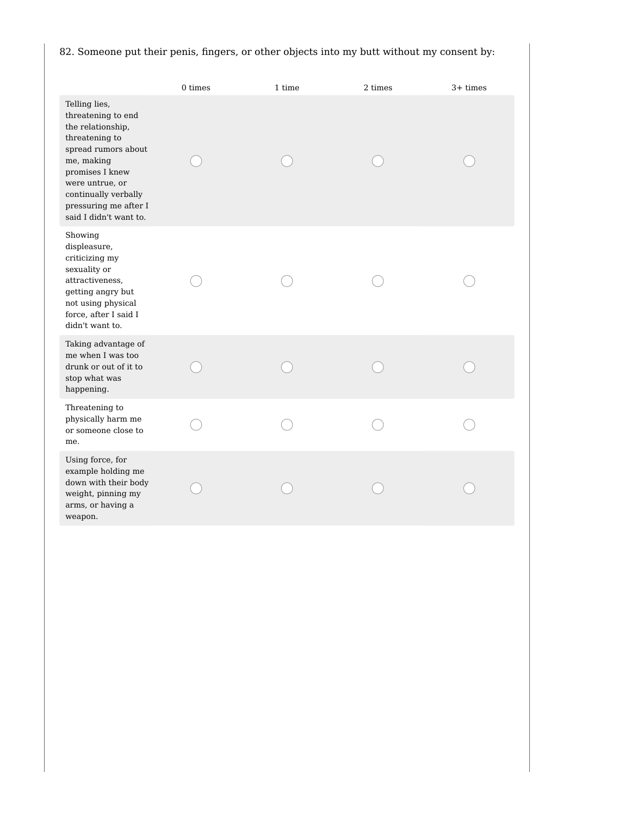## 82. Someone put their penis, fingers, or other objects into my butt without my consent by:

|                                                                                                                                                                                                                                  | 0 times | 1 time | 2 times | $3+$ times |
|----------------------------------------------------------------------------------------------------------------------------------------------------------------------------------------------------------------------------------|---------|--------|---------|------------|
| Telling lies,<br>threatening to end<br>the relationship,<br>threatening to<br>spread rumors about<br>me, making<br>promises I knew<br>were untrue, or<br>continually verbally<br>pressuring me after I<br>said I didn't want to. |         |        |         |            |
| Showing<br>displeasure,<br>criticizing my<br>sexuality or<br>attractiveness,<br>getting angry but<br>not using physical<br>force, after I said I<br>didn't want to.                                                              |         |        |         |            |
| Taking advantage of<br>me when I was too<br>drunk or out of it to<br>stop what was<br>happening.                                                                                                                                 |         |        |         |            |
| Threatening to<br>physically harm me<br>or someone close to<br>me.                                                                                                                                                               |         |        |         |            |
| Using force, for<br>example holding me<br>down with their body<br>weight, pinning my<br>arms, or having a<br>weapon.                                                                                                             |         |        |         |            |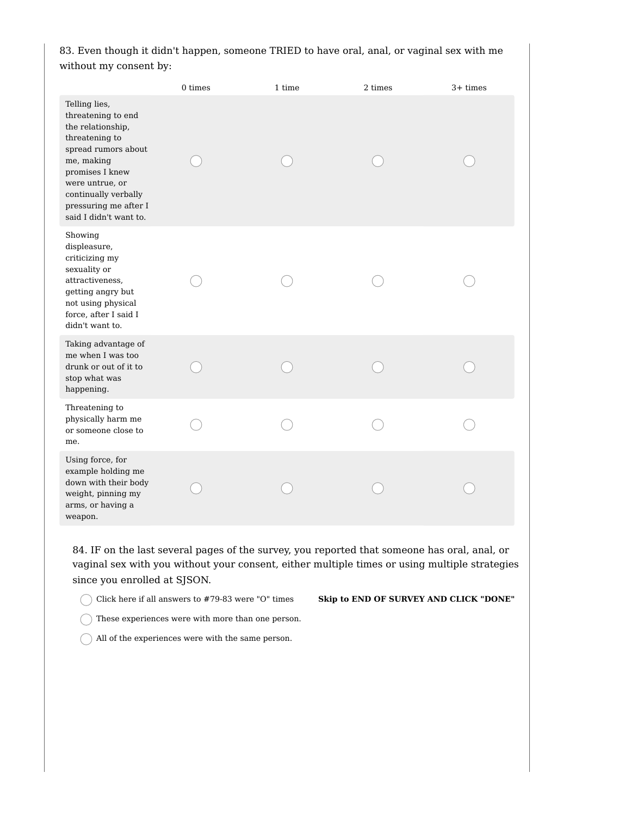83. Even though it didn't happen, someone TRIED to have oral, anal, or vaginal sex with me without my consent by:

|                                                                                                                                                                                                                                  | 0 times | 1 time | 2 times | $3+$ times |
|----------------------------------------------------------------------------------------------------------------------------------------------------------------------------------------------------------------------------------|---------|--------|---------|------------|
| Telling lies,<br>threatening to end<br>the relationship,<br>threatening to<br>spread rumors about<br>me, making<br>promises I knew<br>were untrue, or<br>continually verbally<br>pressuring me after I<br>said I didn't want to. |         |        |         |            |
| Showing<br>displeasure,<br>criticizing my<br>sexuality or<br>attractiveness,<br>getting angry but<br>not using physical<br>force, after I said I<br>didn't want to.                                                              |         |        |         |            |
| Taking advantage of<br>me when I was too<br>drunk or out of it to<br>stop what was<br>happening.                                                                                                                                 |         |        |         |            |
| Threatening to<br>physically harm me<br>or someone close to<br>me.                                                                                                                                                               |         |        |         |            |
| Using force, for<br>example holding me<br>down with their body<br>weight, pinning my<br>arms, or having a<br>weapon.                                                                                                             |         |        |         |            |

84. IF on the last several pages of the survey, you reported that someone has oral, anal, or vaginal sex with you without your consent, either multiple times or using multiple strategies since you enrolled at SJSON.

Click here if all answers to #79-83 were "O" times **Skip to END OF SURVEY AND CLICK "DONE"**

- $\bigcap$  These experiences were with more than one person.
- $\bigcap$  All of the experiences were with the same person.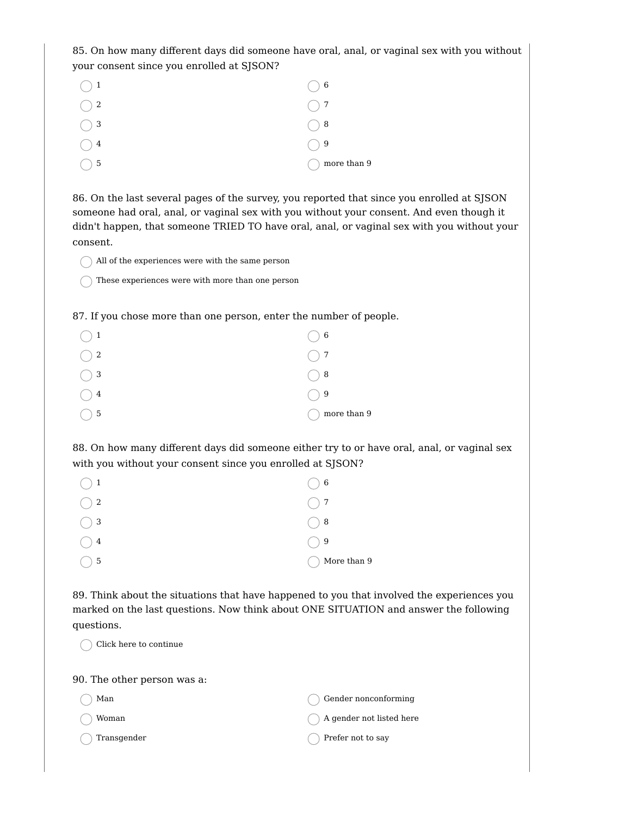85. On how many different days did someone have oral, anal, or vaginal sex with you without your consent since you enrolled at SJSON?

| $\bigcirc$ 1  | $\bigcirc$ 6 |
|---------------|--------------|
| $\bigcirc$ 2  | $\bigcap$ 7  |
| $\bigcirc$ 3  | $\bigcirc$ 8 |
| $\frac{4}{5}$ | $\bigcirc$ 9 |
| -5            | more than 9  |

86. On the last several pages of the survey, you reported that since you enrolled at SJSON someone had oral, anal, or vaginal sex with you without your consent. And even though it didn't happen, that someone TRIED TO have oral, anal, or vaginal sex with you without your consent.

 $\bigcap$  All of the experiences were with the same person

 $\bigcap$  These experiences were with more than one person

87. If you chose more than one person, enter the number of people.

| $\binom{1}{1}$ | 6 <sub>6</sub> |
|----------------|----------------|
| $\bigcirc$ 2   | $\bigcirc$ 7   |
| $\bigcirc$ 3   | $\bigcirc$ 8   |
| $\overline{4}$ | $\bigcirc$ 9   |
| 5 <sub>5</sub> | more than 9    |

88. On how many different days did someone either try to or have oral, anal, or vaginal sex with you without your consent since you enrolled at SJSON?

| $\bigcap$ 1   | $\bigcirc$ 6 |
|---------------|--------------|
| $\bigcirc$ 2  | $\bigcirc$ 7 |
| $\bigcirc$ 3  | $\bigcirc$ 8 |
| $\setminus 4$ | ( ) 9        |
| - 5           | More than 9  |

89. Think about the situations that have happened to you that involved the experiences you marked on the last questions. Now think about ONE SITUATION and answer the following questions.

| Click here to continue      |                          |
|-----------------------------|--------------------------|
| 90. The other person was a: |                          |
| Man                         | Gender nonconforming     |
| Woman                       | A gender not listed here |
| Transgender                 | Prefer not to say        |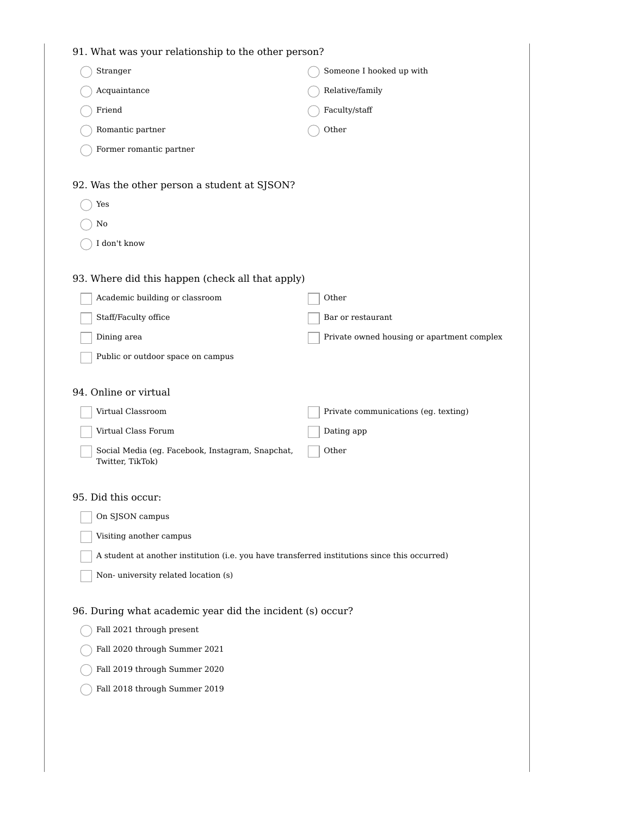| 91. What was your relationship to the other person?                                           |                                            |
|-----------------------------------------------------------------------------------------------|--------------------------------------------|
| Stranger                                                                                      | Someone I hooked up with                   |
| Acquaintance                                                                                  | Relative/family                            |
| Friend                                                                                        | Faculty/staff                              |
| Romantic partner                                                                              | Other                                      |
| Former romantic partner                                                                       |                                            |
|                                                                                               |                                            |
| 92. Was the other person a student at SJSON?                                                  |                                            |
| Yes                                                                                           |                                            |
| No                                                                                            |                                            |
| I don't know                                                                                  |                                            |
| 93. Where did this happen (check all that apply)                                              |                                            |
| Academic building or classroom                                                                | Other                                      |
| Staff/Faculty office                                                                          | Bar or restaurant                          |
| Dining area                                                                                   | Private owned housing or apartment complex |
| Public or outdoor space on campus                                                             |                                            |
|                                                                                               |                                            |
| 94. Online or virtual                                                                         |                                            |
| Virtual Classroom                                                                             | Private communications (eg. texting)       |
| Virtual Class Forum                                                                           | Dating app                                 |
| Social Media (eg. Facebook, Instagram, Snapchat,                                              | Other                                      |
| Twitter, TikTok)                                                                              |                                            |
| 95. Did this occur:                                                                           |                                            |
| On SJSON campus                                                                               |                                            |
| Visiting another campus                                                                       |                                            |
| A student at another institution (i.e. you have transferred institutions since this occurred) |                                            |
| Non-university related location (s)                                                           |                                            |
|                                                                                               |                                            |
| 96. During what academic year did the incident (s) occur?                                     |                                            |
| Fall 2021 through present                                                                     |                                            |
| Fall 2020 through Summer 2021                                                                 |                                            |
| Fall 2019 through Summer 2020                                                                 |                                            |
| Fall 2018 through Summer 2019                                                                 |                                            |
|                                                                                               |                                            |
|                                                                                               |                                            |
|                                                                                               |                                            |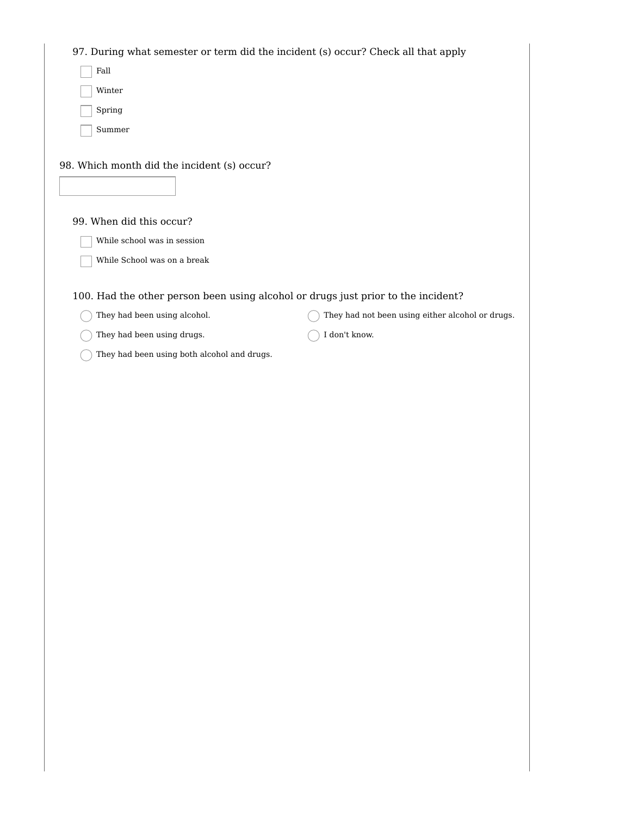97. During what semester or term did the incident (s) occur? Check all that apply Fall Winter Spring Summer 98. Which month did the incident (s) occur? 99. When did this occur? While school was in session While School was on a break 100. Had the other person been using alcohol or drugs just prior to the incident?  $\bigcap$  They had been using alcohol.  $\bigcap$  They had been using drugs.  $\bigcap$  They had been using both alcohol and drugs.  $\bigcap$  They had not been using either alcohol or drugs. I don't know.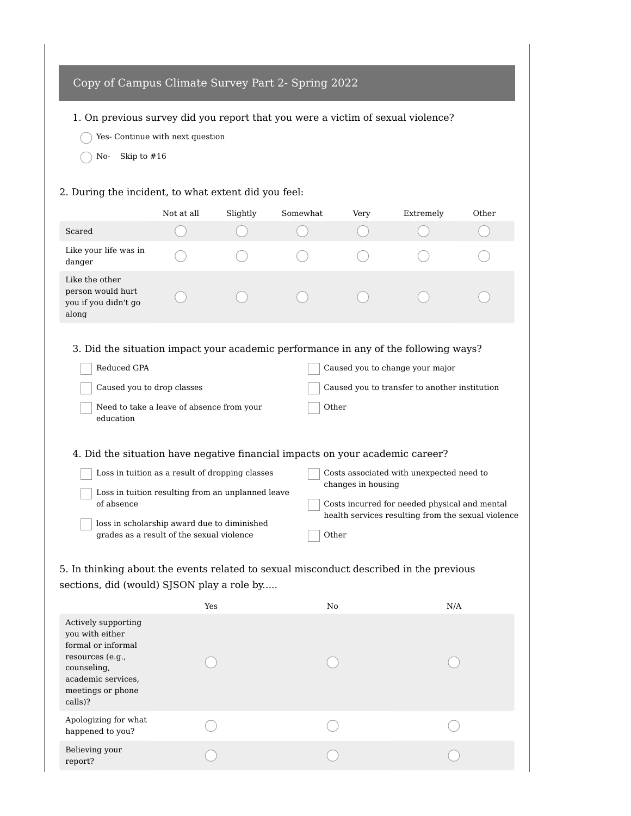# Copy of Campus Climate Survey Part 2- Spring 2022

1. On previous survey did you report that you were a victim of sexual violence?

- $\bigcirc$  Yes- Continue with next question
- $\bigcap$  No- Skip to #16

### 2. During the incident, to what extent did you feel:

|                                                                                                                                       | Not at all | Slightly                                          | Somewhat | Very               | Extremely                                                                                           | Other |
|---------------------------------------------------------------------------------------------------------------------------------------|------------|---------------------------------------------------|----------|--------------------|-----------------------------------------------------------------------------------------------------|-------|
| Scared                                                                                                                                |            |                                                   |          |                    |                                                                                                     |       |
| Like your life was in<br>danger                                                                                                       |            |                                                   |          |                    |                                                                                                     |       |
| Like the other<br>person would hurt<br>you if you didn't go<br>along                                                                  |            |                                                   |          |                    |                                                                                                     |       |
| 3. Did the situation impact your academic performance in any of the following ways?<br>Reduced GPA<br>Caused you to change your major |            |                                                   |          |                    |                                                                                                     |       |
| Caused you to drop classes                                                                                                            |            |                                                   |          |                    | Caused you to transfer to another institution                                                       |       |
| Need to take a leave of absence from your<br>education                                                                                |            |                                                   | Other    |                    |                                                                                                     |       |
| 4. Did the situation have negative financial impacts on your academic career?                                                         |            |                                                   |          |                    |                                                                                                     |       |
|                                                                                                                                       |            | Loss in tuition as a result of dropping classes   |          |                    | Costs associated with unexpected need to                                                            |       |
| of absence                                                                                                                            |            | Loss in tuition resulting from an unplanned leave |          | changes in housing | Costs incurred for needed physical and mental<br>health services resulting from the sexual violence |       |
| loss in scholarship award due to diminished<br>grades as a result of the sexual violence                                              |            |                                                   | Other    |                    |                                                                                                     |       |

5. In thinking about the events related to sexual misconduct described in the previous sections, did (would) SJSON play a role by.....

| Actively supporting<br>you with either<br>formal or informal<br>resources (e.g.,<br>counseling,<br>academic services,<br>meetings or phone<br>calls)?<br>Apologizing for what<br>happened to you? |                | Yes | No | N/A |
|---------------------------------------------------------------------------------------------------------------------------------------------------------------------------------------------------|----------------|-----|----|-----|
|                                                                                                                                                                                                   |                |     |    |     |
|                                                                                                                                                                                                   |                |     |    |     |
| report?                                                                                                                                                                                           | Believing your |     |    |     |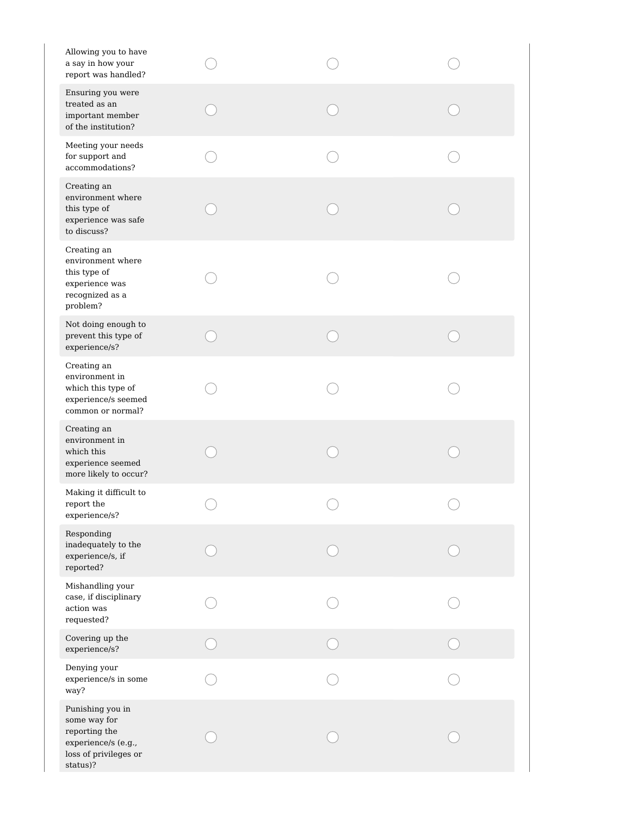| Allowing you to have<br>a say in how your<br>report was handled?                                              |  |  |
|---------------------------------------------------------------------------------------------------------------|--|--|
| Ensuring you were<br>treated as an<br>important member<br>of the institution?                                 |  |  |
| Meeting your needs<br>for support and<br>accommodations?                                                      |  |  |
| Creating an<br>environment where<br>this type of<br>experience was safe<br>to discuss?                        |  |  |
| Creating an<br>environment where<br>this type of<br>experience was<br>recognized as a<br>problem?             |  |  |
| Not doing enough to<br>prevent this type of<br>experience/s?                                                  |  |  |
| Creating an<br>environment in<br>which this type of<br>experience/s seemed<br>common or normal?               |  |  |
| Creating an<br>environment in<br>which this<br>experience seemed<br>more likely to occur?                     |  |  |
| Making it difficult to<br>report the<br>experience/s?                                                         |  |  |
| Responding<br>inadequately to the<br>experience/s, if<br>reported?                                            |  |  |
| Mishandling your<br>case, if disciplinary<br>action was<br>requested?                                         |  |  |
| Covering up the<br>experience/s?                                                                              |  |  |
| Denying your<br>experience/s in some<br>way?                                                                  |  |  |
| Punishing you in<br>some way for<br>reporting the<br>experience/s (e.g.,<br>loss of privileges or<br>status)? |  |  |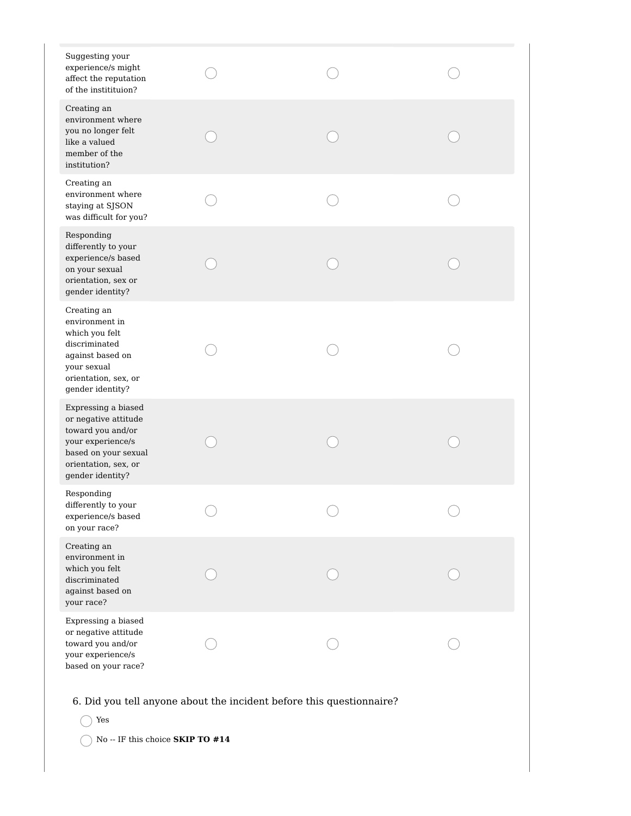| Suggesting your<br>experience/s might<br>affect the reputation<br>of the institituion?                                                                    |                                                                      |  |
|-----------------------------------------------------------------------------------------------------------------------------------------------------------|----------------------------------------------------------------------|--|
| Creating an<br>environment where<br>you no longer felt<br>like a valued<br>member of the<br>institution?                                                  |                                                                      |  |
| Creating an<br>environment where<br>staying at SJSON<br>was difficult for you?                                                                            |                                                                      |  |
| Responding<br>differently to your<br>experience/s based<br>on your sexual<br>orientation, sex or<br>gender identity?                                      |                                                                      |  |
| Creating an<br>environment in<br>which you felt<br>discriminated<br>against based on<br>your sexual<br>orientation, sex, or<br>gender identity?           |                                                                      |  |
| Expressing a biased<br>or negative attitude<br>toward you and/or<br>your experience/s<br>based on your sexual<br>orientation, sex, or<br>gender identity? |                                                                      |  |
| Responding<br>differently to your<br>experience/s based<br>on your race?                                                                                  |                                                                      |  |
| Creating an<br>environment in<br>which you felt<br>discriminated<br>against based on<br>your race?                                                        |                                                                      |  |
| Expressing a biased<br>or negative attitude<br>toward you and/or<br>your experience/s<br>based on your race?                                              |                                                                      |  |
| Yes<br>No -- IF this choice ${\bf SKIP}$ TO $\#14$                                                                                                        | 6. Did you tell anyone about the incident before this questionnaire? |  |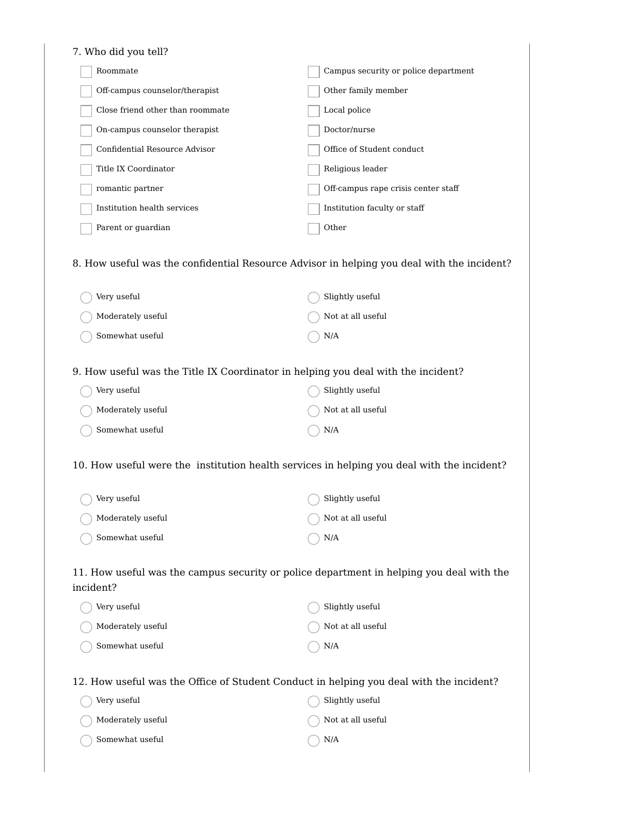| 7. Who did you tell?                                                                                  |                                      |
|-------------------------------------------------------------------------------------------------------|--------------------------------------|
| Roommate                                                                                              | Campus security or police department |
| Off-campus counselor/therapist                                                                        | Other family member                  |
| Close friend other than roommate                                                                      | Local police                         |
| On-campus counselor therapist                                                                         | Doctor/nurse                         |
| Confidential Resource Advisor                                                                         | Office of Student conduct            |
| Title IX Coordinator                                                                                  | Religious leader                     |
| romantic partner                                                                                      | Off-campus rape crisis center staff  |
| Institution health services                                                                           | Institution faculty or staff         |
| Parent or guardian                                                                                    | Other                                |
| 8. How useful was the confidential Resource Advisor in helping you deal with the incident?            |                                      |
| Very useful                                                                                           | Slightly useful                      |
| Moderately useful                                                                                     | Not at all useful                    |
| Somewhat useful                                                                                       | N/A                                  |
| 9. How useful was the Title IX Coordinator in helping you deal with the incident?                     |                                      |
| Very useful                                                                                           | Slightly useful                      |
| Moderately useful                                                                                     | Not at all useful                    |
| Somewhat useful                                                                                       | $\rm N/A$                            |
| 10. How useful were the institution health services in helping you deal with the incident?            |                                      |
| Very useful                                                                                           | Slightly useful                      |
| Moderately useful                                                                                     | Not at all useful                    |
| Somewhat useful                                                                                       | $\rm N/A$                            |
| 11. How useful was the campus security or police department in helping you deal with the<br>incident? |                                      |
| Very useful                                                                                           | Slightly useful                      |
| Moderately useful                                                                                     | Not at all useful                    |
| Somewhat useful                                                                                       | N/A                                  |
| 12. How useful was the Office of Student Conduct in helping you deal with the incident?               |                                      |
| Very useful                                                                                           | Slightly useful                      |
| Moderately useful                                                                                     | Not at all useful                    |
| Somewhat useful                                                                                       | $\rm N/A$                            |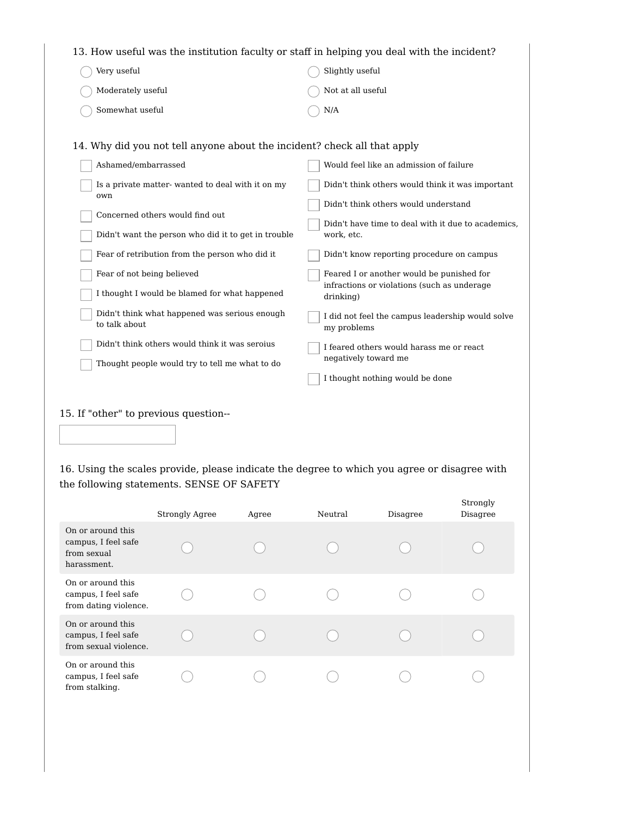| 13. How useful was the institution faculty or staff in helping you deal with the incident?                                                                                                                                                                                                                                                                                                                                                              |                                                                                                                                                                                                                                                                                                                                                                                                                   |  |  |  |  |  |
|---------------------------------------------------------------------------------------------------------------------------------------------------------------------------------------------------------------------------------------------------------------------------------------------------------------------------------------------------------------------------------------------------------------------------------------------------------|-------------------------------------------------------------------------------------------------------------------------------------------------------------------------------------------------------------------------------------------------------------------------------------------------------------------------------------------------------------------------------------------------------------------|--|--|--|--|--|
| Very useful                                                                                                                                                                                                                                                                                                                                                                                                                                             | Slightly useful                                                                                                                                                                                                                                                                                                                                                                                                   |  |  |  |  |  |
| Moderately useful                                                                                                                                                                                                                                                                                                                                                                                                                                       | Not at all useful                                                                                                                                                                                                                                                                                                                                                                                                 |  |  |  |  |  |
| Somewhat useful                                                                                                                                                                                                                                                                                                                                                                                                                                         | N/A                                                                                                                                                                                                                                                                                                                                                                                                               |  |  |  |  |  |
| 14. Why did you not tell anyone about the incident? check all that apply<br>Ashamed/embarrassed<br>Is a private matter-wanted to deal with it on my<br>own<br>Concerned others would find out<br>Didn't want the person who did it to get in trouble<br>Fear of retribution from the person who did it<br>Fear of not being believed<br>I thought I would be blamed for what happened<br>Didn't think what happened was serious enough<br>to talk about | Would feel like an admission of failure<br>Didn't think others would think it was important<br>Didn't think others would understand<br>Didn't have time to deal with it due to academics,<br>work, etc.<br>Didn't know reporting procedure on campus<br>Feared I or another would be punished for<br>infractions or violations (such as underage<br>drinking)<br>I did not feel the campus leadership would solve |  |  |  |  |  |
| Didn't think others would think it was seroius<br>Thought people would try to tell me what to do                                                                                                                                                                                                                                                                                                                                                        | my problems<br>I feared others would harass me or react<br>negatively toward me<br>I thought nothing would be done                                                                                                                                                                                                                                                                                                |  |  |  |  |  |
|                                                                                                                                                                                                                                                                                                                                                                                                                                                         |                                                                                                                                                                                                                                                                                                                                                                                                                   |  |  |  |  |  |

15. If "other" to previous question--

16. Using the scales provide, please indicate the degree to which you agree or disagree with the following statements. SENSE OF SAFETY

|                                                                        | <b>Strongly Agree</b> | Agree | Neutral | Disagree | Strongly<br>Disagree |
|------------------------------------------------------------------------|-----------------------|-------|---------|----------|----------------------|
| On or around this<br>campus, I feel safe<br>from sexual<br>harassment. |                       |       |         |          |                      |
| On or around this<br>campus, I feel safe<br>from dating violence.      |                       |       |         |          |                      |
| On or around this<br>campus, I feel safe<br>from sexual violence.      |                       |       |         |          |                      |
| On or around this<br>campus, I feel safe<br>from stalking.             |                       |       |         |          |                      |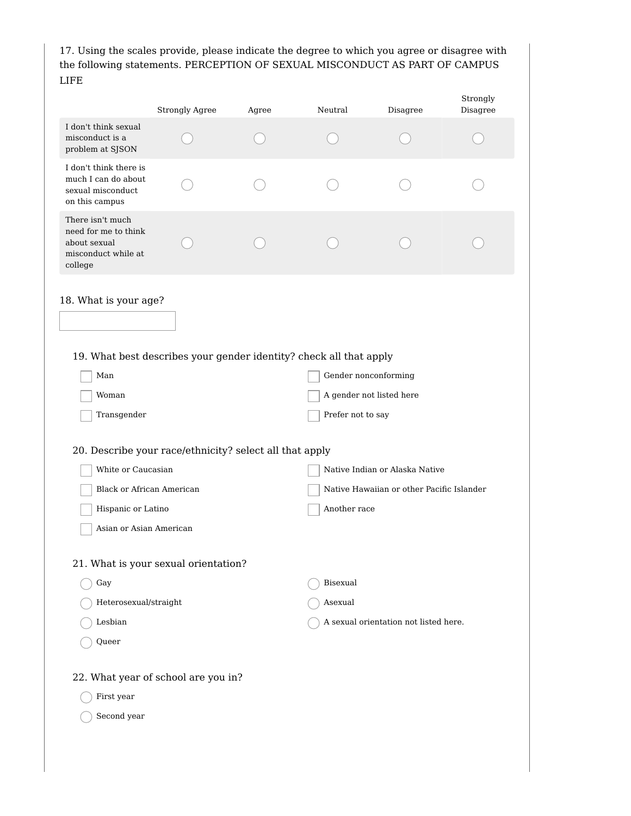17. Using the scales provide, please indicate the degree to which you agree or disagree with the following statements. PERCEPTION OF SEXUAL MISCONDUCT AS PART OF CAMPUS LIFE

|                                                                                            | <b>Strongly Agree</b>                                              | Agree | Neutral           | Disagree                                  | Strongly<br>Disagree |
|--------------------------------------------------------------------------------------------|--------------------------------------------------------------------|-------|-------------------|-------------------------------------------|----------------------|
| I don't think sexual<br>misconduct is a<br>problem at SJSON                                |                                                                    |       |                   |                                           |                      |
| I don't think there is<br>much I can do about<br>sexual misconduct<br>on this campus       |                                                                    |       |                   |                                           |                      |
| There isn't much<br>need for me to think<br>about sexual<br>misconduct while at<br>college |                                                                    |       |                   |                                           |                      |
| 18. What is your age?                                                                      |                                                                    |       |                   |                                           |                      |
|                                                                                            |                                                                    |       |                   |                                           |                      |
|                                                                                            | 19. What best describes your gender identity? check all that apply |       |                   |                                           |                      |
| Man                                                                                        |                                                                    |       |                   | Gender nonconforming                      |                      |
| Woman                                                                                      |                                                                    |       |                   | A gender not listed here                  |                      |
| Transgender                                                                                |                                                                    |       | Prefer not to say |                                           |                      |
|                                                                                            | 20. Describe your race/ethnicity? select all that apply            |       |                   |                                           |                      |
| White or Caucasian                                                                         |                                                                    |       |                   | Native Indian or Alaska Native            |                      |
| <b>Black or African American</b>                                                           |                                                                    |       |                   | Native Hawaiian or other Pacific Islander |                      |
| Hispanic or Latino                                                                         |                                                                    |       | Another race      |                                           |                      |
| Asian or Asian American                                                                    |                                                                    |       |                   |                                           |                      |
|                                                                                            | 21. What is your sexual orientation?                               |       |                   |                                           |                      |
| Gay                                                                                        |                                                                    |       | Bisexual          |                                           |                      |
| Heterosexual/straight                                                                      |                                                                    |       | Asexual           |                                           |                      |
| Lesbian                                                                                    |                                                                    |       |                   | A sexual orientation not listed here.     |                      |
| Queer                                                                                      |                                                                    |       |                   |                                           |                      |
|                                                                                            | 22. What year of school are you in?                                |       |                   |                                           |                      |
| First year                                                                                 |                                                                    |       |                   |                                           |                      |
|                                                                                            |                                                                    |       |                   |                                           |                      |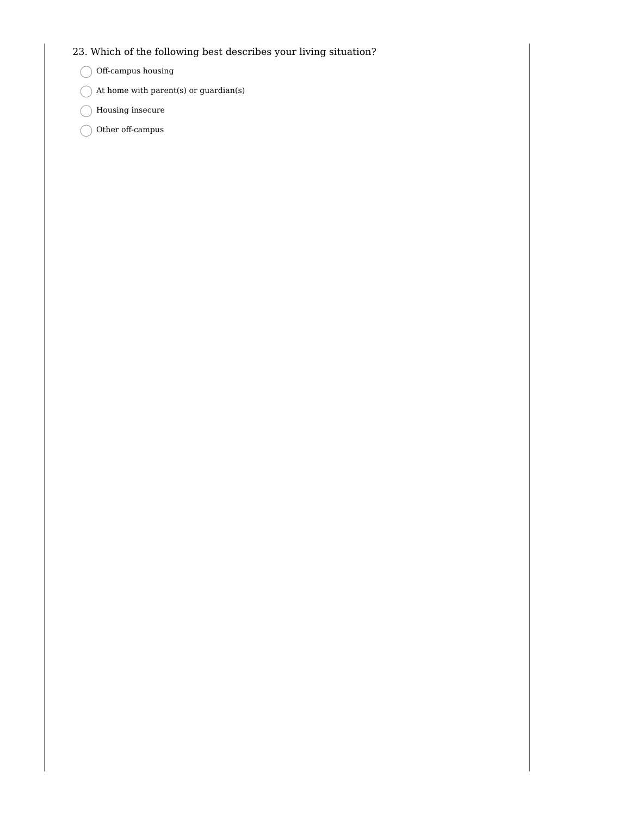## 23. Which of the following best describes your living situation?

### $\bigcirc$  Off-campus housing

- $\bigcap$  At home with parent(s) or guardian(s)
- $\bigcirc$  Housing insecure
- $\bigcirc$  Other off-campus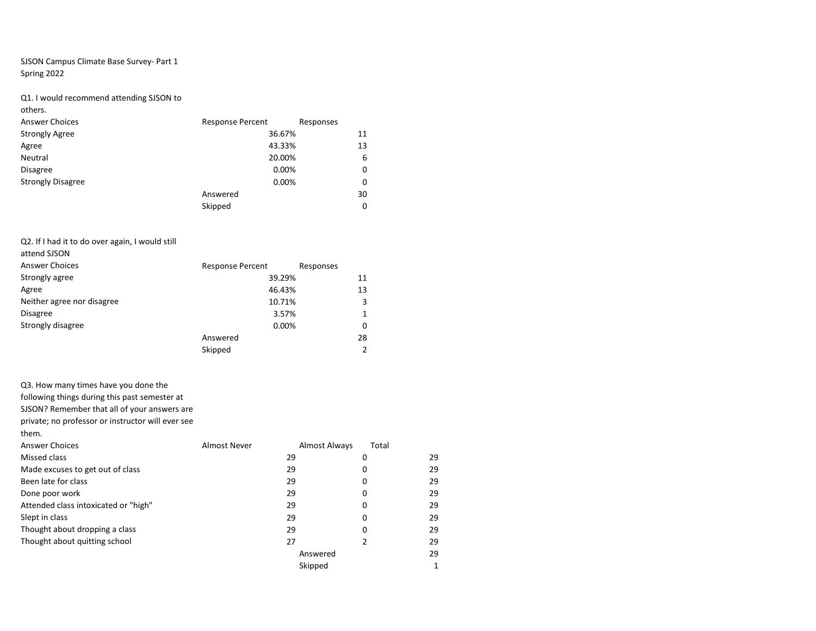### SJSON Campus Climate Base Survey- Part 1 Spring 2022

### Q1. I would recommend attending SJSON to

others.

| <b>Response Percent</b><br>Responses<br>36.67% | 11 |
|------------------------------------------------|----|
|                                                |    |
|                                                |    |
| 43.33%                                         | 13 |
| 20.00%                                         | 6  |
| 0.00%                                          | 0  |
| 0.00%                                          | 0  |
| Answered                                       | 30 |
| Skipped                                        | 0  |
|                                                |    |

#### Q2. If I had it to do over again, I would still

| attend SJSON               |                         |              |
|----------------------------|-------------------------|--------------|
| <b>Answer Choices</b>      | <b>Response Percent</b> | Responses    |
| Strongly agree             | 39.29%                  | 11           |
| Agree                      | 46.43%                  | 13           |
| Neither agree nor disagree | 10.71%                  | 3            |
| <b>Disagree</b>            | 3.57%                   | $\mathbf{1}$ |
| Strongly disagree          | 0.00%                   | 0            |
|                            | Answered                | 28           |
|                            | Skipped                 | 2            |

#### Q3. How many times have you done the

following things during this past semester at

SJSON? Remember that all of your answers are

private; no professor or instructor will ever see

them.

| <b>Answer Choices</b>                | Almost Never | <b>Almost Always</b> | Total |    |
|--------------------------------------|--------------|----------------------|-------|----|
| Missed class                         |              | 29                   | 0     | 29 |
| Made excuses to get out of class     |              | 29                   | 0     | 29 |
| Been late for class                  |              | 29                   | 0     | 29 |
| Done poor work                       |              | 29                   | 0     | 29 |
| Attended class intoxicated or "high" |              | 29                   | 0     | 29 |
| Slept in class                       |              | 29                   | 0     | 29 |
| Thought about dropping a class       |              | 29                   | 0     | 29 |
| Thought about quitting school        |              | 27                   |       | 29 |
|                                      |              | Answered             |       | 29 |
|                                      |              | Skipped              |       |    |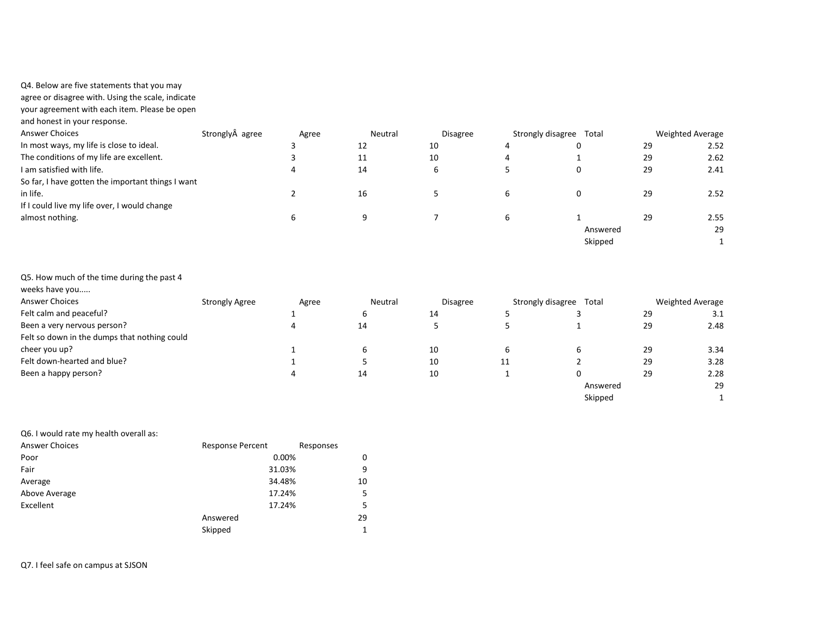### Q4. Below are five statements that you may

agree or disagree with. Using the scale, indicate

your agreement with each item. Please be open

and honest in your response.

| <b>Answer Choices</b>                             | Strongly agree | Agree | Neutral | <b>Disagree</b> | Strongly disagree | Total    |    | Weighted Average |
|---------------------------------------------------|----------------|-------|---------|-----------------|-------------------|----------|----|------------------|
| In most ways, my life is close to ideal.          |                |       | 12      | 10              | 4                 |          | 29 | 2.52             |
| The conditions of my life are excellent.          |                |       | 11      | 10              | 4                 |          | 29 | 2.62             |
| I am satisfied with life.                         |                |       | 14      | b               |                   |          | 29 | 2.41             |
| So far, I have gotten the important things I want |                |       |         |                 |                   |          |    |                  |
| in life.                                          |                |       | 16      |                 | b                 |          | 29 | 2.52             |
| If I could live my life over, I would change      |                |       |         |                 |                   |          |    |                  |
| almost nothing.                                   |                | b     | a       |                 | b                 |          | 29 | 2.55             |
|                                                   |                |       |         |                 |                   | Answered |    | 29               |
|                                                   |                |       |         |                 |                   | Skipped  |    |                  |

| weeks have you                               |                       |       |         |                 |                   |          |    |                  |
|----------------------------------------------|-----------------------|-------|---------|-----------------|-------------------|----------|----|------------------|
| <b>Answer Choices</b>                        | <b>Strongly Agree</b> | Agree | Neutral | <b>Disagree</b> | Strongly disagree | Total    |    | Weighted Average |
| Felt calm and peaceful?                      |                       |       | ь       | 14              |                   |          | 29 | 3.1              |
| Been a very nervous person?                  |                       |       | 14      |                 |                   |          | 29 | 2.48             |
| Felt so down in the dumps that nothing could |                       |       |         |                 |                   |          |    |                  |
| cheer you up?                                |                       |       | b       | 10              | b                 | 6        | 29 | 3.34             |
| Felt down-hearted and blue?                  |                       |       |         | 10              | 11                |          | 29 | 3.28             |
| Been a happy person?                         |                       |       | 14      | 10              |                   | 0        | 29 | 2.28             |
|                                              |                       |       |         |                 |                   | Answered |    | 29               |
|                                              |                       |       |         |                 |                   | Skipped  |    |                  |

| Q6. I would rate my health overall as: |                         |           |
|----------------------------------------|-------------------------|-----------|
| <b>Answer Choices</b>                  | <b>Response Percent</b> | Responses |
| Poor                                   | 0.00%                   | 0         |
| Fair                                   | 31.03%                  | 9         |
| Average                                | 34.48%                  | 10        |
| Above Average                          | 17.24%                  | 5         |
| Excellent                              | 17.24%                  | 5         |
|                                        | Answered                | 29        |
|                                        | Skipped                 |           |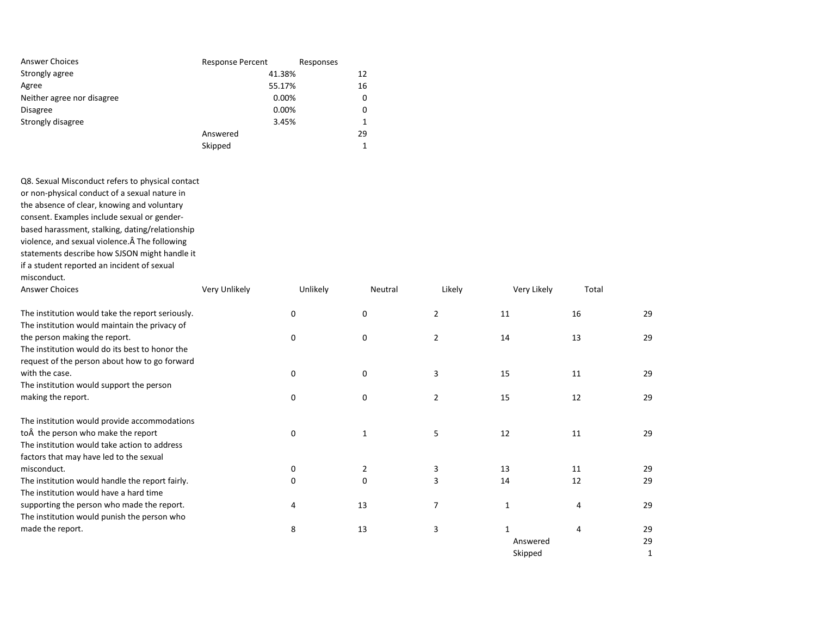| <b>Answer Choices</b>      | <b>Response Percent</b> | Responses |
|----------------------------|-------------------------|-----------|
| Strongly agree             | 41.38%                  | 12        |
| Agree                      | 55.17%                  | 16        |
| Neither agree nor disagree | 0.00%                   | 0         |
| <b>Disagree</b>            | 0.00%                   | 0         |
| Strongly disagree          | 3.45%                   |           |
|                            | Answered                | 29        |
|                            | Skipped                 |           |

Q8. Sexual Misconduct refers to physical contact or non-physical conduct of a sexual nature in the absence of clear, knowing and voluntary consent. Examples include sexual or genderbased harassment, stalking, dating/relationship violence, and sexual violence. Â The following statements describe how SJSON might handle it if a student reported an incident of sexual misconduct.

| <b>Answer Choices</b>                            | Very Unlikely | Unlikely | Neutral      | Likely         | Very Likely | Total |    |
|--------------------------------------------------|---------------|----------|--------------|----------------|-------------|-------|----|
| The institution would take the report seriously. |               | 0        | 0            | $\overline{2}$ | 11          | 16    | 29 |
| The institution would maintain the privacy of    |               |          |              |                |             |       |    |
| the person making the report.                    |               | 0        | 0            | $\overline{2}$ | 14          | 13    | 29 |
| The institution would do its best to honor the   |               |          |              |                |             |       |    |
| request of the person about how to go forward    |               |          |              |                |             |       |    |
| with the case.                                   |               | 0        | 0            | 3              | 15          | 11    | 29 |
| The institution would support the person         |               |          |              |                |             |       |    |
| making the report.                               |               | 0        | 0            | 2              | 15          | 12    | 29 |
| The institution would provide accommodations     |               |          |              |                |             |       |    |
| to A the person who make the report              |               | 0        | $\mathbf{1}$ | 5              | 12          | 11    | 29 |
| The institution would take action to address     |               |          |              |                |             |       |    |
| factors that may have led to the sexual          |               |          |              |                |             |       |    |
| misconduct.                                      |               | 0        | 2            | 3              | 13          | 11    | 29 |
| The institution would handle the report fairly.  |               | 0        | 0            | 3              | 14          | 12    | 29 |
| The institution would have a hard time           |               |          |              |                |             |       |    |
| supporting the person who made the report.       |               | 4        | 13           | 7              |             | 4     | 29 |
| The institution would punish the person who      |               |          |              |                |             |       |    |
| made the report.                                 |               | 8        | 13           | 3              |             |       | 29 |
|                                                  |               |          |              |                | Answered    |       | 29 |
|                                                  |               |          |              |                | Skipped     |       |    |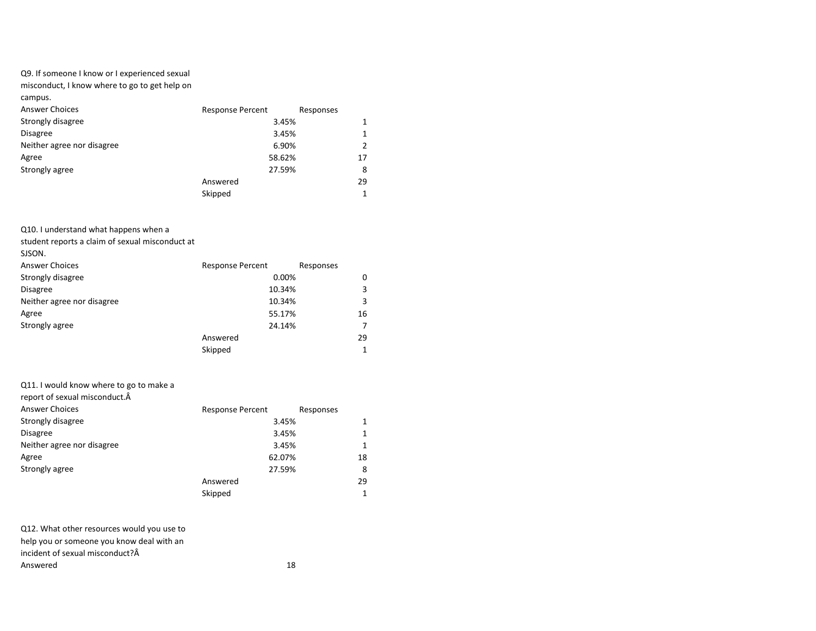# Q9. If someone I know or I experienced sexual

misconduct, I know where to go to get help on

campus.

| <b>Answer Choices</b>      | <b>Response Percent</b> | Responses |
|----------------------------|-------------------------|-----------|
| Strongly disagree          | 3.45%                   |           |
| <b>Disagree</b>            | 3.45%                   |           |
| Neither agree nor disagree | 6.90%                   |           |
| Agree                      | 58.62%                  | 17        |
| Strongly agree             | 27.59%                  | 8         |
|                            | Answered                | 29        |
|                            | Skipped                 |           |

Q10. I understand what happens when a

student reports a claim of sexual misconduct at

SJSON.

| <b>Answer Choices</b>      | <b>Response Percent</b> | Responses |
|----------------------------|-------------------------|-----------|
| Strongly disagree          | 0.00%                   | 0         |
| <b>Disagree</b>            | 10.34%                  |           |
| Neither agree nor disagree | 10.34%                  |           |
| Agree                      | 55.17%                  | 16        |
| Strongly agree             | 24.14%                  |           |
|                            | Answered                | 29        |
|                            | Skipped                 |           |

### Q11. I would know where to go to make a

| report of sexual misconduct. A |                         |           |
|--------------------------------|-------------------------|-----------|
| <b>Answer Choices</b>          | <b>Response Percent</b> | Responses |
| Strongly disagree              | 3.45%                   | 1         |
| <b>Disagree</b>                | 3.45%                   | 1         |
| Neither agree nor disagree     | 3.45%                   | 1         |
| Agree                          | 62.07%                  | 18        |
| Strongly agree                 | 27.59%                  | 8         |
|                                | Answered                | 29        |
|                                | Skipped                 | 1         |

| Q12. What other resources would you use to |    |
|--------------------------------------------|----|
| help you or someone you know deal with an  |    |
| incident of sexual misconduct? $\hat{A}$   |    |
| Answered                                   | 18 |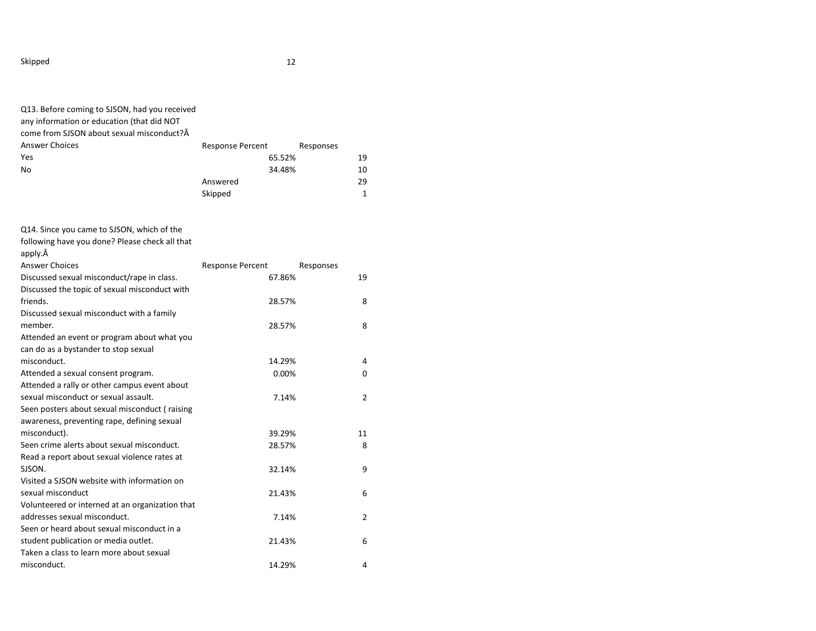| Q13. Before coming to SJSON, had you received<br>any information or education (that did NOT<br>come from SJSON about sexual misconduct?Â |                         |        |           |              |
|------------------------------------------------------------------------------------------------------------------------------------------|-------------------------|--------|-----------|--------------|
| <b>Answer Choices</b>                                                                                                                    | Response Percent        |        | Responses |              |
| Yes                                                                                                                                      |                         | 65.52% |           | 19           |
| No                                                                                                                                       |                         | 34.48% |           | 10           |
|                                                                                                                                          | Answered                |        |           | 29           |
|                                                                                                                                          | Skipped                 |        |           | $\mathbf{1}$ |
| Q14. Since you came to SJSON, which of the                                                                                               |                         |        |           |              |
| following have you done? Please check all that                                                                                           |                         |        |           |              |
| apply.Â                                                                                                                                  |                         |        |           |              |
| <b>Answer Choices</b>                                                                                                                    | <b>Response Percent</b> |        | Responses |              |
| Discussed sexual misconduct/rape in class.                                                                                               |                         | 67.86% |           | 19           |
| Discussed the topic of sexual misconduct with                                                                                            |                         |        |           |              |
| friends.                                                                                                                                 |                         | 28.57% |           | 8            |
| Discussed sexual misconduct with a family<br>member.                                                                                     |                         |        |           |              |
| Attended an event or program about what you                                                                                              |                         | 28.57% |           | 8            |
| can do as a bystander to stop sexual                                                                                                     |                         |        |           |              |
| misconduct.                                                                                                                              |                         | 14.29% |           | 4            |
| Attended a sexual consent program.                                                                                                       |                         | 0.00%  |           | 0            |
| Attended a rally or other campus event about                                                                                             |                         |        |           |              |
| sexual misconduct or sexual assault.                                                                                                     |                         | 7.14%  |           | 2            |
| Seen posters about sexual misconduct (raising                                                                                            |                         |        |           |              |
| awareness, preventing rape, defining sexual                                                                                              |                         |        |           |              |
| misconduct).                                                                                                                             |                         | 39.29% |           | 11           |
| Seen crime alerts about sexual misconduct.                                                                                               |                         | 28.57% |           | 8            |
| Read a report about sexual violence rates at                                                                                             |                         |        |           |              |
| SJSON.                                                                                                                                   |                         | 32.14% |           | 9            |
| Visited a SJSON website with information on                                                                                              |                         |        |           |              |
| sexual misconduct                                                                                                                        |                         | 21.43% |           | 6            |
| Volunteered or interned at an organization that                                                                                          |                         |        |           |              |
| addresses sexual misconduct.                                                                                                             |                         | 7.14%  |           | 2            |
| Seen or heard about sexual misconduct in a                                                                                               |                         |        |           |              |
| student publication or media outlet.                                                                                                     |                         | 21.43% |           | 6            |
| Taken a class to learn more about sexual                                                                                                 |                         |        |           |              |
| misconduct.                                                                                                                              |                         | 14.29% |           | 4            |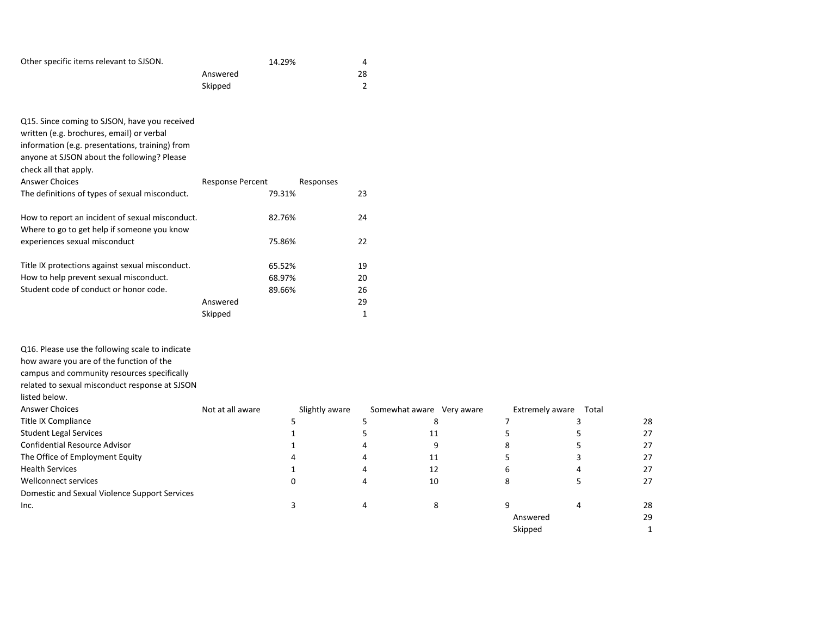| Other specific items relevant to SJSON.         | 14.29%                               | 4  |
|-------------------------------------------------|--------------------------------------|----|
|                                                 | Answered                             | 28 |
|                                                 | Skipped                              | 2  |
|                                                 |                                      |    |
|                                                 |                                      |    |
| Q15. Since coming to SJSON, have you received   |                                      |    |
| written (e.g. brochures, email) or verbal       |                                      |    |
| information (e.g. presentations, training) from |                                      |    |
| anyone at SJSON about the following? Please     |                                      |    |
| check all that apply.                           |                                      |    |
| <b>Answer Choices</b>                           | <b>Response Percent</b><br>Responses |    |
| The definitions of types of sexual misconduct.  | 79.31%                               | 23 |
|                                                 |                                      |    |
| How to report an incident of sexual misconduct. | 82.76%                               | 24 |
| Where to go to get help if someone you know     |                                      |    |
| experiences sexual misconduct                   | 75.86%                               | 22 |
|                                                 |                                      |    |
| Title IX protections against sexual misconduct. | 65.52%                               | 19 |
| How to help prevent sexual misconduct.          | 68.97%                               | 20 |
| Student code of conduct or honor code.          | 89.66%                               | 26 |
|                                                 | Answered                             | 29 |
|                                                 | Skipped                              | 1  |
|                                                 |                                      |    |

Q16. Please use the following scale to indicate

how aware you are of the function of the

campus and community resources specifically

related to sexual misconduct response at SJSON listed below.

Answer Choices **Note and Analy aware** Slightly aware Somewhat aware Very aware Extremely aware Total Title IX Compliance and the Second State of the Second State State State State State State State State State State State State State State State State State State State State State State State State State State State State Student Legal Services and the student Legal Services and the student Legal Services and the student student Legal Services and the student student student student student student student student student student student st Confidential Resource Advisor **1** 1 1 4 9 8 5 27 The Office of Employment Equity **14** 11 5 3 27 Health Services 27 1 4 12 6 4 27 Wellconnect services and the control of the control of the control of the control of the control of the control of the control of the control of the control of the control of the control of the control of the control of th Domestic and Sexual Violence Support Services  $\frac{1}{3}$  and  $\frac{1}{4}$  and  $\frac{1}{8}$  and  $\frac{1}{8}$  and  $\frac{1}{8}$  and  $\frac{1}{8}$  and  $\frac{1}{8}$  and  $\frac{1}{8}$  and  $\frac{1}{8}$  and  $\frac{1}{8}$  and  $\frac{1}{8}$  and  $\frac{1}{8}$  and  $\frac{1}{8}$  and  $\frac{1}{8}$  and  $\frac{1}{8}$  and  $\frac{1}{8}$  a Answered 29 Skipped 1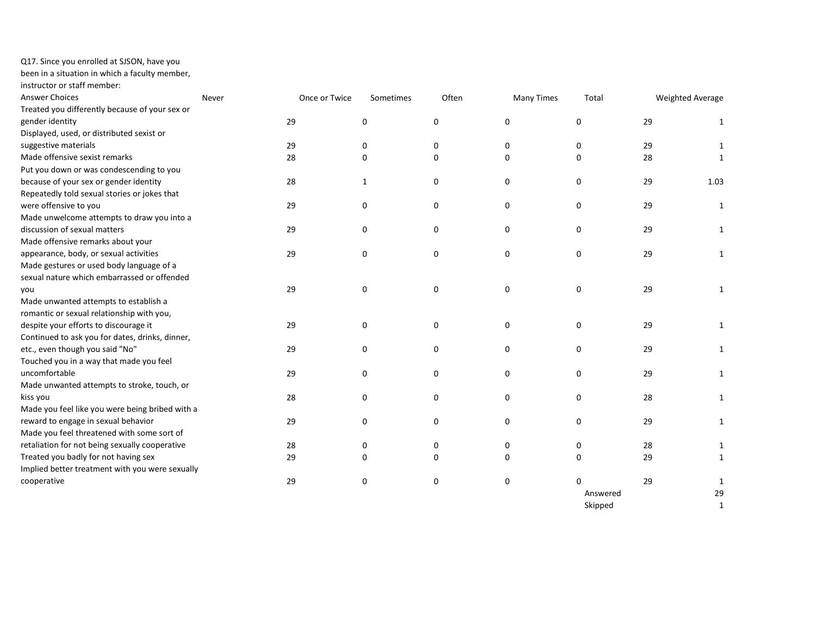Q17. Since you enrolled at SJSON, have you

been in a situation in which a faculty member,

instructor or staff member:

| <b>Answer Choices</b>                           | Never | Once or Twice | Sometimes    | Often    | <b>Many Times</b> | Total    | Weighted Average |              |
|-------------------------------------------------|-------|---------------|--------------|----------|-------------------|----------|------------------|--------------|
| Treated you differently because of your sex or  |       |               |              |          |                   |          |                  |              |
| gender identity                                 | 29    |               | 0            | 0        | 0                 | 0        | 29               | 1            |
| Displayed, used, or distributed sexist or       |       |               |              |          |                   |          |                  |              |
| suggestive materials                            | 29    |               | 0            | 0        | 0                 | 0        | 29               | 1            |
| Made offensive sexist remarks                   | 28    |               | 0            | 0        | 0                 | $\Omega$ | 28               | 1            |
| Put you down or was condescending to you        |       |               |              |          |                   |          |                  |              |
| because of your sex or gender identity          | 28    |               | $\mathbf{1}$ | 0        | 0                 | 0        | 29               | 1.03         |
| Repeatedly told sexual stories or jokes that    |       |               |              |          |                   |          |                  |              |
| were offensive to you                           | 29    |               | 0            | 0        | 0                 | 0        | 29               | 1            |
| Made unwelcome attempts to draw you into a      |       |               |              |          |                   |          |                  |              |
| discussion of sexual matters                    | 29    |               | 0            | 0        | 0                 | 0        | 29               | $\mathbf{1}$ |
| Made offensive remarks about your               |       |               |              |          |                   |          |                  |              |
| appearance, body, or sexual activities          | 29    |               | 0            | 0        | 0                 | 0        | 29               | $\mathbf{1}$ |
| Made gestures or used body language of a        |       |               |              |          |                   |          |                  |              |
| sexual nature which embarrassed or offended     |       |               |              |          |                   |          |                  |              |
| you                                             | 29    |               | 0            | 0        | 0                 | 0        | 29               | $\mathbf{1}$ |
| Made unwanted attempts to establish a           |       |               |              |          |                   |          |                  |              |
| romantic or sexual relationship with you,       |       |               |              |          |                   |          |                  |              |
| despite your efforts to discourage it           | 29    |               | 0            | 0        | 0                 | 0        | 29               | $\mathbf{1}$ |
| Continued to ask you for dates, drinks, dinner, |       |               |              |          |                   |          |                  |              |
| etc., even though you said "No"                 | 29    |               | 0            | 0        | 0                 | 0        | 29               | $\mathbf{1}$ |
| Touched you in a way that made you feel         |       |               |              |          |                   |          |                  |              |
| uncomfortable                                   | 29    |               | 0            | 0        | 0                 | 0        | 29               | 1            |
| Made unwanted attempts to stroke, touch, or     |       |               |              |          |                   |          |                  |              |
| kiss you                                        | 28    |               | 0            | 0        | 0                 | 0        | 28               | 1            |
| Made you feel like you were being bribed with a |       |               |              |          |                   |          |                  |              |
| reward to engage in sexual behavior             | 29    |               | 0            | 0        | 0                 | 0        | 29               | $\mathbf{1}$ |
| Made you feel threatened with some sort of      |       |               |              |          |                   |          |                  |              |
| retaliation for not being sexually cooperative  | 28    |               | 0            | 0        | 0                 | 0        | 28               | 1            |
| Treated you badly for not having sex            | 29    |               | 0            | $\Omega$ | 0                 | 0        | 29               | $\mathbf{1}$ |
| Implied better treatment with you were sexually |       |               |              |          |                   |          |                  |              |
| cooperative                                     | 29    |               | 0            | 0        | 0                 | $\Omega$ | 29               | 1            |
|                                                 |       |               |              |          |                   | Answered |                  | 29           |
|                                                 |       |               |              |          |                   | Skipped  |                  | 1            |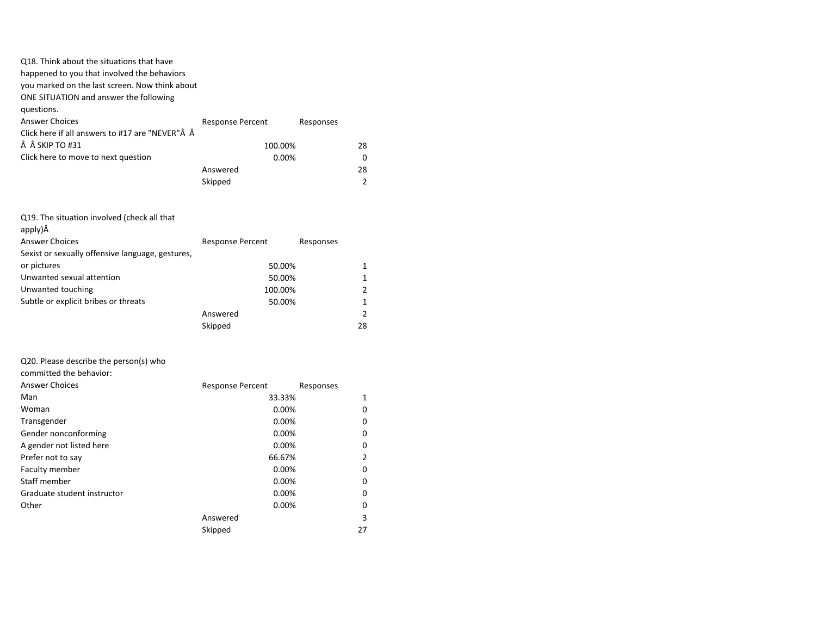| Q18. Think about the situations that have       |                         |           |              |
|-------------------------------------------------|-------------------------|-----------|--------------|
| happened to you that involved the behaviors     |                         |           |              |
| you marked on the last screen. Now think about  |                         |           |              |
| ONE SITUATION and answer the following          |                         |           |              |
| questions.                                      |                         |           |              |
| <b>Answer Choices</b>                           | <b>Response Percent</b> | Responses |              |
| Click here if all answers to #17 are "NEVER"Â Â |                         |           |              |
| $\hat{A}$ $\hat{A}$ SKIP TO #31                 | 100.00%                 |           | 28           |
| Click here to move to next question             | 0.00%                   |           | <sup>0</sup> |
|                                                 | Answered                |           | 28           |
|                                                 | Skipped                 |           | 2            |
|                                                 |                         |           |              |
|                                                 |                         |           |              |
| Q19. The situation involved (check all that     |                         |           |              |
| apply)Â                                         |                         |           |              |
| Answer Choices                                  | Recnonce Perrent        | Recnonces |              |

| <b>ILCONATION</b> LETTER | <b>ITCSPOITS</b> |                                       |
|--------------------------|------------------|---------------------------------------|
|                          |                  |                                       |
|                          |                  |                                       |
|                          |                  |                                       |
|                          |                  |                                       |
|                          |                  |                                       |
| Answered                 |                  |                                       |
| Skipped                  | 28               |                                       |
|                          |                  | 50.00%<br>50.00%<br>100.00%<br>50.00% |

# Q20. Please describe the person(s) who

committed the behavior:

| <b>Answer Choices</b>       | <b>Response Percent</b> | Responses |
|-----------------------------|-------------------------|-----------|
| Man                         | 33.33%                  | 1         |
| Woman                       | 0.00%                   | 0         |
| Transgender                 | 0.00%                   | 0         |
| Gender nonconforming        | 0.00%                   | 0         |
| A gender not listed here    | 0.00%                   | 0         |
| Prefer not to say           | 66.67%                  | 2         |
| Faculty member              | 0.00%                   | 0         |
| Staff member                | 0.00%                   | 0         |
| Graduate student instructor | 0.00%                   | 0         |
| Other                       | 0.00%                   | 0         |
|                             | Answered                | 3         |
|                             | Skipped                 | 27        |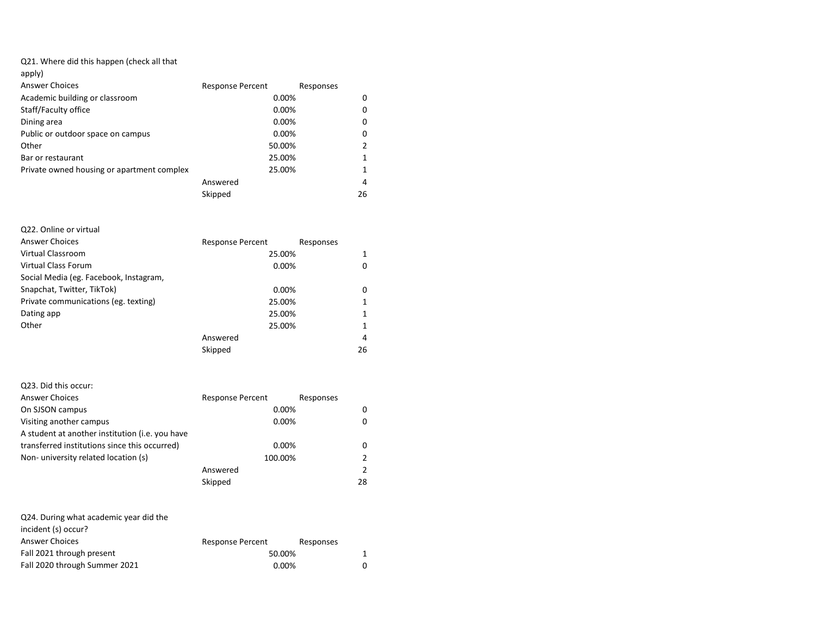## Q21. Where did this happen (check all that

| apply)                                     |                         |           |
|--------------------------------------------|-------------------------|-----------|
| Answer Choices                             | <b>Response Percent</b> | Responses |
| Academic building or classroom             | 0.00%                   | 0         |
| Staff/Faculty office                       | 0.00%                   | 0         |
| Dining area                                | 0.00%                   | 0         |
| Public or outdoor space on campus          | 0.00%                   | 0         |
| Other                                      | 50.00%                  | 2         |
| Bar or restaurant                          | 25.00%                  | 1         |
| Private owned housing or apartment complex | 25.00%                  | 1         |
|                                            | Answered                | 4         |
|                                            | Skipped                 | 26        |

# Q22. Online or virtual Answer Choices **Response Percent** Responses Virtual Classroom 25.00% 1 Virtual Class Forum and the contract of the contract of the contract of the contract of the contract of the contract of the contract of the contract of the contract of the contract of the contract of the contract of the co Social Media (eg. Facebook, Instagram, Snapchat, Twitter, TikTok) 0.00% 0.00% Private communications (eg. texting) 25.00% 1 Dating app 25.00% 1 Other 25.00% and 25.00% and 25.00% and 25.00% and 25.00% and 25.00% and 25.00% and 25.00% and 25.00% and 25.00% and 25.00% and 25.00% and 25.00% and 25.00% and 25.00% and 25.00% and 25.00% and 25.00% and 25.00% and 25.00% Answered 4 Skipped 26

| Q23. Did this occur:                            |                         |           |    |
|-------------------------------------------------|-------------------------|-----------|----|
| <b>Answer Choices</b>                           | <b>Response Percent</b> | Responses |    |
| On SJSON campus                                 | $0.00\%$                |           | 0  |
| Visiting another campus                         | $0.00\%$                |           |    |
| A student at another institution (i.e. you have |                         |           |    |
| transferred institutions since this occurred)   | 0.00%                   |           | 0  |
| Non-university related location (s)             | 100.00%                 |           |    |
|                                                 | Answered                |           | 2  |
|                                                 | Skipped                 |           | 28 |

| Q24. During what academic year did the |                         |           |
|----------------------------------------|-------------------------|-----------|
| incident (s) occur?                    |                         |           |
| <b>Answer Choices</b>                  | <b>Response Percent</b> | Responses |
| Fall 2021 through present              | 50.00%                  | 1         |
| Fall 2020 through Summer 2021          | $0.00\%$                | 0         |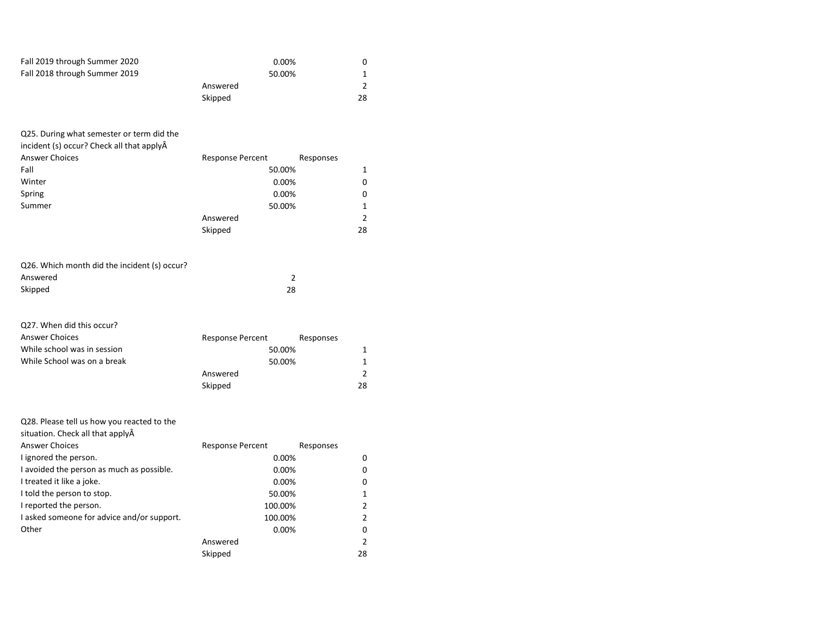| Fall 2019 through Summer 2020<br>Fall 2018 through Summer 2019                                                                                                                                                                                                                                                            | 0.00%<br>50.00%<br>Answered<br>Skipped                                                                             | 0<br>$\mathbf{1}$<br>$\overline{2}$<br>28                                                                 |
|---------------------------------------------------------------------------------------------------------------------------------------------------------------------------------------------------------------------------------------------------------------------------------------------------------------------------|--------------------------------------------------------------------------------------------------------------------|-----------------------------------------------------------------------------------------------------------|
| Q25. During what semester or term did the<br>incident (s) occur? Check all that applyÂ<br><b>Answer Choices</b><br>Fall<br>Winter<br>Spring<br>Summer                                                                                                                                                                     | <b>Response Percent</b><br>50.00%<br>0.00%<br>0.00%<br>50.00%<br>Answered<br>Skipped                               | Responses<br>$\mathbf{1}$<br>$\Omega$<br>0<br>$\mathbf{1}$<br>$\overline{2}$<br>28                        |
| Q26. Which month did the incident (s) occur?<br>Answered<br>Skipped                                                                                                                                                                                                                                                       | $\overline{2}$<br>28                                                                                               |                                                                                                           |
| Q27. When did this occur?<br><b>Answer Choices</b><br>While school was in session<br>While School was on a break                                                                                                                                                                                                          | <b>Response Percent</b><br>50.00%<br>50.00%<br>Answered<br>Skipped                                                 | Responses<br>$\mathbf{1}$<br>$\mathbf{1}$<br>$\overline{2}$<br>28                                         |
| Q28. Please tell us how you reacted to the<br>situation. Check all that applyÂ<br><b>Answer Choices</b><br>I ignored the person.<br>I avoided the person as much as possible.<br>I treated it like a joke.<br>I told the person to stop.<br>I reported the person.<br>I asked someone for advice and/or support.<br>Other | <b>Response Percent</b><br>0.00%<br>0.00%<br>0.00%<br>50.00%<br>100.00%<br>100.00%<br>0.00%<br>Answered<br>Skipped | Responses<br>0<br>0<br>0<br>$\mathbf{1}$<br>$\overline{2}$<br>$\overline{2}$<br>0<br>$\overline{2}$<br>28 |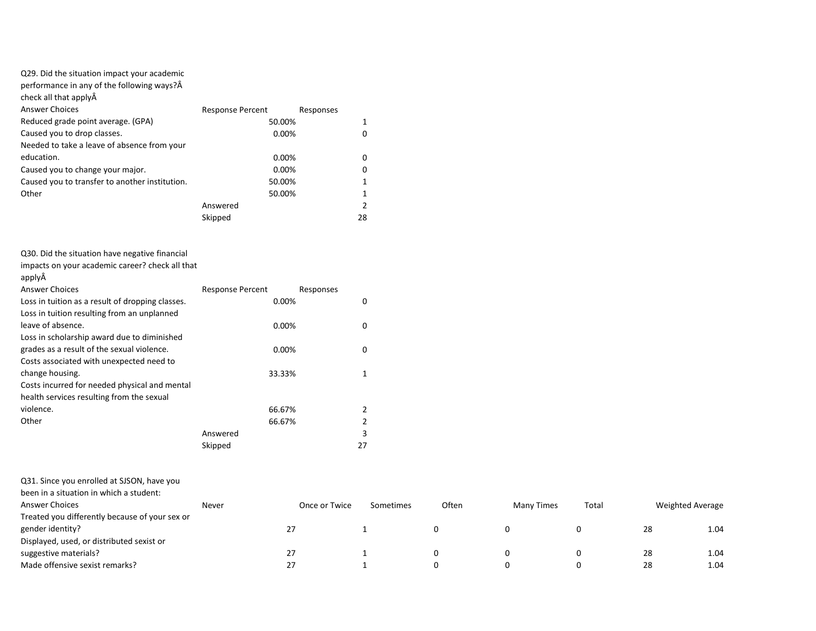## Q29. Did the situation impact your academic

performance in any of the following ways?

| check all that applyA                          |                         |           |               |
|------------------------------------------------|-------------------------|-----------|---------------|
| <b>Answer Choices</b>                          | <b>Response Percent</b> | Responses |               |
| Reduced grade point average. (GPA)             | 50.00%                  |           |               |
| Caused you to drop classes.                    | 0.00%                   |           |               |
| Needed to take a leave of absence from your    |                         |           |               |
| education.                                     | 0.00%                   |           | 0             |
| Caused you to change your major.               | 0.00%                   |           | 0             |
| Caused you to transfer to another institution. | 50.00%                  |           |               |
| Other                                          | 50.00%                  |           |               |
|                                                | Answered                |           | $\mathcal{P}$ |
|                                                | Skipped                 |           | 28            |

Q30. Did the situation have negative financial

impacts on your academic career? check all that

|--|--|

| <b>Answer Choices</b>                            | <b>Response Percent</b> | Responses |               |
|--------------------------------------------------|-------------------------|-----------|---------------|
| Loss in tuition as a result of dropping classes. |                         | 0.00%     | 0             |
| Loss in tuition resulting from an unplanned      |                         |           |               |
| leave of absence.                                |                         | 0.00%     | 0             |
| Loss in scholarship award due to diminished      |                         |           |               |
| grades as a result of the sexual violence.       |                         | 0.00%     | 0             |
| Costs associated with unexpected need to         |                         |           |               |
| change housing.                                  |                         | 33.33%    |               |
| Costs incurred for needed physical and mental    |                         |           |               |
| health services resulting from the sexual        |                         |           |               |
| violence.                                        |                         | 66.67%    | $\mathcal{P}$ |
| Other                                            |                         | 66.67%    |               |
|                                                  | Answered                |           | 3             |
|                                                  | Skipped                 |           | 27            |

Q31. Since you enrolled at SJSON, have you

| as I. Since 199 cm once at 3390 m, nave 199    |       |               |           |       |            |       |                         |      |
|------------------------------------------------|-------|---------------|-----------|-------|------------|-------|-------------------------|------|
| been in a situation in which a student:        |       |               |           |       |            |       |                         |      |
| Answer Choices                                 | Never | Once or Twice | Sometimes | Often | Many Times | Total | <b>Weighted Average</b> |      |
| Treated you differently because of your sex or |       |               |           |       |            |       |                         |      |
| gender identity?                               |       | 27            |           |       |            | 0     | 28                      | 1.04 |
| Displayed, used, or distributed sexist or      |       |               |           |       |            |       |                         |      |
| suggestive materials?                          |       | 27            |           |       |            | 0     | 28                      | 1.04 |
| Made offensive sexist remarks?                 |       | 27            |           |       |            | 0     | 28                      | 1.04 |
|                                                |       |               |           |       |            |       |                         |      |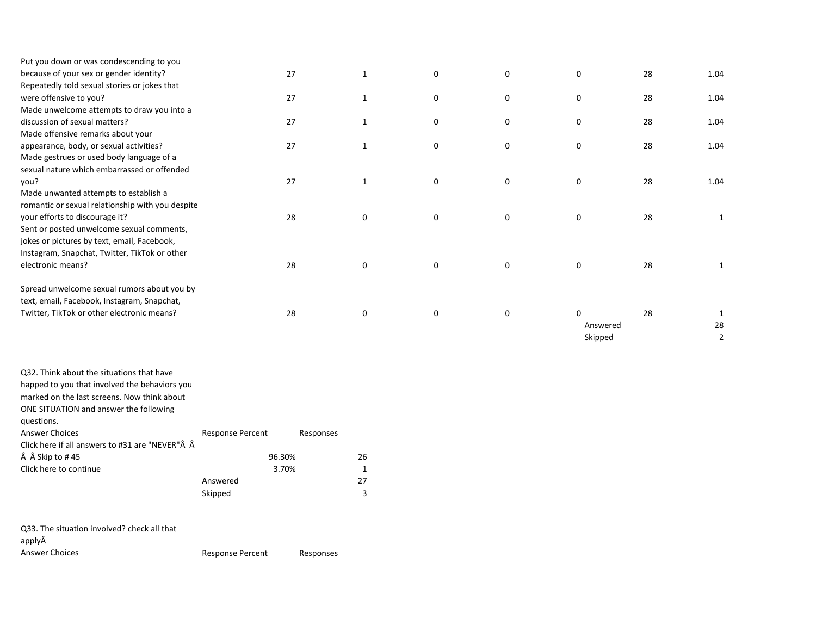| 27 | $\mathbf{1}$ | $\mathbf 0$  | 0           | $\mathbf 0$  | 28 | 1.04         |
|----|--------------|--------------|-------------|--------------|----|--------------|
|    |              |              |             |              |    |              |
| 27 | $\mathbf{1}$ | 0            | 0           | $\mathbf 0$  | 28 | 1.04         |
|    |              |              |             |              |    |              |
| 27 | 1            | 0            | 0           | 0            | 28 | 1.04         |
|    |              |              |             |              |    |              |
| 27 | 1            | $\mathbf 0$  | 0           | $\mathbf 0$  | 28 | 1.04         |
|    |              |              |             |              |    |              |
|    |              |              |             |              |    |              |
| 27 | $\mathbf{1}$ | 0            | 0           | 0            | 28 | 1.04         |
|    |              |              |             |              |    |              |
|    |              |              |             |              |    |              |
| 28 | 0            | $\mathbf{0}$ | $\mathbf 0$ | $\mathbf 0$  | 28 | 1            |
|    |              |              |             |              |    |              |
|    |              |              |             |              |    |              |
|    |              |              |             |              |    |              |
| 28 | 0            | $\mathbf{0}$ | $\mathbf 0$ | $\mathbf 0$  | 28 | 1            |
|    |              |              |             |              |    |              |
|    |              |              |             |              |    |              |
| 28 | 0            | 0            | 0           | 0<br>Skipped | 28 | 1<br>28<br>2 |
|    |              |              |             |              |    | Answered     |

| Q32. Think about the situations that have       |                         |           |    |
|-------------------------------------------------|-------------------------|-----------|----|
| happed to you that involved the behaviors you   |                         |           |    |
| marked on the last screens. Now think about     |                         |           |    |
| ONE SITUATION and answer the following          |                         |           |    |
| questions.                                      |                         |           |    |
| <b>Answer Choices</b>                           | <b>Response Percent</b> | Responses |    |
| Click here if all answers to #31 are "NEVER"Â Â |                         |           |    |
| Skip to #45                                     | 96.30%                  |           | 26 |
| Click here to continue                          | 3.70%                   |           | 1  |
|                                                 | Answered                |           | 27 |
|                                                 | Skipped                 |           | 3  |
|                                                 |                         |           |    |
|                                                 |                         |           |    |

| Q33. The situation involved? check all that |                  |           |
|---------------------------------------------|------------------|-----------|
| applyÂ                                      |                  |           |
| Answer Choices                              | Response Percent | Responses |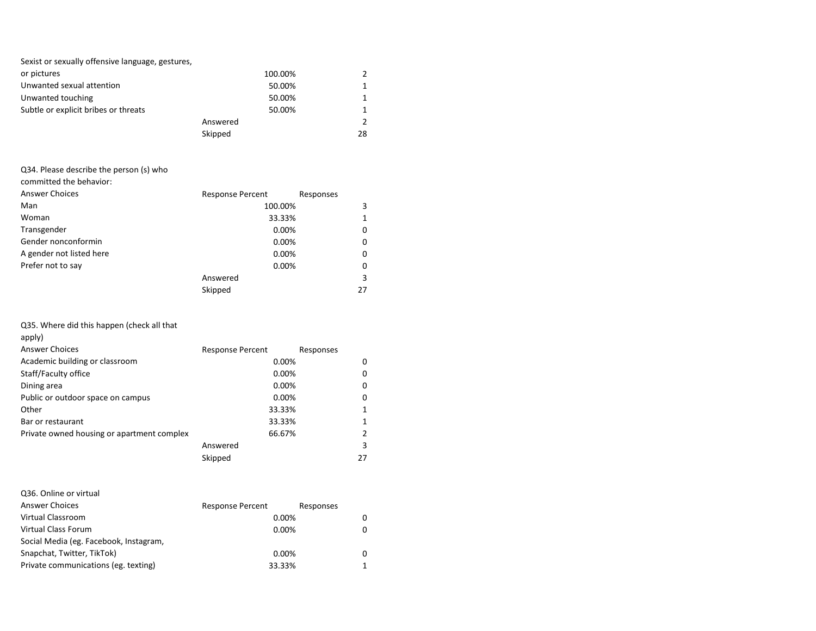| Sexist or sexually offensive language, gestures, |          |               |
|--------------------------------------------------|----------|---------------|
| or pictures                                      | 100.00%  | 2             |
| Unwanted sexual attention                        | 50.00%   | 1             |
| Unwanted touching                                | 50.00%   | 1             |
| Subtle or explicit bribes or threats             | 50.00%   | 1             |
|                                                  | Answered | $\mathcal{P}$ |
|                                                  | Skipped  | 28            |

# Q34. Please describe the person (s) who

committed the behavior:

| <b>Answer Choices</b>    | <b>Response Percent</b> | Responses |
|--------------------------|-------------------------|-----------|
| Man                      | 100.00%                 | 3         |
| Woman                    | 33.33%                  | 1         |
| Transgender              | 0.00%                   | 0         |
| Gender nonconformin      | 0.00%                   | 0         |
| A gender not listed here | 0.00%                   | 0         |
| Prefer not to say        | 0.00%                   | 0         |
|                          | Answered                | 3         |
|                          | Skipped                 | 27        |

Q35. Where did this happen (check all that

| apply)                                     |                         |           |
|--------------------------------------------|-------------------------|-----------|
| <b>Answer Choices</b>                      | <b>Response Percent</b> | Responses |
| Academic building or classroom             | 0.00%                   | 0         |
| Staff/Faculty office                       | $0.00\%$                | 0         |
| Dining area                                | $0.00\%$                | 0         |
| Public or outdoor space on campus          | $0.00\%$                | 0         |
| Other                                      | 33.33%                  | 1         |
| Bar or restaurant                          | 33.33%                  | 1         |
| Private owned housing or apartment complex | 66.67%                  | 2         |
|                                            | Answered                | 3         |
|                                            | Skipped                 | 27        |

|  |  |  | Q36. Online or virtual |
|--|--|--|------------------------|
|--|--|--|------------------------|

| <b>Answer Choices</b>                  | <b>Response Percent</b> | Responses |
|----------------------------------------|-------------------------|-----------|
| Virtual Classroom                      | $0.00\%$                |           |
| Virtual Class Forum                    | $0.00\%$                |           |
| Social Media (eg. Facebook, Instagram, |                         |           |
| Snapchat, Twitter, TikTok)             | 0.00%                   |           |
| Private communications (eg. texting)   | 33.33%                  |           |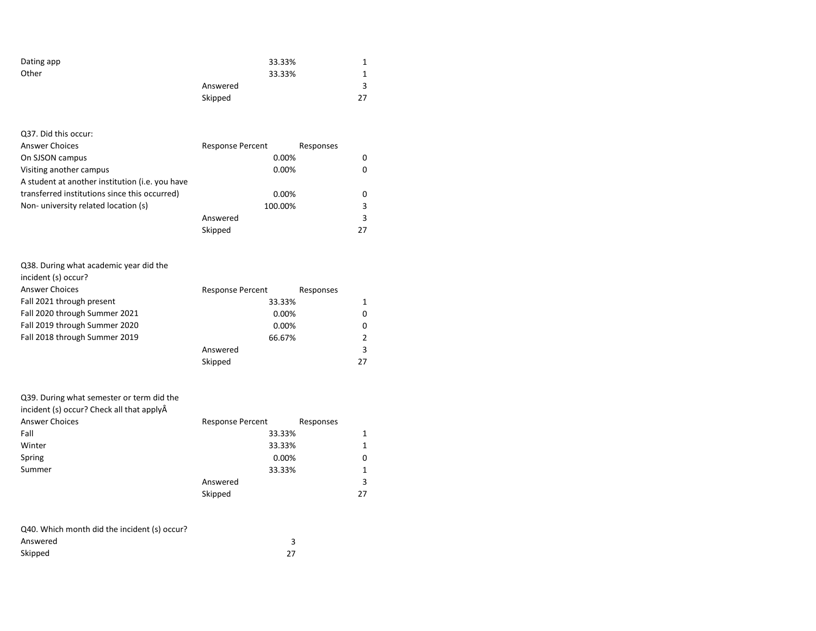| Dating app | 33.33%   |    |
|------------|----------|----|
| Other      | 33.33%   |    |
|            | Answered | 3  |
|            | Skipped  | 27 |

| Q37. Did this occur:                            |                         |           |    |
|-------------------------------------------------|-------------------------|-----------|----|
| <b>Answer Choices</b>                           | <b>Response Percent</b> | Responses |    |
| On SJSON campus                                 | 0.00%                   |           | 0  |
| Visiting another campus                         | 0.00%                   |           |    |
| A student at another institution (i.e. you have |                         |           |    |
| transferred institutions since this occurred)   | 0.00%                   |           | 0  |
| Non-university related location (s)             | 100.00%                 |           | 3  |
|                                                 | Answered                |           | 3  |
|                                                 | Skipped                 |           | 27 |

| Q38. During what academic year did the |                         |
|----------------------------------------|-------------------------|
| incident (s) occur?                    |                         |
| <b>Answer Choices</b>                  | <b>Response Percent</b> |
| Fall 2021 through present              |                         |
| <b>Fall 2020 through Summer 2021</b>   |                         |

| Fall 2021 through present     | 33.33%   |    |
|-------------------------------|----------|----|
| Fall 2020 through Summer 2021 | 0.00%    |    |
| Fall 2019 through Summer 2020 | 0.00%    |    |
| Fall 2018 through Summer 2019 | 66.67%   |    |
|                               | Answered | 3  |
|                               | Skipped  | 27 |

Responses

| <b>Response Percent</b> | Responses                           |
|-------------------------|-------------------------------------|
|                         |                                     |
|                         |                                     |
|                         | 0                                   |
|                         |                                     |
| Answered                | 3                                   |
| Skipped                 | 27                                  |
|                         | 33.33%<br>33.33%<br>0.00%<br>33.33% |

| Q40. Which month did the incident (s) occur? |    |
|----------------------------------------------|----|
| Answered                                     |    |
| Skipped                                      | 27 |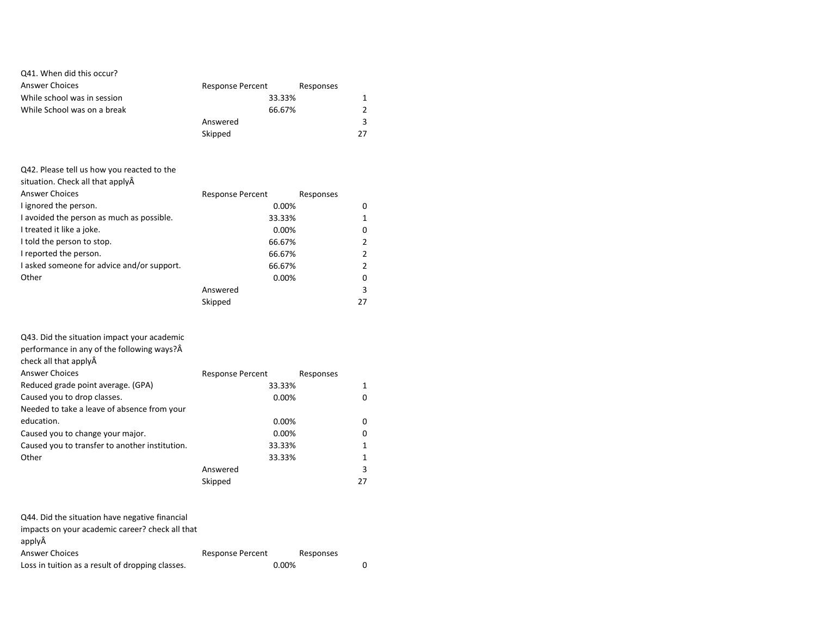### Q41. When did this occur?

| Answer Choices              | <b>Response Percent</b> | Responses |
|-----------------------------|-------------------------|-----------|
| While school was in session | 33.33%                  |           |
| While School was on a break | 66.67%                  |           |
|                             | Answered                |           |
|                             | Skipped                 | 27        |

| Q42. Please tell us how you reacted to the |                                      |    |
|--------------------------------------------|--------------------------------------|----|
| situation. Check all that applyA           |                                      |    |
| <b>Answer Choices</b>                      | <b>Response Percent</b><br>Responses |    |
| I ignored the person.                      | $0.00\%$                             | 0  |
| I avoided the person as much as possible.  | 33.33%                               | 1  |
| I treated it like a joke.                  | $0.00\%$                             | 0  |
| I told the person to stop.                 | 66.67%                               | 2  |
| I reported the person.                     | 66.67%                               | 2  |
| I asked someone for advice and/or support. | 66.67%                               | 2  |
| Other                                      | 0.00%                                | 0  |
|                                            | Answered                             | 3  |
|                                            | Skipped                              | 27 |
|                                            |                                      |    |

| Q43. Did the situation impact your academic<br>performance in any of the following ways? Â |                         |           |
|--------------------------------------------------------------------------------------------|-------------------------|-----------|
|                                                                                            |                         |           |
| check all that applyÂ                                                                      |                         |           |
| <b>Answer Choices</b>                                                                      | <b>Response Percent</b> | Responses |
| Reduced grade point average. (GPA)                                                         | 33.33%                  |           |
| Caused you to drop classes.                                                                | $0.00\%$                | O         |
| Needed to take a leave of absence from your                                                |                         |           |
| education.                                                                                 | 0.00%                   | 0         |
| Caused you to change your major.                                                           | 0.00%                   | 0         |
| Caused you to transfer to another institution.                                             | 33.33%                  |           |
| Other                                                                                      | 33.33%                  |           |
|                                                                                            | Answered                | 3         |
|                                                                                            | Skipped                 | 27        |

| Q44. Did the situation have negative financial                    |                         |           |  |  |
|-------------------------------------------------------------------|-------------------------|-----------|--|--|
| impacts on your academic career? check all that                   |                         |           |  |  |
| applyÂ                                                            |                         |           |  |  |
| <b>Answer Choices</b>                                             | <b>Response Percent</b> | Responses |  |  |
| Loss in tuition as a result of dropping classes.<br>$0.00\%$<br>0 |                         |           |  |  |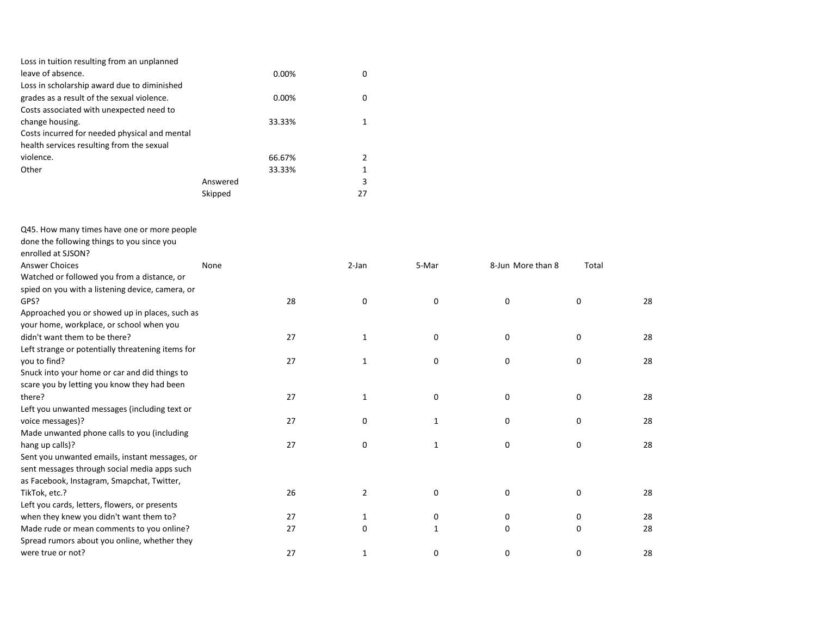| Loss in tuition resulting from an unplanned   |          |        |    |
|-----------------------------------------------|----------|--------|----|
| leave of absence.                             |          | 0.00%  | 0  |
| Loss in scholarship award due to diminished   |          |        |    |
| grades as a result of the sexual violence.    |          | 0.00%  | 0  |
| Costs associated with unexpected need to      |          |        |    |
| change housing.                               |          | 33.33% |    |
| Costs incurred for needed physical and mental |          |        |    |
| health services resulting from the sexual     |          |        |    |
| violence.                                     |          | 66.67% | 2  |
| Other                                         |          | 33.33% | 1  |
|                                               | Answered |        | 3  |
|                                               | Skipped  |        | 27 |

Q45. How many times have one or more people

| None                                              |                                                          | 5-Mar        | 8-Jun More than 8 | Total    |    |
|---------------------------------------------------|----------------------------------------------------------|--------------|-------------------|----------|----|
|                                                   |                                                          |              |                   |          |    |
| spied on you with a listening device, camera, or  |                                                          |              |                   |          |    |
|                                                   | 0                                                        | 0            | 0                 | 0        | 28 |
| Approached you or showed up in places, such as    |                                                          |              |                   |          |    |
|                                                   |                                                          |              |                   |          |    |
|                                                   | 1                                                        | 0            | 0                 | 0        | 28 |
| Left strange or potentially threatening items for |                                                          |              |                   |          |    |
|                                                   | $\mathbf{1}$                                             | 0            | 0                 | 0        | 28 |
|                                                   |                                                          |              |                   |          |    |
|                                                   |                                                          |              |                   |          |    |
|                                                   | $\mathbf{1}$                                             | 0            | 0                 | 0        | 28 |
|                                                   |                                                          |              |                   |          |    |
|                                                   | 0                                                        | $\mathbf{1}$ | 0                 | 0        | 28 |
|                                                   |                                                          |              |                   |          |    |
|                                                   | 0                                                        | $\mathbf{1}$ | 0                 | 0        | 28 |
| Sent you unwanted emails, instant messages, or    |                                                          |              |                   |          |    |
|                                                   |                                                          |              |                   |          |    |
|                                                   |                                                          |              |                   |          |    |
|                                                   | 2                                                        | 0            | 0                 | 0        | 28 |
|                                                   |                                                          |              |                   |          |    |
|                                                   | $\mathbf{1}$                                             | 0            | 0                 | 0        | 28 |
|                                                   | 0                                                        | 1            | 0                 | $\Omega$ | 28 |
|                                                   |                                                          |              |                   |          |    |
|                                                   | 1                                                        | 0            | 0                 | 0        | 28 |
|                                                   | 28<br>27<br>27<br>27<br>27<br>27<br>26<br>27<br>27<br>27 | 2-Jan        |                   |          |    |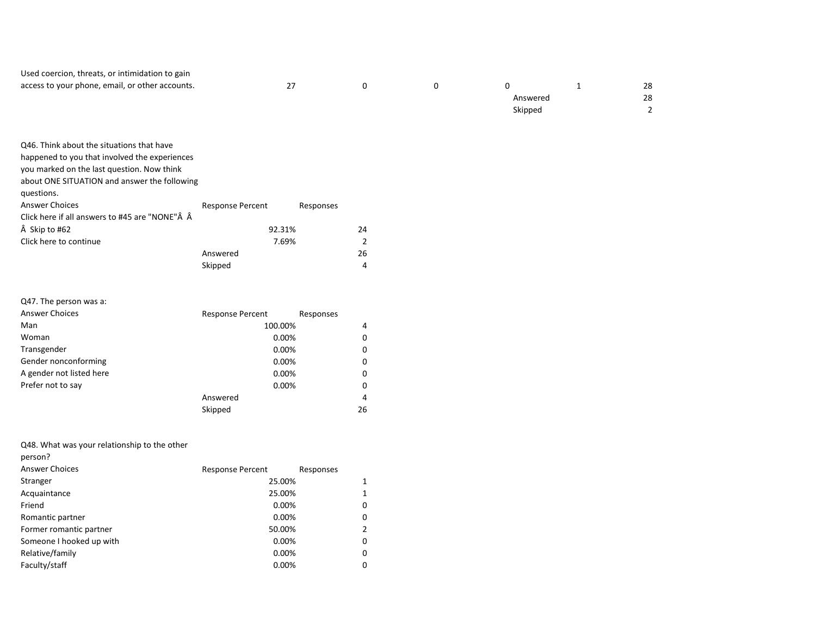| Used coercion, threats, or intimidation to gain |    |  |          |    |
|-------------------------------------------------|----|--|----------|----|
| access to your phone, email, or other accounts. | 27 |  |          | 28 |
|                                                 |    |  | Answered | 28 |
|                                                 |    |  | Skipped  |    |

| Q46. Think about the situations that have      |                         |           |  |
|------------------------------------------------|-------------------------|-----------|--|
| happened to you that involved the experiences  |                         |           |  |
| you marked on the last question. Now think     |                         |           |  |
| about ONE SITUATION and answer the following   |                         |           |  |
| questions.                                     |                         |           |  |
| Answer Choices                                 | <b>Response Percent</b> | Responses |  |
| Click here if all answers to #45 are "NONE"Â Â |                         |           |  |
| A Skip to #62                                  | 92.31%                  | 24        |  |
| Click here to continue                         | 7.69%                   | 2         |  |
|                                                | Answered                | 26        |  |
|                                                | Skipped                 | 4         |  |

| Q47. The person was a:   |                         |           |   |
|--------------------------|-------------------------|-----------|---|
| <b>Answer Choices</b>    | <b>Response Percent</b> | Responses |   |
| Man                      | 100.00%                 |           | 4 |
| Woman                    | 0.00%                   |           | 0 |
| Transgender              | 0.00%                   |           | 0 |
| Gender nonconforming     | 0.00%                   |           | 0 |
| A gender not listed here | 0.00%                   |           | 0 |
| Prefer not to say        | 0.00%                   |           | 0 |
|                          | Answered                |           | 4 |
|                          | Skipped                 | 26        |   |

Q48. What was your relationship to the other

| person? |
|---------|
|---------|

| <b>Answer Choices</b>    | <b>Response Percent</b> | Responses |
|--------------------------|-------------------------|-----------|
| Stranger                 | 25.00%                  |           |
| Acquaintance             | 25.00%                  | 1         |
| Friend                   | 0.00%                   | 0         |
| Romantic partner         | 0.00%                   | 0         |
| Former romantic partner  | 50.00%                  | 2         |
| Someone I hooked up with | 0.00%                   | 0         |
| Relative/family          | 0.00%                   | 0         |
| Faculty/staff            | 0.00%                   | 0         |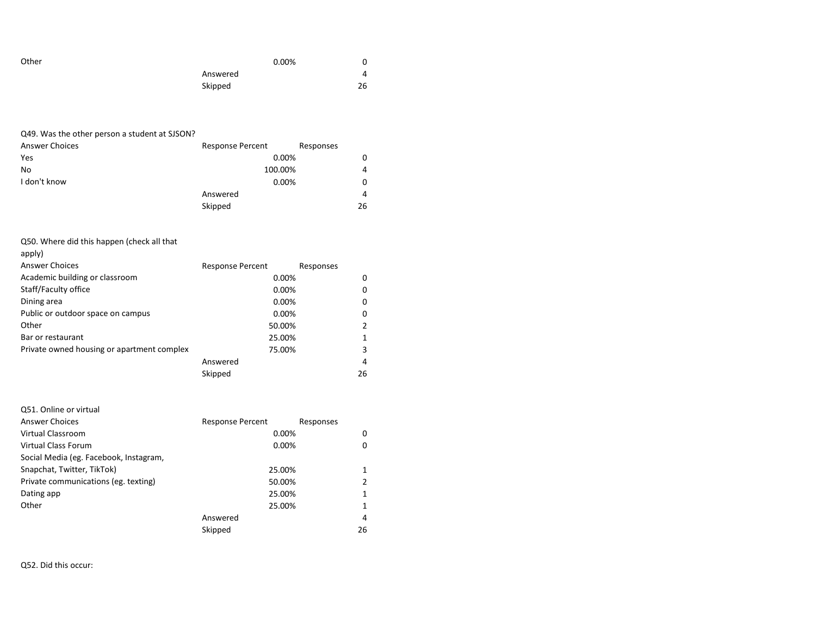| Other | 0.00%    | 0  |
|-------|----------|----|
|       | Answered | 4  |
|       | Skipped  | 26 |

| <b>Answer Choices</b> | <b>Response Percent</b><br>Responses |                |
|-----------------------|--------------------------------------|----------------|
| Yes                   | 0.00%                                | 0              |
| No                    | 100.00%                              | $\overline{a}$ |
| I don't know          | 0.00%                                | 0              |
|                       | Answered                             | $\overline{a}$ |
|                       | Skipped                              | 26             |

Q50. Where did this happen (check all that

| apply)                                     |                         |           |
|--------------------------------------------|-------------------------|-----------|
| Answer Choices                             | <b>Response Percent</b> | Responses |
| Academic building or classroom             | 0.00%                   | 0         |
| Staff/Faculty office                       | 0.00%                   | 0         |
| Dining area                                | 0.00%                   | 0         |
| Public or outdoor space on campus          | $0.00\%$                | 0         |
| Other                                      | 50.00%                  | 2         |
| Bar or restaurant                          | 25.00%                  | 1         |
| Private owned housing or apartment complex | 75.00%                  | 3         |
|                                            | Answered                | 4         |
|                                            | Skipped                 | 26        |

| Q51. Online or virtual                 |                         |           |    |
|----------------------------------------|-------------------------|-----------|----|
| <b>Answer Choices</b>                  | <b>Response Percent</b> | Responses |    |
| Virtual Classroom                      | 0.00%                   |           | 0  |
| Virtual Class Forum                    | 0.00%                   |           | 0  |
| Social Media (eg. Facebook, Instagram, |                         |           |    |
| Snapchat, Twitter, TikTok)             | 25.00%                  |           | 1  |
| Private communications (eg. texting)   | 50.00%                  |           |    |
| Dating app                             | 25.00%                  |           |    |
| Other                                  | 25.00%                  |           |    |
|                                        | Answered                |           | 4  |
|                                        | Skipped                 |           | 26 |

Q52. Did this occur: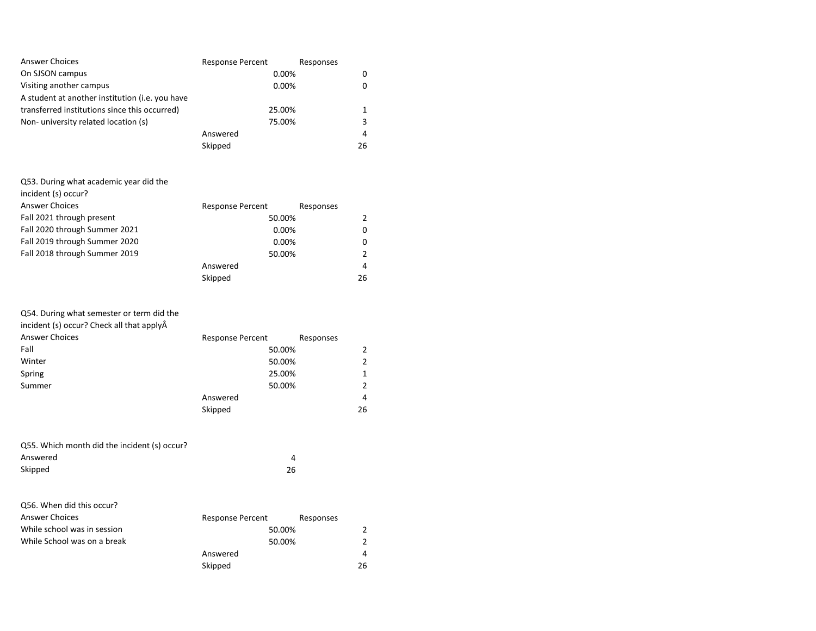| <b>Answer Choices</b>                           | <b>Response Percent</b> | Responses   |
|-------------------------------------------------|-------------------------|-------------|
| On SJSON campus                                 |                         | 0.00%       |
| Visiting another campus                         |                         | 0.00%       |
| A student at another institution (i.e. you have |                         |             |
| transferred institutions since this occurred)   |                         | 25.00%      |
| Non-university related location (s)             |                         | 75.00%<br>3 |
|                                                 | Answered                | 4           |
|                                                 | Skipped                 | 26          |

#### Q53. During what academic year did the

| incident (s) occur?           |                         |               |
|-------------------------------|-------------------------|---------------|
| <b>Answer Choices</b>         | <b>Response Percent</b> | Responses     |
| Fall 2021 through present     | 50.00%                  | $\mathcal{P}$ |
| Fall 2020 through Summer 2021 | 0.00%                   | 0             |
| Fall 2019 through Summer 2020 | 0.00%                   | 0             |
| Fall 2018 through Summer 2019 | 50.00%                  | 2             |
|                               | Answered                | 4             |
|                               | Skipped                 | 26            |

| <b>Response Percent</b> | Responses                            |
|-------------------------|--------------------------------------|
|                         | 2                                    |
|                         | 2                                    |
|                         |                                      |
|                         | 2                                    |
| Answered                | 4                                    |
| Skipped                 | 26                                   |
|                         | 50.00%<br>50.00%<br>25.00%<br>50.00% |

| Q55. Which month did the incident (s) occur? |    |
|----------------------------------------------|----|
| Answered                                     | 4  |
| Skipped                                      | 26 |

| Q56. When did this occur?   |                         |           |
|-----------------------------|-------------------------|-----------|
| <b>Answer Choices</b>       | <b>Response Percent</b> | Responses |
| While school was in session | 50.00%                  |           |
| While School was on a break | 50.00%                  |           |
|                             | Answered                | 4         |
|                             | Skipped                 | 26        |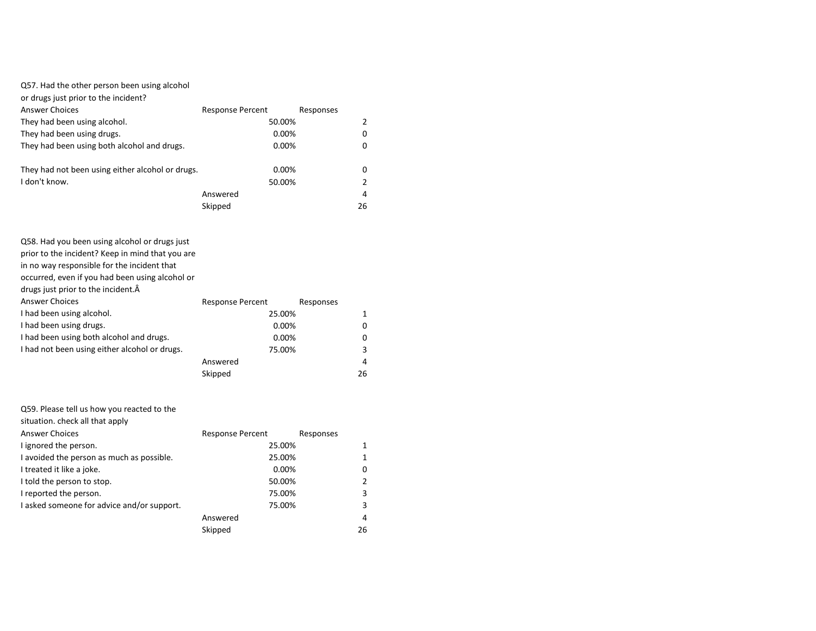or drugs just prior to the incident?

| Answer Choices                                   | <b>Response Percent</b> | Responses |
|--------------------------------------------------|-------------------------|-----------|
| They had been using alcohol.                     | 50.00%                  |           |
| They had been using drugs.                       | 0.00%                   |           |
| They had been using both alcohol and drugs.      | 0.00%                   | 0         |
|                                                  |                         |           |
| They had not been using either alcohol or drugs. | $0.00\%$                | 0         |
| I don't know.                                    | 50.00%                  |           |
|                                                  | Answered                | 4         |
|                                                  | Skipped                 | 26        |

| Q58. Had you been using alcohol or drugs just    |                         |           |    |
|--------------------------------------------------|-------------------------|-----------|----|
| prior to the incident? Keep in mind that you are |                         |           |    |
| in no way responsible for the incident that      |                         |           |    |
| occurred, even if you had been using alcohol or  |                         |           |    |
| drugs just prior to the incident. A              |                         |           |    |
| Answer Choices                                   | <b>Response Percent</b> | Responses |    |
| I had been using alcohol.                        | 25.00%                  |           |    |
| I had been using drugs.                          | 0.00%                   |           | O  |
| I had been using both alcohol and drugs.         | 0.00%                   |           |    |
| I had not been using either alcohol or drugs.    | 75.00%                  |           | 3  |
|                                                  | Answered                |           | 4  |
|                                                  | Skipped                 |           | 26 |
|                                                  |                         |           |    |

| Q59. Please tell us how you reacted to the |                         |           |
|--------------------------------------------|-------------------------|-----------|
| situation. check all that apply            |                         |           |
| <b>Answer Choices</b>                      | <b>Response Percent</b> | Responses |
| I ignored the person.                      | 25.00%                  |           |
| I avoided the person as much as possible.  | 25.00%                  |           |
| I treated it like a joke.                  | 0.00%                   | 0         |
| I told the person to stop.                 | 50.00%                  |           |
| I reported the person.                     | 75.00%                  | 3         |
| I asked someone for advice and/or support. | 75.00%                  | 3         |
|                                            | Answered                | 4         |
|                                            | Skipped                 | 26        |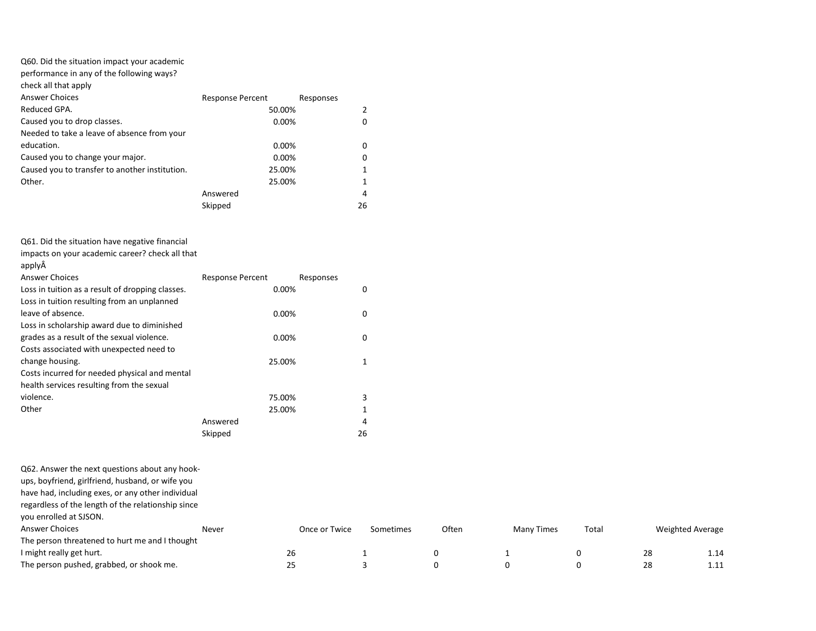| Q60. Did the situation impact your academic    |                         |           |    |
|------------------------------------------------|-------------------------|-----------|----|
| performance in any of the following ways?      |                         |           |    |
| check all that apply                           |                         |           |    |
| <b>Answer Choices</b>                          | <b>Response Percent</b> | Responses |    |
| Reduced GPA.                                   | 50.00%                  |           |    |
| Caused you to drop classes.                    | 0.00%                   |           | 0  |
| Needed to take a leave of absence from your    |                         |           |    |
| education.                                     | 0.00%                   |           | 0  |
| Caused you to change your major.               | 0.00%                   |           | 0  |
| Caused you to transfer to another institution. | 25.00%                  |           |    |
| Other.                                         | 25.00%                  |           |    |
|                                                | Answered                |           | 4  |
|                                                | Skipped                 |           | 26 |
|                                                |                         |           |    |

|  |  |  | Q61. Did the situation have negative financial |  |  |  |
|--|--|--|------------------------------------------------|--|--|--|
|--|--|--|------------------------------------------------|--|--|--|

apply

| <b>Answer Choices</b>                            | <b>Response Percent</b> | Responses |    |
|--------------------------------------------------|-------------------------|-----------|----|
| Loss in tuition as a result of dropping classes. |                         | 0.00%     | 0  |
| Loss in tuition resulting from an unplanned      |                         |           |    |
| leave of absence.                                |                         | 0.00%     | 0  |
| Loss in scholarship award due to diminished      |                         |           |    |
| grades as a result of the sexual violence.       |                         | 0.00%     | 0  |
| Costs associated with unexpected need to         |                         |           |    |
| change housing.                                  |                         | 25.00%    |    |
| Costs incurred for needed physical and mental    |                         |           |    |
| health services resulting from the sexual        |                         |           |    |
| violence.                                        |                         | 75.00%    | 3  |
| Other                                            |                         | 25.00%    |    |
|                                                  | Answered                |           | 4  |
|                                                  | Skipped                 |           | 26 |

Q62. Answer the next questions about any hook-

ups, boyfriend, girlfriend, husband, or wife you

have had, including exes, or any other individual

regardless of the length of the relationship since

you enrolled at SJSON.

| <b>Answer Choices</b>                          | Never | Once or Twice | Sometimes | Often | Times<br>Many | Totai | Weighted Average |                  |
|------------------------------------------------|-------|---------------|-----------|-------|---------------|-------|------------------|------------------|
| The person threatened to hurt me and I thought |       |               |           |       |               |       |                  |                  |
| I might really get hurt.                       |       | 26            |           |       |               |       | 28               | 1.1 <sup>4</sup> |
| The person pushed, grabbed, or shook me.       |       |               |           |       |               |       | 28               | .                |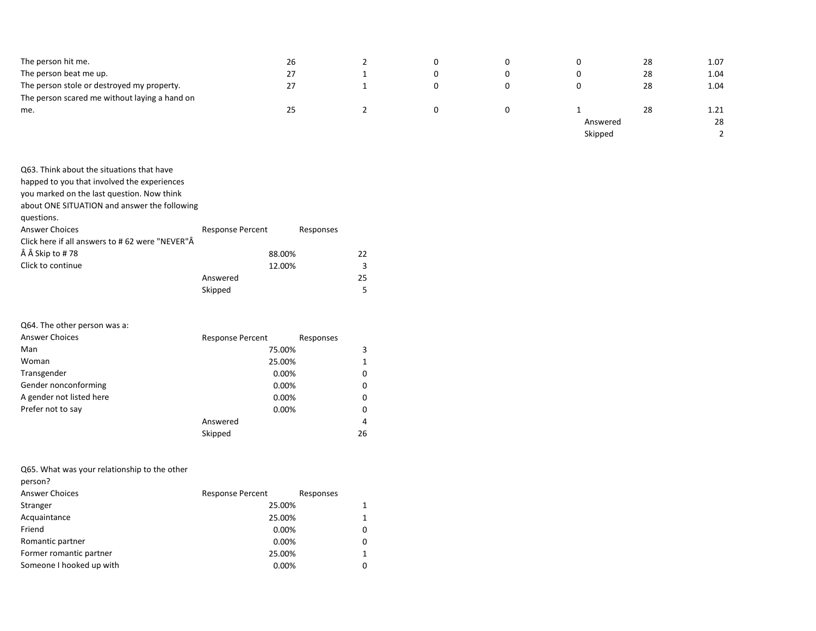| The person hit me.                            | 26 | - | υ |          | 28 | 1.07 |
|-----------------------------------------------|----|---|---|----------|----|------|
| The person beat me up.                        | 27 |   |   |          | 28 | 1.04 |
| The person stole or destroyed my property.    | 27 |   |   |          | 28 | 1.04 |
| The person scared me without laying a hand on |    |   |   |          |    |      |
| me.                                           | 25 |   |   |          | 28 | 1.21 |
|                                               |    |   |   | Answered |    | 28   |
|                                               |    |   |   | Skipped  |    |      |

| Q63. Think about the situations that have      |                         |           |
|------------------------------------------------|-------------------------|-----------|
| happed to you that involved the experiences    |                         |           |
| you marked on the last question. Now think     |                         |           |
| about ONE SITUATION and answer the following   |                         |           |
| questions.                                     |                         |           |
| <b>Answer Choices</b>                          | <b>Response Percent</b> | Responses |
| Click here if all answers to #62 were "NEVER"Â |                         |           |
| Skip to #78                                    | 88.00%                  | 22.       |
| Click to continue                              | 12.00%                  | 3         |
|                                                | Answered                | 25        |
|                                                | Skipped                 | 5         |

## Q64. The other person was a:

| <b>Answer Choices</b>    | <b>Response Percent</b> | Responses |
|--------------------------|-------------------------|-----------|
| Man                      | 75.00%                  | 3         |
| Woman                    | 25.00%                  | 1         |
| Transgender              | 0.00%                   | 0         |
| Gender nonconforming     | 0.00%                   | 0         |
| A gender not listed here | 0.00%                   | 0         |
| Prefer not to say        | 0.00%                   | 0         |
|                          | Answered                | 4         |
|                          | Skipped                 | 26        |

Q65. What was your relationship to the other

|  | 'rson<br>۱ρ |
|--|-------------|
|--|-------------|

| <b>Answer Choices</b>    | <b>Response Percent</b> | Responses |   |
|--------------------------|-------------------------|-----------|---|
| Stranger                 | 25.00%                  |           | 1 |
| Acquaintance             | 25.00%                  |           | 1 |
| Friend                   | 0.00%                   |           | 0 |
| Romantic partner         | 0.00%                   |           | 0 |
| Former romantic partner  | 25.00%                  |           |   |
| Someone I hooked up with | 0.00%                   |           | 0 |
|                          |                         |           |   |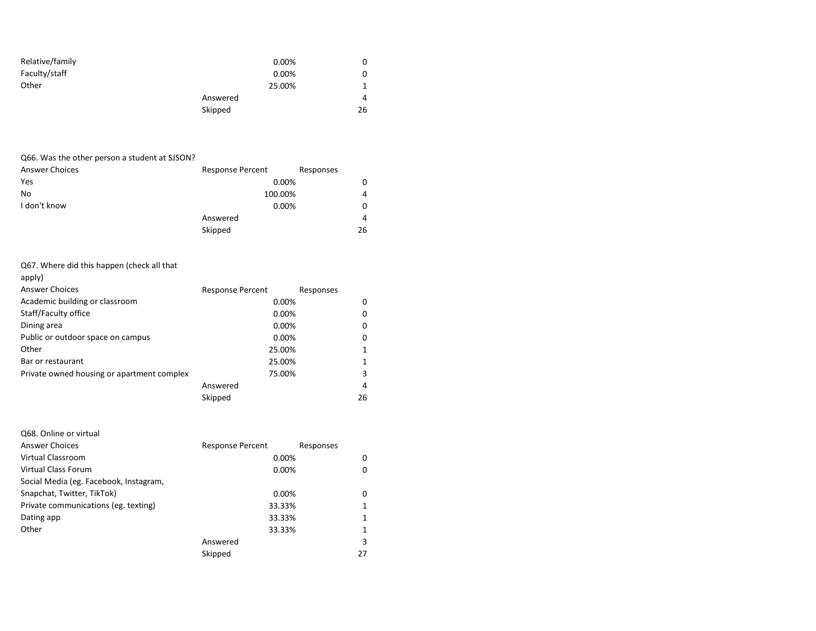| Relative/family | 0.00%    | 0  |
|-----------------|----------|----|
| Faculty/staff   | 0.00%    | 0  |
| Other           | 25.00%   |    |
|                 | Answered | 4  |
|                 | Skipped  | 26 |

## Q66. Was the other person a student at SJSON?

| <b>Answer Choices</b> | <b>Response Percent</b> | Responses |
|-----------------------|-------------------------|-----------|
| Yes                   | 0.00%                   | 0         |
| No                    | 100.00%                 | 4         |
| I don't know          | 0.00%                   | 0         |
|                       | Answered                | 4         |
|                       | Skipped                 | 26        |

## Q67. Where did this happen (check all that

| apply)                                     |                         |           |
|--------------------------------------------|-------------------------|-----------|
| <b>Answer Choices</b>                      | <b>Response Percent</b> | Responses |
| Academic building or classroom             | 0.00%                   | 0         |
| Staff/Faculty office                       | 0.00%                   | 0         |
| Dining area                                | 0.00%                   | 0         |
| Public or outdoor space on campus          | 0.00%                   | 0         |
| Other                                      | 25.00%                  |           |
| Bar or restaurant                          | 25.00%                  | 1         |
| Private owned housing or apartment complex | 75.00%                  | 3         |
|                                            | Answered                | 4         |
|                                            | Skipped                 | 26        |

| Q68. Online or virtual                 |                         |           |
|----------------------------------------|-------------------------|-----------|
| Answer Choices                         | <b>Response Percent</b> | Responses |
| Virtual Classroom                      | 0.00%                   | 0         |
| Virtual Class Forum                    | 0.00%                   | 0         |
| Social Media (eg. Facebook, Instagram, |                         |           |
| Snapchat, Twitter, TikTok)             | 0.00%                   | 0         |
| Private communications (eg. texting)   | 33.33%                  |           |
| Dating app                             | 33.33%                  |           |
| Other                                  | 33.33%                  |           |
|                                        | Answered                | 3         |
|                                        | Skipped                 | 27        |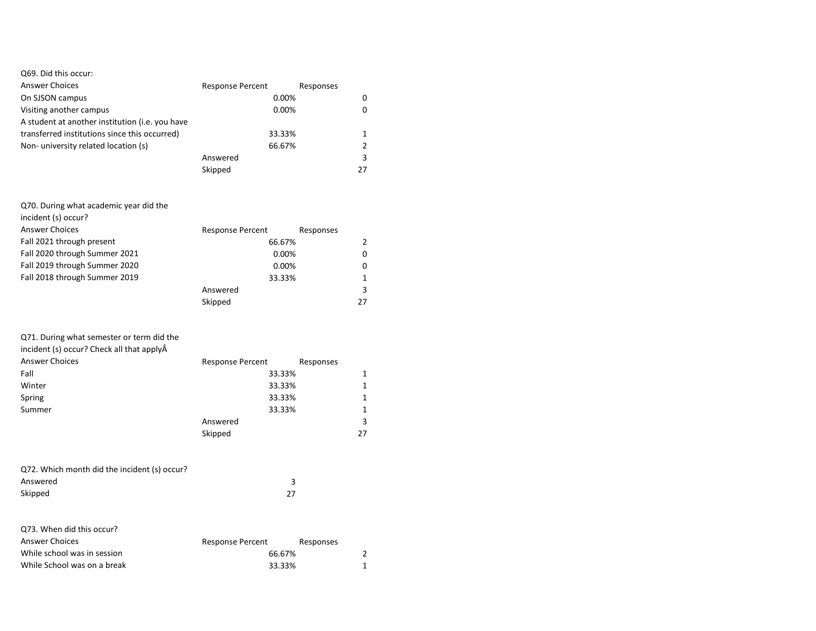| Q69. Did this occur:                            |                         |           |    |
|-------------------------------------------------|-------------------------|-----------|----|
| <b>Answer Choices</b>                           | <b>Response Percent</b> | Responses |    |
| On SJSON campus                                 | 0.00%                   |           | 0  |
| Visiting another campus                         | $0.00\%$                |           |    |
| A student at another institution (i.e. you have |                         |           |    |
| transferred institutions since this occurred)   | 33.33%                  |           |    |
| Non-university related location (s)             | 66.67%                  |           |    |
|                                                 | Answered                |           | 3  |
|                                                 | Skipped                 |           | 27 |

#### Q70. During what academic year did the

| incident (s) occur?           |                         |           |
|-------------------------------|-------------------------|-----------|
| <b>Answer Choices</b>         | <b>Response Percent</b> | Responses |
| Fall 2021 through present     | 66.67%                  |           |
| Fall 2020 through Summer 2021 | 0.00%                   | 0         |
| Fall 2019 through Summer 2020 | 0.00%                   | 0         |
| Fall 2018 through Summer 2019 | 33.33%                  |           |
|                               | Answered                | 3         |
|                               | Skipped                 | 27        |

## Q71. During what semester or term did the

| incident (s) occur? Check all that applyÂ |                         |              |
|-------------------------------------------|-------------------------|--------------|
| <b>Answer Choices</b>                     | <b>Response Percent</b> | Responses    |
| Fall                                      | 33.33%                  | 1            |
| Winter                                    | 33.33%                  | $\mathbf{1}$ |
| Spring                                    | 33.33%                  | 1            |
| Summer                                    | 33.33%                  | 1            |
|                                           | Answered                | 3            |
|                                           | Skipped                 | 27           |

| Q72. Which month did the incident (s) occur? |    |
|----------------------------------------------|----|
| Answered                                     |    |
| Skipped                                      | 27 |

| Q73. When did this occur?   |                  |           |
|-----------------------------|------------------|-----------|
| <b>Answer Choices</b>       | Response Percent | Responses |
| While school was in session | 66.67%           |           |
| While School was on a break | 33.33%           |           |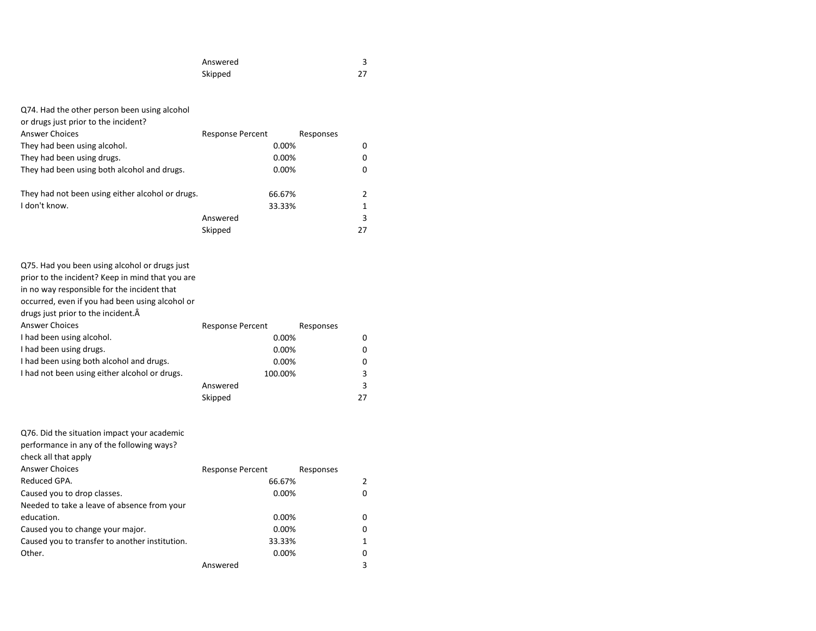| Answered |      |
|----------|------|
| Skipped  | $27$ |

| Q74. Had the other person been using alcohol<br>or drugs just prior to the incident?<br><b>Answer Choices</b><br>They had been using alcohol.                                                                                                                                                                                                                                                                           | <b>Response Percent</b><br>$0.00\%$                                                        | Responses | 0                           |
|-------------------------------------------------------------------------------------------------------------------------------------------------------------------------------------------------------------------------------------------------------------------------------------------------------------------------------------------------------------------------------------------------------------------------|--------------------------------------------------------------------------------------------|-----------|-----------------------------|
|                                                                                                                                                                                                                                                                                                                                                                                                                         | 0.00%                                                                                      |           |                             |
| They had been using drugs.                                                                                                                                                                                                                                                                                                                                                                                              |                                                                                            |           | 0                           |
| They had been using both alcohol and drugs.                                                                                                                                                                                                                                                                                                                                                                             | 0.00%                                                                                      |           | 0                           |
| They had not been using either alcohol or drugs.                                                                                                                                                                                                                                                                                                                                                                        | 66.67%                                                                                     |           | 2                           |
| I don't know.                                                                                                                                                                                                                                                                                                                                                                                                           | 33.33%                                                                                     |           | 1                           |
|                                                                                                                                                                                                                                                                                                                                                                                                                         | Answered                                                                                   |           | 3                           |
|                                                                                                                                                                                                                                                                                                                                                                                                                         | Skipped                                                                                    |           | 27                          |
|                                                                                                                                                                                                                                                                                                                                                                                                                         |                                                                                            |           |                             |
| Q75. Had you been using alcohol or drugs just<br>prior to the incident? Keep in mind that you are<br>in no way responsible for the incident that<br>occurred, even if you had been using alcohol or<br>drugs just prior to the incident.A<br><b>Answer Choices</b><br>I had been using alcohol.<br>I had been using drugs.<br>I had been using both alcohol and drugs.<br>I had not been using either alcohol or drugs. | <b>Response Percent</b><br>$0.00\%$<br>0.00%<br>$0.00\%$<br>100.00%<br>Answered<br>Skipped | Responses | 0<br>0<br>0<br>3<br>3<br>27 |
| Q76. Did the situation impact your academic<br>performance in any of the following ways?<br>check all that apply                                                                                                                                                                                                                                                                                                        |                                                                                            |           |                             |
| <b>Answer Choices</b>                                                                                                                                                                                                                                                                                                                                                                                                   | <b>Response Percent</b>                                                                    | Responses |                             |
| Reduced GPA.                                                                                                                                                                                                                                                                                                                                                                                                            | 66.67%                                                                                     |           | 2                           |
| Caused you to drop classes.                                                                                                                                                                                                                                                                                                                                                                                             | 0.00%                                                                                      |           | 0                           |
| Needed to take a leave of absence from your                                                                                                                                                                                                                                                                                                                                                                             |                                                                                            |           |                             |
| education.                                                                                                                                                                                                                                                                                                                                                                                                              | 0.00%                                                                                      |           | 0                           |

| cuucauon.                                      | U.UU     |  |
|------------------------------------------------|----------|--|
| Caused you to change your major.               | 0.00%    |  |
| Caused you to transfer to another institution. | 33.33%   |  |
| Other.                                         | $0.00\%$ |  |
|                                                | Answered |  |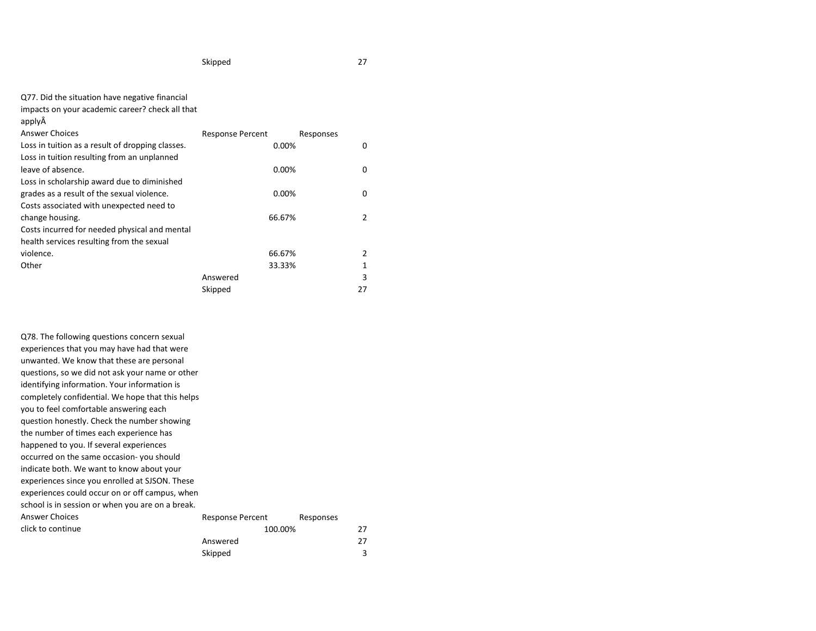Skipped 3

| Q77. Did the situation have negative financial |
|------------------------------------------------|
|------------------------------------------------|

impacts on your academic career? check all that

applyÂ

| <b>Response Percent</b><br>Responses |    |
|--------------------------------------|----|
| 0.00%                                | 0  |
|                                      |    |
| 0.00%                                | 0  |
|                                      |    |
| 0.00%                                | 0  |
|                                      |    |
| 66.67%                               | 2  |
|                                      |    |
|                                      |    |
| 66.67%                               | 2  |
| 33.33%                               | 1  |
| Answered                             | 3  |
| Skipped                              | 27 |
|                                      |    |

| Q78. The following questions concern sexual<br>experiences that you may have had that were<br>unwanted. We know that these are personal |                         |           |    |
|-----------------------------------------------------------------------------------------------------------------------------------------|-------------------------|-----------|----|
| questions, so we did not ask your name or other                                                                                         |                         |           |    |
| identifying information. Your information is                                                                                            |                         |           |    |
| completely confidential. We hope that this helps                                                                                        |                         |           |    |
| you to feel comfortable answering each                                                                                                  |                         |           |    |
| question honestly. Check the number showing                                                                                             |                         |           |    |
| the number of times each experience has                                                                                                 |                         |           |    |
| happened to you. If several experiences                                                                                                 |                         |           |    |
| occurred on the same occasion-you should                                                                                                |                         |           |    |
| indicate both. We want to know about your                                                                                               |                         |           |    |
| experiences since you enrolled at SJSON. These                                                                                          |                         |           |    |
| experiences could occur on or off campus, when                                                                                          |                         |           |    |
| school is in session or when you are on a break.                                                                                        |                         |           |    |
| <b>Answer Choices</b>                                                                                                                   | <b>Response Percent</b> | Responses |    |
| click to continue                                                                                                                       | 100.00%                 |           | 27 |
|                                                                                                                                         | Answered                |           | 27 |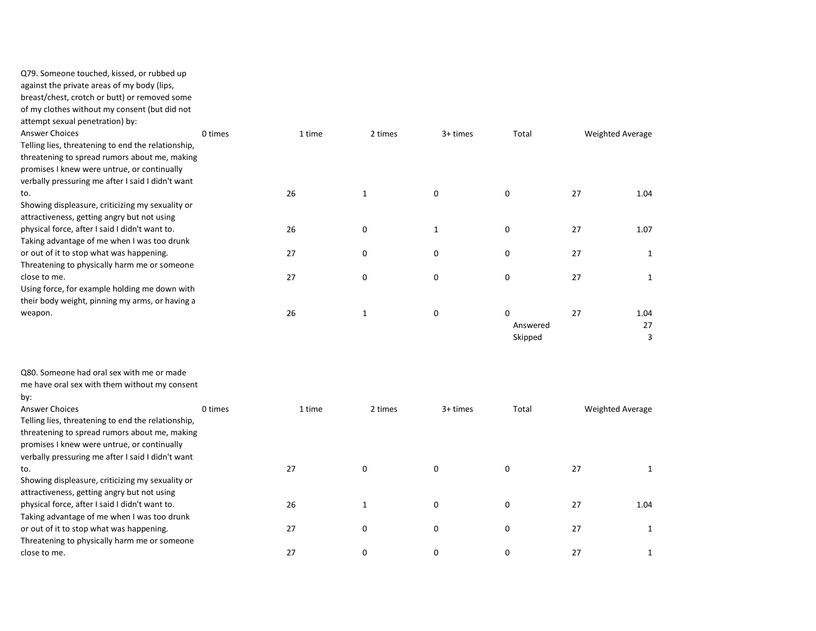against the private areas of my body (lips,

breast/chest, crotch or butt) or removed some

of my clothes without my consent (but did not

attempt sexual penetration) by:

| <b>Answer Choices</b>                              | 0 times | 1 time | 2 times      | 3+ times    | Total    | <b>Weighted Average</b> |      |
|----------------------------------------------------|---------|--------|--------------|-------------|----------|-------------------------|------|
| Telling lies, threatening to end the relationship, |         |        |              |             |          |                         |      |
| threatening to spread rumors about me, making      |         |        |              |             |          |                         |      |
| promises I knew were untrue, or continually        |         |        |              |             |          |                         |      |
| verbally pressuring me after I said I didn't want  |         |        |              |             |          |                         |      |
| to.                                                |         | 26     | $\mathbf{1}$ | 0           | 0        | 27                      | 1.04 |
| Showing displeasure, criticizing my sexuality or   |         |        |              |             |          |                         |      |
| attractiveness, getting angry but not using        |         |        |              |             |          |                         |      |
| physical force, after I said I didn't want to.     |         | 26     | 0            | 1           | 0        | 27                      | 1.07 |
| Taking advantage of me when I was too drunk        |         |        |              |             |          |                         |      |
| or out of it to stop what was happening.           |         | 27     | 0            | 0           | 0        | 27                      |      |
| Threatening to physically harm me or someone       |         |        |              |             |          |                         |      |
| close to me.                                       |         | 27     | 0            | 0           | 0        | 27                      |      |
| Using force, for example holding me down with      |         |        |              |             |          |                         |      |
| their body weight, pinning my arms, or having a    |         |        |              |             |          |                         |      |
| weapon.                                            |         | 26     | $\mathbf{1}$ | $\mathbf 0$ | $\Omega$ | 27                      | 1.04 |
|                                                    |         |        |              |             | Answered |                         | 27   |
|                                                    |         |        |              |             | Skipped  |                         | 3    |
|                                                    |         |        |              |             |          |                         |      |
|                                                    |         |        |              |             |          |                         |      |
| Q80. Someone had oral sex with me or made          |         |        |              |             |          |                         |      |

me have oral sex with them without my consent

by:

Answer Choices **1 times** 1 time 2 times 3+ times Total Weighted Average Telling lies, threatening to end the relationship, threatening to spread rumors about me, making promises I knew were untrue, or continually verbally pressuring me after I said I didn't want to. 27 0 0 0 27 1 Showing displeasure, criticizing my sexuality or attractiveness, getting angry but not using physical force, after I said I didn't want to. 26 1 0 0 27 1.04 Taking advantage of me when I was too drunk or out of it to stop what was happening. <br>
27 0 0 0 27 1 Threatening to physically harm me or someone close to me. 27 0 0 0 27 1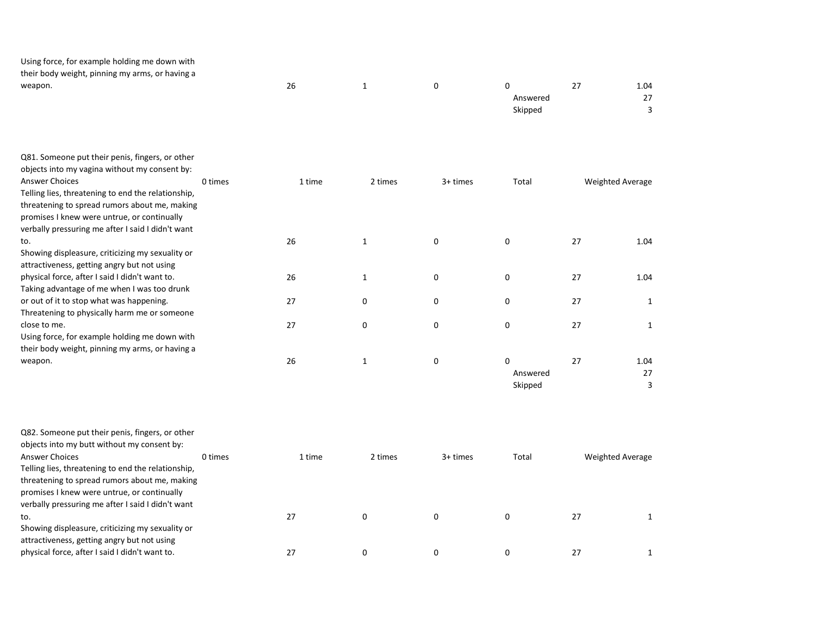Using force, for example holding me down with their body weight, pinning my arms, or having a

| ___<br>__<br>. .<br>$\sim$<br>weapon. | 26 |  | C        | 27  | 1.04                     |
|---------------------------------------|----|--|----------|-----|--------------------------|
|                                       |    |  | Answered | . . | $\sim$<br>$\overline{ }$ |
|                                       |    |  | Skipped  |     | $\overline{\phantom{0}}$ |
|                                       |    |  |          |     |                          |

| Q81. Someone put their penis, fingers, or other<br>objects into my vagina without my consent by:<br>Answer Choices<br>Telling lies, threatening to end the relationship,<br>threatening to spread rumors about me, making<br>promises I knew were untrue, or continually | 0 times | 1 time | 2 times | 3+ times | Total    | <b>Weighted Average</b> |      |
|--------------------------------------------------------------------------------------------------------------------------------------------------------------------------------------------------------------------------------------------------------------------------|---------|--------|---------|----------|----------|-------------------------|------|
| verbally pressuring me after I said I didn't want<br>to.                                                                                                                                                                                                                 |         | 26     | 1       | 0        | $\Omega$ | 27                      | 1.04 |
| Showing displeasure, criticizing my sexuality or                                                                                                                                                                                                                         |         |        |         |          |          |                         |      |
| attractiveness, getting angry but not using                                                                                                                                                                                                                              |         |        |         |          |          |                         |      |
| physical force, after I said I didn't want to.                                                                                                                                                                                                                           |         | 26     | 1       | 0        | 0        | 27                      | 1.04 |
| Taking advantage of me when I was too drunk                                                                                                                                                                                                                              |         |        |         |          |          |                         |      |
| or out of it to stop what was happening.                                                                                                                                                                                                                                 |         | 27     | 0       | 0        | 0        | 27                      |      |
| Threatening to physically harm me or someone                                                                                                                                                                                                                             |         |        |         |          |          |                         |      |
| close to me.                                                                                                                                                                                                                                                             |         | 27     | 0       | 0        | 0        | 27                      |      |
| Using force, for example holding me down with                                                                                                                                                                                                                            |         |        |         |          |          |                         |      |
| their body weight, pinning my arms, or having a                                                                                                                                                                                                                          |         |        |         |          |          |                         |      |
| weapon.                                                                                                                                                                                                                                                                  |         | 26     | 1       | 0        | 0        | 27                      | 1.04 |
|                                                                                                                                                                                                                                                                          |         |        |         |          | Answered |                         | 27   |
|                                                                                                                                                                                                                                                                          |         |        |         |          | Skipped  |                         | 3    |

| Q82. Someone put their penis, fingers, or other    |         |        |         |          |       |    |                         |
|----------------------------------------------------|---------|--------|---------|----------|-------|----|-------------------------|
| objects into my butt without my consent by:        |         |        |         |          |       |    |                         |
| <b>Answer Choices</b>                              | 0 times | 1 time | 2 times | 3+ times | Total |    | <b>Weighted Average</b> |
| Telling lies, threatening to end the relationship, |         |        |         |          |       |    |                         |
| threatening to spread rumors about me, making      |         |        |         |          |       |    |                         |
| promises I knew were untrue, or continually        |         |        |         |          |       |    |                         |
| verbally pressuring me after I said I didn't want  |         |        |         |          |       |    |                         |
| to.                                                |         | 27     | 0       | 0        |       | 27 |                         |
| Showing displeasure, criticizing my sexuality or   |         |        |         |          |       |    |                         |
| attractiveness, getting angry but not using        |         |        |         |          |       |    |                         |
| physical force, after I said I didn't want to.     |         |        | 0       |          |       | 27 |                         |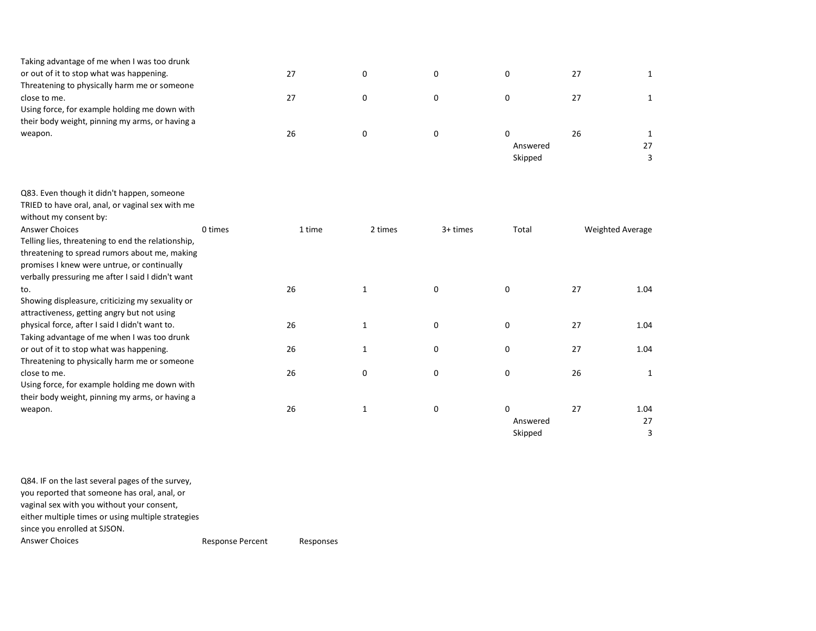| Taking advantage of me when I was too drunk     |    |  |          |    |  |
|-------------------------------------------------|----|--|----------|----|--|
| or out of it to stop what was happening.        |    |  |          |    |  |
| Threatening to physically harm me or someone    |    |  |          |    |  |
| close to me.                                    |    |  |          |    |  |
| Using force, for example holding me down with   |    |  |          |    |  |
| their body weight, pinning my arms, or having a |    |  |          |    |  |
| weapon.                                         | 26 |  |          | 26 |  |
|                                                 |    |  | Answered |    |  |

Skipped 3

Skipped 3

| Q83. Even though it didn't happen, someone         |         |        |              |             |          |                  |      |
|----------------------------------------------------|---------|--------|--------------|-------------|----------|------------------|------|
| TRIED to have oral, anal, or vaginal sex with me   |         |        |              |             |          |                  |      |
| without my consent by:                             |         |        |              |             |          |                  |      |
| Answer Choices                                     | 0 times | 1 time | 2 times      | 3+ times    | Total    | Weighted Average |      |
| Telling lies, threatening to end the relationship, |         |        |              |             |          |                  |      |
| threatening to spread rumors about me, making      |         |        |              |             |          |                  |      |
| promises I knew were untrue, or continually        |         |        |              |             |          |                  |      |
| verbally pressuring me after I said I didn't want  |         |        |              |             |          |                  |      |
| to.                                                |         | 26     | $\mathbf{1}$ | $\mathbf 0$ | 0        | 27               | 1.04 |
| Showing displeasure, criticizing my sexuality or   |         |        |              |             |          |                  |      |
| attractiveness, getting angry but not using        |         |        |              |             |          |                  |      |
| physical force, after I said I didn't want to.     |         | 26     | $\mathbf{1}$ | 0           | 0        | 27               | 1.04 |
| Taking advantage of me when I was too drunk        |         |        |              |             |          |                  |      |
| or out of it to stop what was happening.           |         | 26     | $\mathbf{1}$ | 0           | 0        | 27               | 1.04 |
| Threatening to physically harm me or someone       |         |        |              |             |          |                  |      |
| close to me.                                       |         | 26     | 0            | 0           | 0        | 26               |      |
| Using force, for example holding me down with      |         |        |              |             |          |                  |      |
| their body weight, pinning my arms, or having a    |         |        |              |             |          |                  |      |
| weapon.                                            |         | 26     | $\mathbf{1}$ | 0           | 0        | 27               | 1.04 |
|                                                    |         |        |              |             | Answered |                  | 27   |

Q84. IF on the last several pages of the survey, you reported that someone has oral, anal, or vaginal sex with you without your consent, either multiple times or using multiple strategies since you enrolled at SJSON. Answer Choices **Response Percent** Responses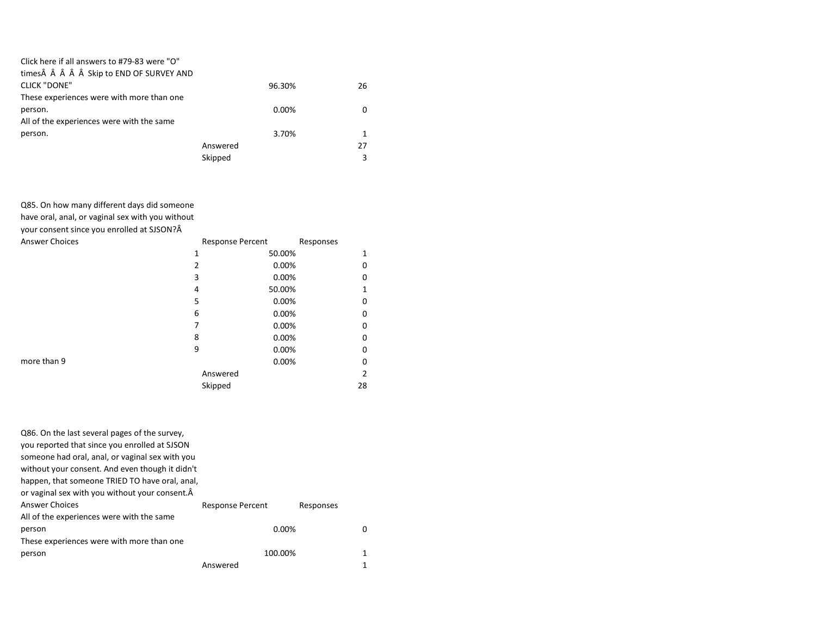| Click here if all answers to #79-83 were "O" |          |    |
|----------------------------------------------|----------|----|
| times     Skip to END OF SURVEY AND          |          |    |
| <b>CLICK "DONE"</b>                          | 96.30%   | 26 |
| These experiences were with more than one    |          |    |
| person.                                      | 0.00%    | 0  |
| All of the experiences were with the same    |          |    |
| person.                                      | 3.70%    | 1  |
|                                              | Answered | 27 |
|                                              | Skipped  | 3  |
|                                              |          |    |

Q85. On how many different days did someone

have oral, anal, or vaginal sex with you without

your consent since you enrolled at SJSON?

| <b>Answer Choices</b> |          | <b>Response Percent</b> | Responses |    |
|-----------------------|----------|-------------------------|-----------|----|
|                       | 1        | 50.00%                  |           |    |
|                       | 2        | 0.00%                   |           | O  |
|                       | 3        | 0.00%                   |           |    |
|                       | 4        | 50.00%                  |           |    |
|                       | 5        | 0.00%                   |           | O  |
|                       | 6        | 0.00%                   |           | O  |
|                       |          | 0.00%                   |           | O  |
|                       | 8        | 0.00%                   |           |    |
|                       | 9        | 0.00%                   |           | O  |
| more than 9           |          | 0.00%                   |           |    |
|                       | Answered |                         |           | 2  |
|                       | Skipped  |                         |           | 28 |

| Q86. On the last several pages of the survey,   |                         |           |   |
|-------------------------------------------------|-------------------------|-----------|---|
| you reported that since you enrolled at SJSON   |                         |           |   |
| someone had oral, anal, or vaginal sex with you |                         |           |   |
| without your consent. And even though it didn't |                         |           |   |
| happen, that someone TRIED TO have oral, anal,  |                         |           |   |
| or vaginal sex with you without your consent.Â  |                         |           |   |
| Answer Choices                                  | <b>Response Percent</b> | Responses |   |
| All of the experiences were with the same       |                         |           |   |
| person                                          | 0.00%                   |           | O |
| These experiences were with more than one       |                         |           |   |
| person                                          | 100.00%                 |           |   |
|                                                 | Answered                |           |   |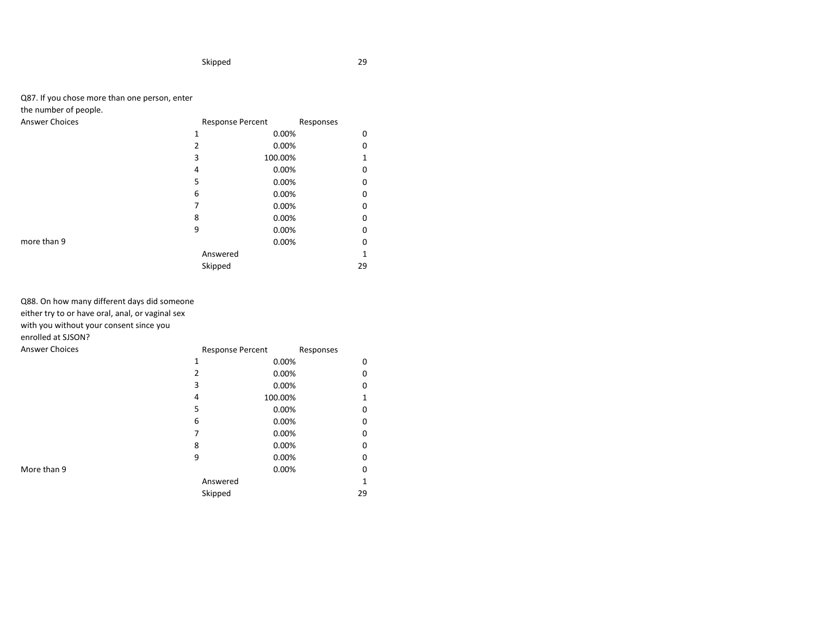## Q87. If you chose more than one person, enter

# the number of people.

| Answer Choices |
|----------------|

| <b>Answer Choices</b> | <b>Response Percent</b> |         | Responses |    |
|-----------------------|-------------------------|---------|-----------|----|
|                       | 1                       | 0.00%   |           | 0  |
|                       | 2                       | 0.00%   |           | ი  |
|                       | 3                       | 100.00% |           |    |
|                       | 4                       | 0.00%   |           | 0  |
|                       | 5                       | 0.00%   |           | 0  |
|                       | 6                       | 0.00%   |           | 0  |
|                       |                         | 0.00%   |           | 0  |
|                       | 8                       | 0.00%   |           | 0  |
|                       | 9                       | 0.00%   |           | 0  |
| more than 9           |                         | 0.00%   |           | 0  |
|                       | Answered                |         |           |    |
|                       | Skipped                 |         |           | 29 |

# Q88. On how many different days did someone

either try to or have oral, anal, or vaginal sex

with you without your consent since you

## enrolled at SJSON?

| <b>Answer Choices</b> |   | <b>Response Percent</b> |         | Responses |              |
|-----------------------|---|-------------------------|---------|-----------|--------------|
|                       | 1 |                         | 0.00%   |           | 0            |
|                       | 2 |                         | 0.00%   |           | 0            |
|                       | 3 |                         | 0.00%   |           | 0            |
|                       | 4 |                         | 100.00% |           | 1            |
|                       | 5 |                         | 0.00%   |           | 0            |
|                       | 6 |                         | 0.00%   |           | 0            |
|                       | 7 |                         | 0.00%   |           | 0            |
|                       | 8 |                         | 0.00%   |           | 0            |
|                       | 9 |                         | 0.00%   |           | 0            |
| More than 9           |   |                         | 0.00%   |           | 0            |
|                       |   | Answered                |         |           | $\mathbf{1}$ |
|                       |   | Skipped                 |         |           | 29           |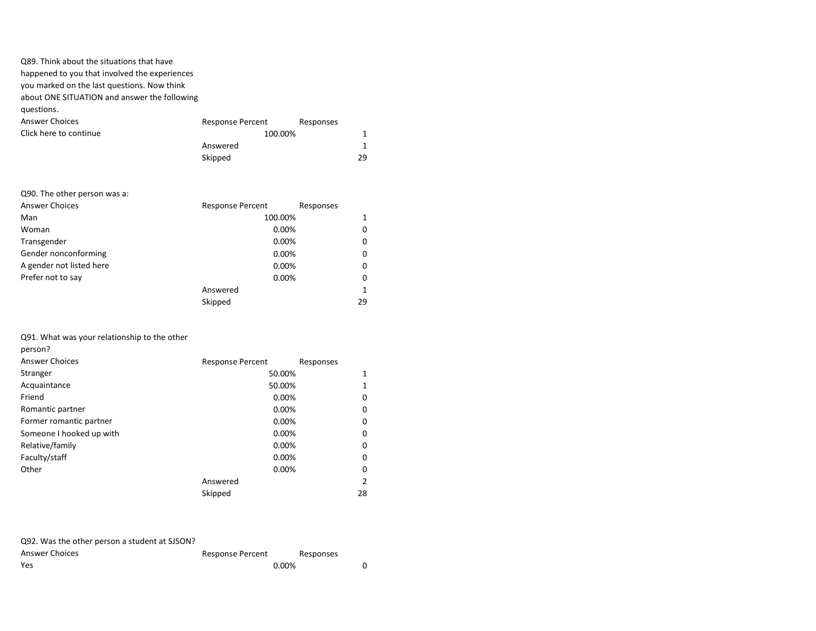| Q89. Think about the situations that have     |                         |           |    |
|-----------------------------------------------|-------------------------|-----------|----|
| happened to you that involved the experiences |                         |           |    |
| you marked on the last questions. Now think   |                         |           |    |
| about ONE SITUATION and answer the following  |                         |           |    |
| questions.                                    |                         |           |    |
| <b>Answer Choices</b>                         | <b>Response Percent</b> | Responses |    |
| Click here to continue                        | 100.00%                 |           |    |
|                                               | Answered                |           | 1  |
|                                               | Skipped                 |           | 29 |
|                                               |                         |           |    |

# Q90. The other person was a:

| <b>Answer Choices</b>    | <b>Response Percent</b> | Responses    |
|--------------------------|-------------------------|--------------|
| Man                      | 100.00%                 | 1            |
| Woman                    | 0.00%                   | 0            |
| Transgender              | 0.00%                   | 0            |
| Gender nonconforming     | 0.00%                   | 0            |
| A gender not listed here | 0.00%                   | 0            |
| Prefer not to say        | 0.00%                   | 0            |
|                          | Answered                | $\mathbf{1}$ |
|                          | Skipped                 | 29           |

## Q91. What was your relationship to the other

| <b>Answer Choices</b>    | <b>Response Percent</b> | Responses |
|--------------------------|-------------------------|-----------|
| Stranger                 | 50.00%                  | 1         |
| Acquaintance             | 50.00%                  | 1         |
| Friend                   | 0.00%                   | 0         |
| Romantic partner         | 0.00%                   | 0         |
| Former romantic partner  | 0.00%                   | 0         |
| Someone I hooked up with | 0.00%                   | 0         |
| Relative/family          | 0.00%                   | 0         |
| Faculty/staff            | 0.00%                   | 0         |
| Other                    | 0.00%                   | 0         |
|                          | Answered                | 2         |
|                          | Skipped                 | 28        |

| Q92. Was the other person a student at SJSON? |                  |           |  |
|-----------------------------------------------|------------------|-----------|--|
| Answer Choices                                | Response Percent | Responses |  |
| Yes                                           | $0.00\%$         |           |  |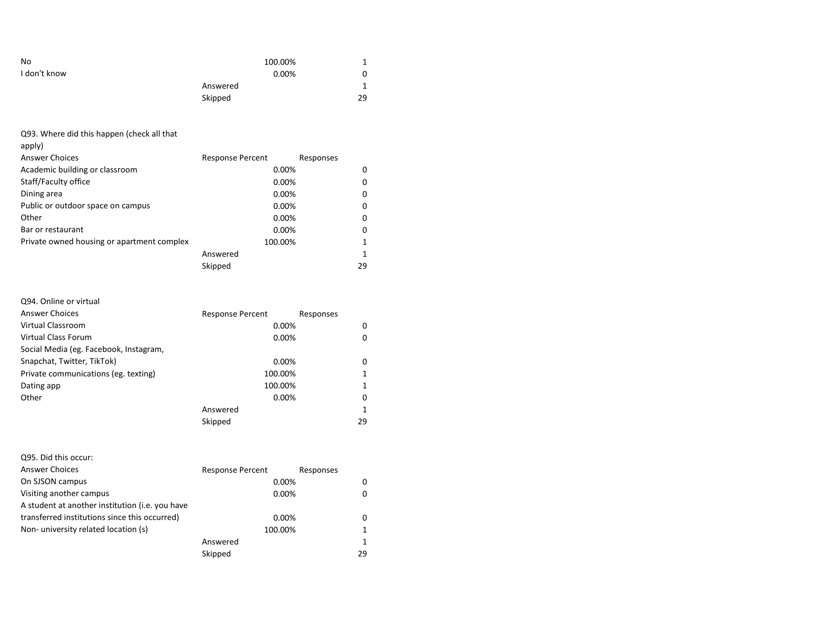| No           | 100.00%  |    |
|--------------|----------|----|
| I don't know | 0.00%    | 0  |
|              | Answered |    |
|              | Skipped  | 29 |

Q93. Where did this happen (check all that apply) Answer Choices **Response Percent** Responses Academic building or classroom and the control of the control of 0.00% of 0.00% of 0.00% of 0.00% of 0.00% of 0 Staff/Faculty office 0.00% 0.00% 0.00% Dining area 0.00% 0 Public or outdoor space on campus 0.00% 0.00% 0.00% Other 0.00% 0 Bar or restaurant and the contract of the contract of the contract of the contract of the contract of the contract of the contract of the contract of the contract of the contract of the contract of the contract of the cont Private owned housing or apartment complex 100.00% 1 Answered 1 Skipped 29

## Q94. Online or virtual

| <b>Answer Choices</b>                  | <b>Response Percent</b> | Responses |
|----------------------------------------|-------------------------|-----------|
| Virtual Classroom                      | 0.00%                   | 0         |
| Virtual Class Forum                    | 0.00%                   | 0         |
| Social Media (eg. Facebook, Instagram, |                         |           |
| Snapchat, Twitter, TikTok)             | 0.00%                   | 0         |
| Private communications (eg. texting)   | 100.00%                 |           |
| Dating app                             | 100.00%                 |           |
| Other                                  | $0.00\%$                | 0         |
|                                        | Answered                | 1         |
|                                        | Skipped                 | 29        |

| Q95. Did this occur:                            |                         |           |    |
|-------------------------------------------------|-------------------------|-----------|----|
| <b>Answer Choices</b>                           | <b>Response Percent</b> | Responses |    |
| On SJSON campus                                 | 0.00%                   |           |    |
| Visiting another campus                         | 0.00%                   |           |    |
| A student at another institution (i.e. you have |                         |           |    |
| transferred institutions since this occurred)   | 0.00%                   |           | 0  |
| Non-university related location (s)             | 100.00%                 |           |    |
|                                                 | Answered                |           | 1  |
|                                                 | Skipped                 |           | 29 |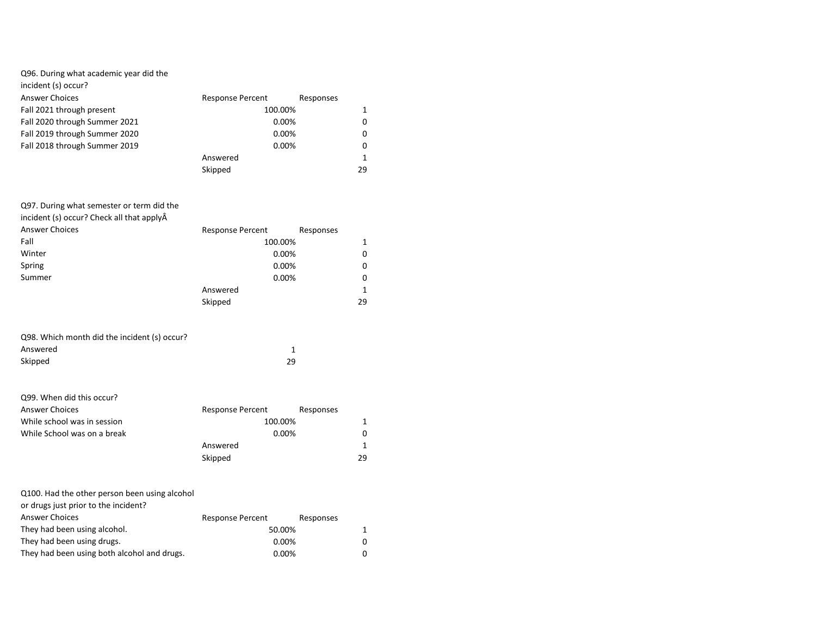| incident (s) occur?           |                         |           |  |
|-------------------------------|-------------------------|-----------|--|
| <b>Answer Choices</b>         | <b>Response Percent</b> | Responses |  |
| Fall 2021 through present     | 100.00%                 |           |  |
| Fall 2020 through Summer 2021 | 0.00%                   | 0         |  |
| Fall 2019 through Summer 2020 | 0.00%                   | 0         |  |
| Fall 2018 through Summer 2019 | 0.00%                   | 0         |  |
|                               | Answered                |           |  |
|                               | Skipped                 | 29        |  |

| Q97. During what semester or term did the |                         |           |
|-------------------------------------------|-------------------------|-----------|
| incident (s) occur? Check all that applyÂ |                         |           |
| <b>Answer Choices</b>                     | <b>Response Percent</b> | Responses |
| Fall                                      | 100.00%                 | 1         |
| Winter                                    | 0.00%                   | 0         |
| Spring                                    | 0.00%                   | 0         |
| Summer                                    | 0.00%                   | 0         |
|                                           | Answered                | 1         |
|                                           | Skipped                 | 29        |

| Q98. Which month did the incident (s) occur? |    |
|----------------------------------------------|----|
| Answered                                     |    |
| Skipped                                      | 29 |

| Q99. When did this occur?   |                         |           |    |
|-----------------------------|-------------------------|-----------|----|
| <b>Answer Choices</b>       | <b>Response Percent</b> | Responses |    |
| While school was in session | 100.00%                 |           |    |
| While School was on a break | 0.00%                   |           |    |
|                             | Answered                |           |    |
|                             | Skipped                 |           | 29 |

| Q100. Had the other person been using alcohol |  |
|-----------------------------------------------|--|
| or drugs just prior to the incident?          |  |

| <b>Response Percent</b> | Responses |                                |
|-------------------------|-----------|--------------------------------|
|                         |           |                                |
|                         |           | 0                              |
|                         |           | 0                              |
|                         |           | 50.00%<br>$0.00\%$<br>$0.00\%$ |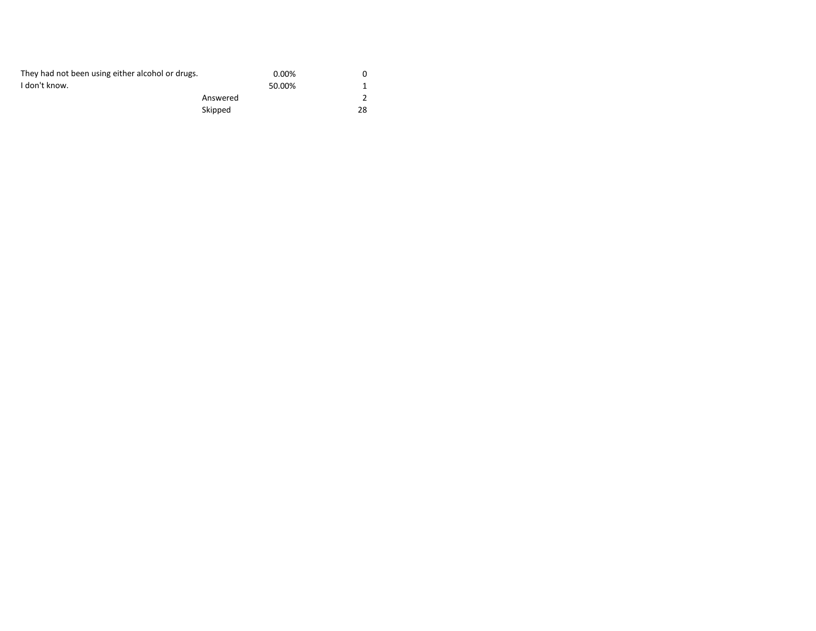| They had not been using either alcohol or drugs. | $0.00\%$ |    |
|--------------------------------------------------|----------|----|
| I don't know.                                    | 50.00%   |    |
|                                                  | Answered |    |
|                                                  | Skipped  | 28 |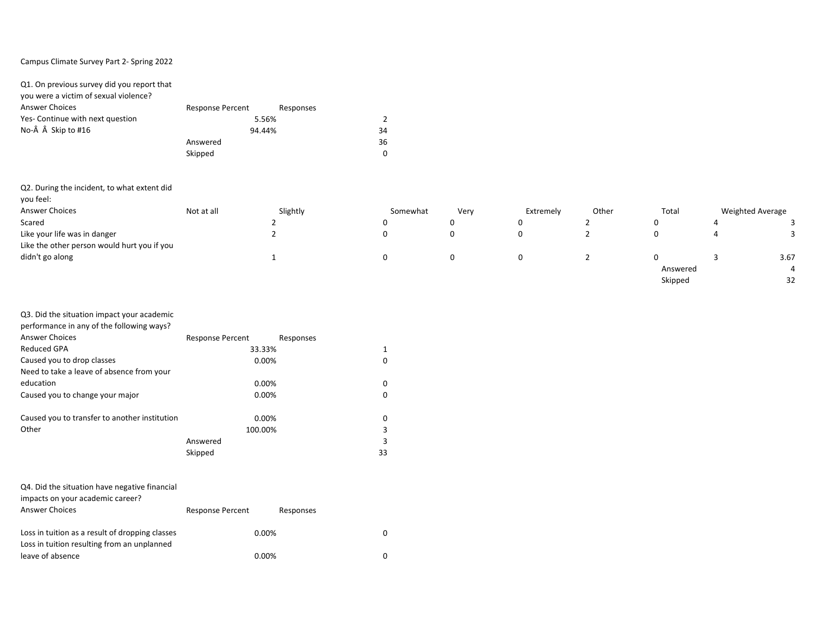## Campus Climate Survey Part 2- Spring 2022

| Q1. On previous survey did you report that |                         |           |                |
|--------------------------------------------|-------------------------|-----------|----------------|
| you were a victim of sexual violence?      |                         |           |                |
| <b>Answer Choices</b>                      | <b>Response Percent</b> | Responses |                |
| Yes- Continue with next question           |                         | 5.56%     | $\mathfrak{p}$ |
| No-Â Â Skip to #16                         | 94.44%                  |           | 34             |
|                                            | Answered                |           | 36             |
|                                            | Skipped                 |           | $\Omega$       |

| Q2. During the incident, to what extent did |            |          |          |      |           |       |          |                         |
|---------------------------------------------|------------|----------|----------|------|-----------|-------|----------|-------------------------|
| you feel:                                   |            |          |          |      |           |       |          |                         |
| Answer Choices                              | Not at all | Slightly | Somewhat | Very | Extremely | Other | Total    | <b>Weighted Average</b> |
| Scared                                      |            |          |          | 0    |           |       | U        |                         |
| Like your life was in danger                |            |          |          | 0    |           |       |          |                         |
| Like the other person would hurt you if you |            |          |          |      |           |       |          |                         |
| didn't go along                             |            |          |          | 0    |           |       |          | 3.67                    |
|                                             |            |          |          |      |           |       | Answered |                         |

Skipped 32

| Q3. Did the situation impact your academic    |                         |           |  |
|-----------------------------------------------|-------------------------|-----------|--|
| performance in any of the following ways?     |                         |           |  |
| Answer Choices                                | <b>Response Percent</b> | Responses |  |
| Reduced GPA                                   | 33.33%                  |           |  |
| Caused you to drop classes                    | $0.00\%$                | O         |  |
| Need to take a leave of absence from your     |                         |           |  |
| education                                     | $0.00\%$                | 0         |  |
| Caused you to change your major               | $0.00\%$                | o         |  |
|                                               |                         |           |  |
| Caused you to transfer to another institution | $0.00\%$                | 0         |  |
| Other                                         | 100.00%                 | 3         |  |
|                                               | Answered                | 3         |  |
|                                               | Skipped                 | 33        |  |

| Q4. Did the situation have negative financial   |                         |           |  |
|-------------------------------------------------|-------------------------|-----------|--|
| impacts on your academic career?                |                         |           |  |
| <b>Answer Choices</b>                           | <b>Response Percent</b> | Responses |  |
|                                                 |                         |           |  |
| Loss in tuition as a result of dropping classes |                         | $0.00\%$  |  |
| Loss in tuition resulting from an unplanned     |                         |           |  |
| leave of absence                                |                         | $0.00\%$  |  |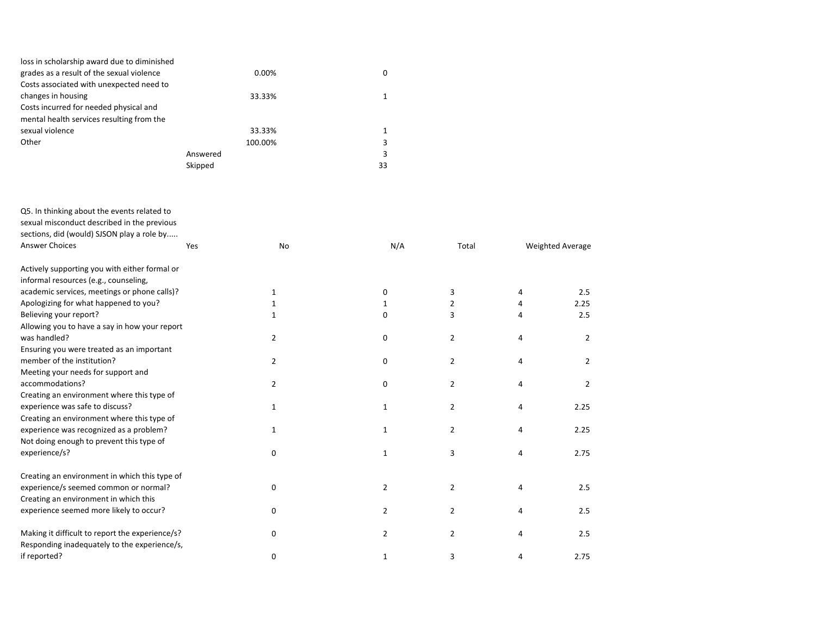| loss in scholarship award due to diminished |          |    |
|---------------------------------------------|----------|----|
| grades as a result of the sexual violence   | $0.00\%$ | 0  |
| Costs associated with unexpected need to    |          |    |
| changes in housing                          | 33.33%   |    |
| Costs incurred for needed physical and      |          |    |
| mental health services resulting from the   |          |    |
| sexual violence                             | 33.33%   |    |
| Other                                       | 100.00%  |    |
|                                             | Answered |    |
|                                             | Skipped  | 33 |
|                                             |          |    |

| Q5. In thinking about the events related to<br>sexual misconduct described in the previous<br>sections, did (would) SJSON play a role by |     |                |                |                |   |                  |
|------------------------------------------------------------------------------------------------------------------------------------------|-----|----------------|----------------|----------------|---|------------------|
| Answer Choices                                                                                                                           | Yes | No             | N/A            | Total          |   | Weighted Average |
| Actively supporting you with either formal or                                                                                            |     |                |                |                |   |                  |
| informal resources (e.g., counseling,                                                                                                    |     |                |                |                |   |                  |
| academic services, meetings or phone calls)?                                                                                             |     | 1              | 0              | 3              | 4 | 2.5              |
| Apologizing for what happened to you?                                                                                                    |     | 1              | 1              | 2              | 4 | 2.25             |
| Believing your report?                                                                                                                   |     | 1              | $\Omega$       | 3              | 4 | 2.5              |
| Allowing you to have a say in how your report                                                                                            |     |                |                |                |   |                  |
| was handled?                                                                                                                             |     | 2              | 0              | $\overline{2}$ | 4 | $\overline{2}$   |
| Ensuring you were treated as an important                                                                                                |     |                |                |                |   |                  |
| member of the institution?                                                                                                               |     | 2              | 0              | $\overline{2}$ | 4 | 2                |
| Meeting your needs for support and                                                                                                       |     |                |                |                |   |                  |
| accommodations?                                                                                                                          |     | $\overline{2}$ | 0              | $\overline{2}$ | 4 | 2                |
| Creating an environment where this type of                                                                                               |     |                |                |                |   |                  |
| experience was safe to discuss?                                                                                                          |     | 1              | 1              | $\overline{2}$ | 4 | 2.25             |
| Creating an environment where this type of                                                                                               |     |                |                |                |   |                  |
| experience was recognized as a problem?                                                                                                  |     | 1              | 1              | $\overline{2}$ | 4 | 2.25             |
| Not doing enough to prevent this type of                                                                                                 |     |                |                |                |   |                  |
| experience/s?                                                                                                                            |     | $\mathbf 0$    | 1              | 3              | 4 | 2.75             |
|                                                                                                                                          |     |                |                |                |   |                  |
| Creating an environment in which this type of                                                                                            |     |                |                |                |   |                  |
| experience/s seemed common or normal?                                                                                                    |     | 0              | 2              | $\overline{2}$ | 4 | 2.5              |
| Creating an environment in which this                                                                                                    |     |                |                |                |   |                  |
| experience seemed more likely to occur?                                                                                                  |     | $\mathbf 0$    | $\overline{2}$ | $\overline{2}$ | 4 | 2.5              |
|                                                                                                                                          |     |                |                |                |   |                  |
| Making it difficult to report the experience/s?                                                                                          |     | 0              | $\overline{2}$ | $\overline{2}$ | 4 | 2.5              |
| Responding inadequately to the experience/s,                                                                                             |     |                |                |                |   |                  |
| if reported?                                                                                                                             |     | 0              | 1              | 3              | 4 | 2.75             |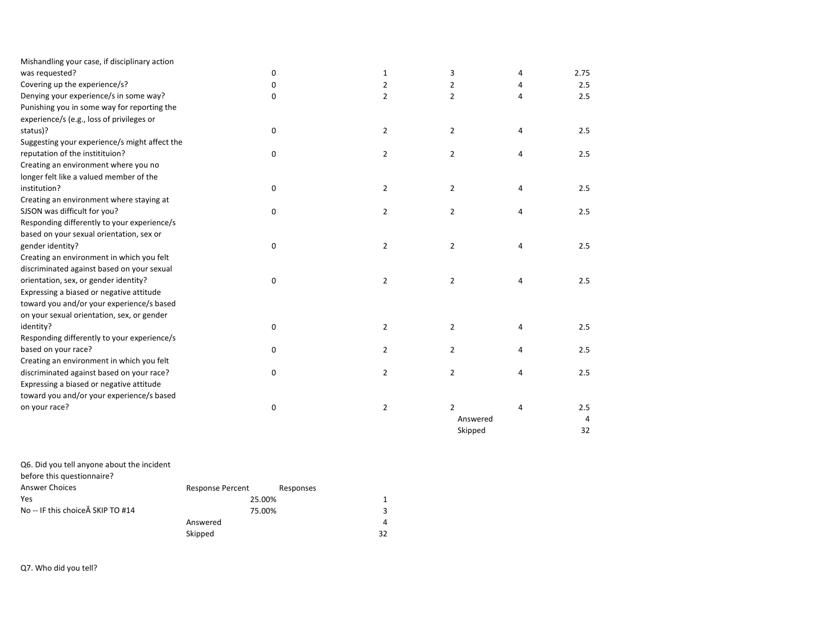| Mishandling your case, if disciplinary action |             |                |                |   |      |
|-----------------------------------------------|-------------|----------------|----------------|---|------|
| was requested?                                | $\mathbf 0$ | 1              | 3              | 4 | 2.75 |
| Covering up the experience/s?                 | 0           | 2              | $\overline{2}$ | 4 | 2.5  |
| Denying your experience/s in some way?        | 0           | $\overline{2}$ | $\overline{2}$ | 4 | 2.5  |
| Punishing you in some way for reporting the   |             |                |                |   |      |
| experience/s (e.g., loss of privileges or     |             |                |                |   |      |
| status)?                                      | $\mathbf 0$ | $\overline{2}$ | $\overline{2}$ | 4 | 2.5  |
| Suggesting your experience/s might affect the |             |                |                |   |      |
| reputation of the institituion?               | $\mathbf 0$ | $\overline{2}$ | $\overline{2}$ | 4 | 2.5  |
| Creating an environment where you no          |             |                |                |   |      |
| longer felt like a valued member of the       |             |                |                |   |      |
| institution?                                  | 0           | $\overline{2}$ | $\overline{2}$ | 4 | 2.5  |
| Creating an environment where staying at      |             |                |                |   |      |
| SJSON was difficult for you?                  | $\mathbf 0$ | $\overline{2}$ | $\overline{2}$ | 4 | 2.5  |
| Responding differently to your experience/s   |             |                |                |   |      |
| based on your sexual orientation, sex or      |             |                |                |   |      |
| gender identity?                              | 0           | $\overline{2}$ | $\overline{2}$ | 4 | 2.5  |
| Creating an environment in which you felt     |             |                |                |   |      |
| discriminated against based on your sexual    |             |                |                |   |      |
| orientation, sex, or gender identity?         | $\mathbf 0$ | 2              | $\overline{2}$ | 4 | 2.5  |
| Expressing a biased or negative attitude      |             |                |                |   |      |
| toward you and/or your experience/s based     |             |                |                |   |      |
| on your sexual orientation, sex, or gender    |             |                |                |   |      |
| identity?                                     | $\mathbf 0$ | 2              | $\overline{2}$ | 4 | 2.5  |
| Responding differently to your experience/s   |             |                |                |   |      |
| based on your race?                           | 0           | $\overline{2}$ | $\overline{2}$ | 4 | 2.5  |
| Creating an environment in which you felt     |             |                |                |   |      |
| discriminated against based on your race?     | $\mathbf 0$ | $\overline{2}$ | $\overline{2}$ | 4 | 2.5  |
| Expressing a biased or negative attitude      |             |                |                |   |      |
| toward you and/or your experience/s based     |             |                |                |   |      |
| on your race?                                 | 0           | 2              | $\overline{2}$ | 4 | 2.5  |
|                                               |             |                | Answered       |   | 4    |
|                                               |             |                | Skipped        |   | 32   |

| Response Percent | Responses |                  |
|------------------|-----------|------------------|
|                  |           | 1                |
|                  |           | 3                |
| Answered         |           | 4                |
| Skipped          |           | 32               |
|                  |           | 25.00%<br>75.00% |

Q7. Who did you tell?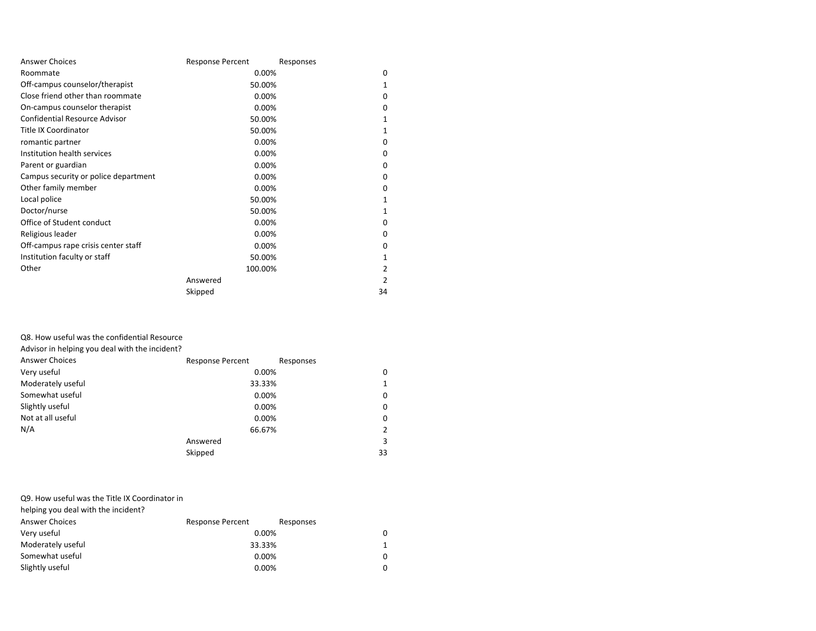| <b>Answer Choices</b>                | <b>Response Percent</b> | Responses |
|--------------------------------------|-------------------------|-----------|
| Roommate                             | 0.00%                   | $\Omega$  |
| Off-campus counselor/therapist       | 50.00%                  | 1         |
| Close friend other than roommate     | 0.00%                   | $\Omega$  |
| On-campus counselor therapist        | 0.00%                   | 0         |
| <b>Confidential Resource Advisor</b> | 50.00%                  | 1         |
| <b>Title IX Coordinator</b>          | 50.00%                  | 1         |
| romantic partner                     | 0.00%                   | 0         |
| Institution health services          | 0.00%                   | $\Omega$  |
| Parent or guardian                   | 0.00%                   | $\Omega$  |
| Campus security or police department | 0.00%                   | $\Omega$  |
| Other family member                  | 0.00%                   | $\Omega$  |
| Local police                         | 50.00%                  | 1         |
| Doctor/nurse                         | 50.00%                  | 1         |
| Office of Student conduct            | 0.00%                   | 0         |
| Religious leader                     | 0.00%                   | $\Omega$  |
| Off-campus rape crisis center staff  | 0.00%                   | 0         |
| Institution faculty or staff         | 50.00%                  | 1         |
| Other                                | 100.00%                 | 2         |
|                                      | Answered                | 2         |
|                                      | Skipped                 | 34        |

### Q8. How useful was the confidential Resource

Advisor in helping you deal with the incident?

| <b>Answer Choices</b> | <b>Response Percent</b> | Responses    |
|-----------------------|-------------------------|--------------|
| Very useful           | 0.00%                   | 0            |
| Moderately useful     | 33.33%                  | $\mathbf{1}$ |
| Somewhat useful       | 0.00%                   | $\Omega$     |
| Slightly useful       | 0.00%                   | $\Omega$     |
| Not at all useful     | 0.00%                   | 0            |
| N/A                   | 66.67%                  | 2            |
|                       | Answered                | 3            |
|                       | Skipped                 | 33           |

## Q9. How useful was the Title IX Coordinator in

helping you deal with the incident?

| <b>Answer Choices</b> | <b>Response Percent</b> | Responses |   |
|-----------------------|-------------------------|-----------|---|
| Very useful           | 0.00%                   |           | 0 |
| Moderately useful     | 33.33%                  |           | 1 |
| Somewhat useful       | 0.00%                   |           | 0 |
| Slightly useful       | 0.00%                   |           | 0 |
|                       |                         |           |   |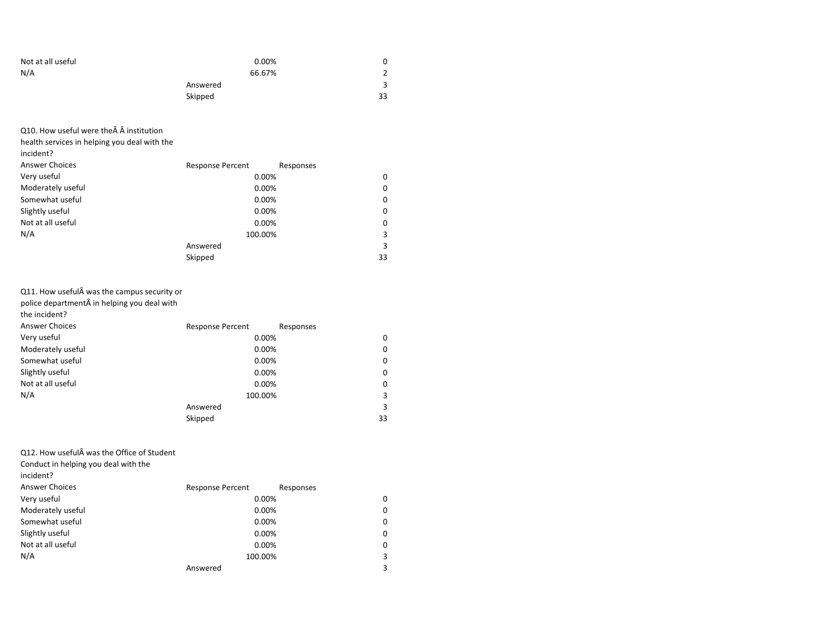| Not at all useful | 0.00%    |               |
|-------------------|----------|---------------|
| N/A               | 66.67%   | $\mathcal{L}$ |
|                   | Answered |               |
|                   | Skipped  | 33            |

Q10. How useful were the Â institution

health services in helping you deal with the

|  |  | incident? |
|--|--|-----------|
|--|--|-----------|

| <b>Answer Choices</b> | <b>Response Percent</b><br>Responses |    |
|-----------------------|--------------------------------------|----|
| Very useful           | 0.00%                                | 0  |
| Moderately useful     | 0.00%                                | 0  |
| Somewhat useful       | 0.00%                                | 0  |
| Slightly useful       | 0.00%                                | 0  |
| Not at all useful     | 0.00%                                | 0  |
| N/A                   | 100.00%                              | 3  |
|                       | Answered                             | 3  |
|                       | Skipped                              | 33 |

# Q11. How useful was the campus security or

police department in helping you deal with

the incident?

| <b>Answer Choices</b> | <b>Response Percent</b> | Responses |
|-----------------------|-------------------------|-----------|
| Very useful           | 0.00%                   | 0         |
| Moderately useful     | 0.00%                   | 0         |
| Somewhat useful       | 0.00%                   | 0         |
| Slightly useful       | 0.00%                   | 0         |
| Not at all useful     | 0.00%                   | 0         |
| N/A                   | 100.00%                 | 3         |
|                       | Answered                | 3         |
|                       | Skipped                 | 33        |

Q12. How useful was the Office of Student

Conduct in helping you deal with the

incident?

| <b>Answer Choices</b> | <b>Response Percent</b> | Responses |   |
|-----------------------|-------------------------|-----------|---|
| Very useful           | 0.00%                   |           | 0 |
| Moderately useful     |                         | 0.00%     | 0 |
| Somewhat useful       |                         | 0.00%     | 0 |
| Slightly useful       |                         | 0.00%     | 0 |
| Not at all useful     | 0.00%                   |           | 0 |
| N/A                   | 100.00%                 |           | 3 |
|                       | Answered                |           | 3 |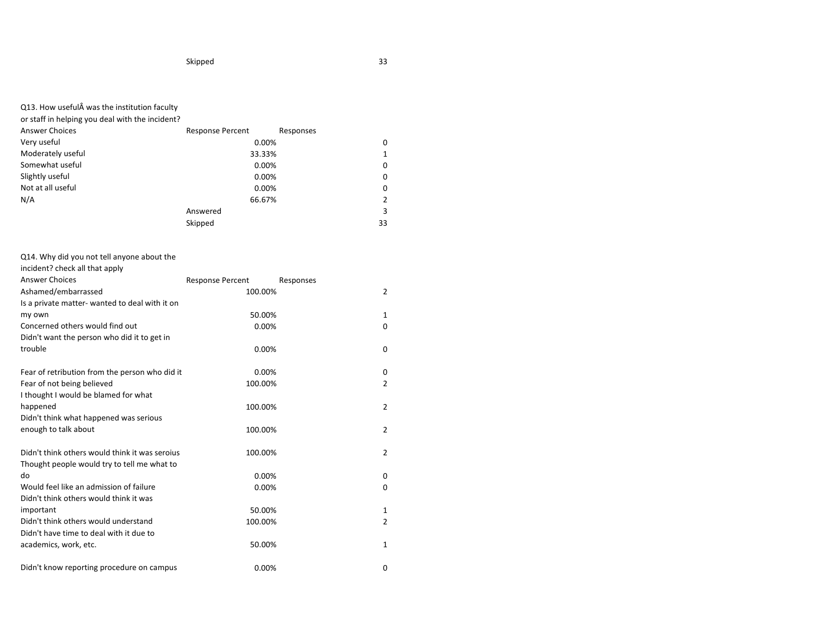or staff in helping you deal with the incident?

| <b>Answer Choices</b> | <b>Response Percent</b> | Responses |
|-----------------------|-------------------------|-----------|
| Very useful           | 0.00%                   | $\Omega$  |
| Moderately useful     | 33.33%                  | 1         |
| Somewhat useful       | 0.00%                   | 0         |
| Slightly useful       | 0.00%                   | 0         |
| Not at all useful     | 0.00%                   | 0         |
| N/A                   | 66.67%                  | 2         |
|                       | Answered                | 3         |
|                       | Skipped                 | 33        |

# Q14. Why did you not tell anyone about the

incident? check all that apply

| <b>Answer Choices</b>                          | <b>Response Percent</b> | Responses      |
|------------------------------------------------|-------------------------|----------------|
| Ashamed/embarrassed                            | 100.00%                 | 2              |
| Is a private matter- wanted to deal with it on |                         |                |
| my own                                         | 50.00%                  | 1              |
| Concerned others would find out                | 0.00%                   | 0              |
| Didn't want the person who did it to get in    |                         |                |
| trouble                                        | 0.00%                   | 0              |
| Fear of retribution from the person who did it | 0.00%                   | 0              |
| Fear of not being believed                     | 100.00%                 | 2              |
| I thought I would be blamed for what           |                         |                |
| happened                                       | 100.00%                 | 2              |
| Didn't think what happened was serious         |                         |                |
| enough to talk about                           | 100.00%                 | 2              |
| Didn't think others would think it was seroius | 100.00%                 | $\overline{2}$ |
| Thought people would try to tell me what to    |                         |                |
| do                                             | 0.00%                   | 0              |
| Would feel like an admission of failure        | 0.00%                   | 0              |
| Didn't think others would think it was         |                         |                |
| important                                      | 50.00%                  | 1              |
| Didn't think others would understand           | 100.00%                 | 2              |
| Didn't have time to deal with it due to        |                         |                |
| academics, work, etc.                          | 50.00%                  | $\mathbf{1}$   |
| Didn't know reporting procedure on campus      | 0.00%                   | 0              |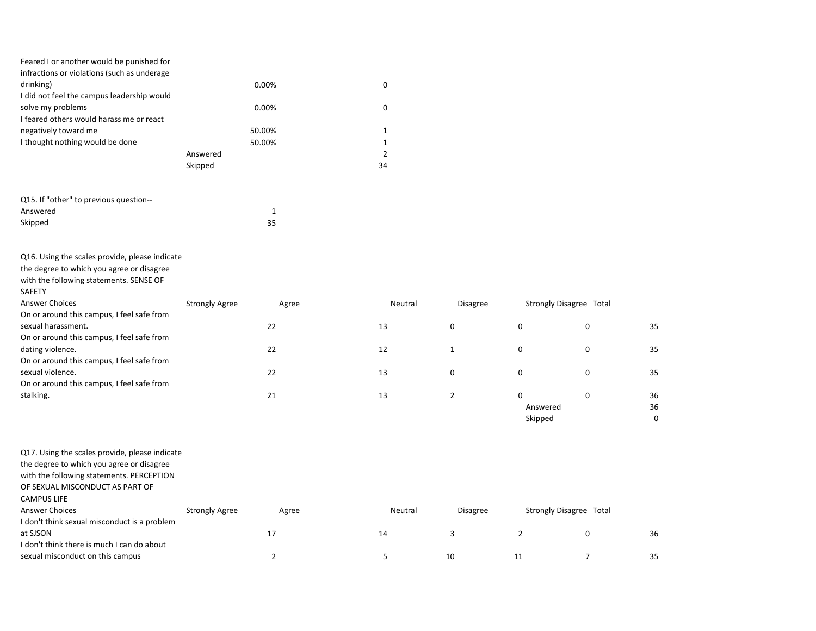| Feared I or another would be punished for   |          |    |
|---------------------------------------------|----------|----|
| infractions or violations (such as underage |          |    |
| drinking)                                   | $0.00\%$ | 0  |
| I did not feel the campus leadership would  |          |    |
| solve my problems                           | $0.00\%$ | 0  |
| I feared others would harass me or react    |          |    |
| negatively toward me                        | 50.00%   |    |
| I thought nothing would be done             | 50.00%   |    |
|                                             | Answered |    |
|                                             | Skipped  | 34 |

| Q15. If "other" to previous question-- |    |
|----------------------------------------|----|
| Answered                               |    |
| Skipped                                | 35 |

Q16. Using the scales provide, please indicate

the degree to which you agree or disagree

with the following statements. SENSE OF

| SAFETY                                     |                       |       |         |                 |                         |   |    |
|--------------------------------------------|-----------------------|-------|---------|-----------------|-------------------------|---|----|
| <b>Answer Choices</b>                      | <b>Strongly Agree</b> | Agree | Neutral | <b>Disagree</b> | Strongly Disagree Total |   |    |
| On or around this campus, I feel safe from |                       |       |         |                 |                         |   |    |
| sexual harassment.                         |                       | 22    | 13      | 0               | 0                       | 0 | 35 |
| On or around this campus, I feel safe from |                       |       |         |                 |                         |   |    |
| dating violence.                           |                       | 22    | 12      |                 | 0                       | 0 | 35 |
| On or around this campus, I feel safe from |                       |       |         |                 |                         |   |    |
| sexual violence.                           |                       | 22    | 13      | 0               | 0                       | 0 | 35 |
| On or around this campus, I feel safe from |                       |       |         |                 |                         |   |    |
| stalking.                                  |                       | 21    | 13      |                 | 0                       | 0 | 36 |
|                                            |                       |       |         |                 | Answered                |   | 36 |

Skipped 0

| Q17. Using the scales provide, please indicate |                       |       |         |                 |    |                         |    |
|------------------------------------------------|-----------------------|-------|---------|-----------------|----|-------------------------|----|
| the degree to which you agree or disagree      |                       |       |         |                 |    |                         |    |
| with the following statements. PERCEPTION      |                       |       |         |                 |    |                         |    |
| OF SEXUAL MISCONDUCT AS PART OF                |                       |       |         |                 |    |                         |    |
| <b>CAMPUS LIFE</b>                             |                       |       |         |                 |    |                         |    |
| <b>Answer Choices</b>                          | <b>Strongly Agree</b> | Agree | Neutral | <b>Disagree</b> |    | Strongly Disagree Total |    |
| I don't think sexual misconduct is a problem   |                       |       |         |                 |    |                         |    |
| at SJSON                                       |                       | 17    | 14      |                 |    | 0                       | 36 |
| I don't think there is much I can do about     |                       |       |         |                 |    |                         |    |
| sexual misconduct on this campus               |                       |       |         | 10              | 11 |                         | 35 |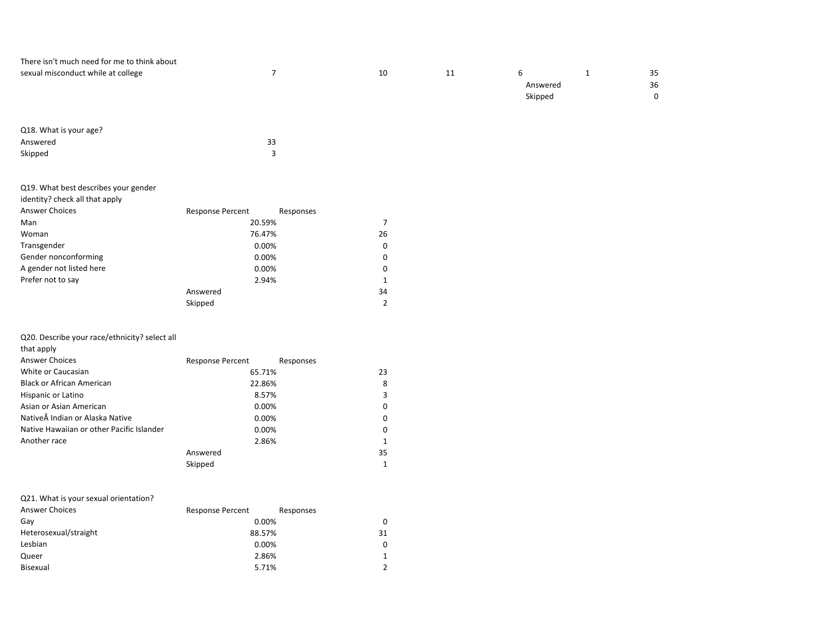| There isn't much need for me to think about |    |    |          |    |
|---------------------------------------------|----|----|----------|----|
| sexual misconduct while at college          | 10 | 11 |          | 35 |
|                                             |    |    | Answered | 36 |
|                                             |    |    | Skipped  |    |
|                                             |    |    |          |    |
|                                             |    |    |          |    |

| Q18. What is your age? |    |
|------------------------|----|
| Answered               | 33 |
| Skipped                |    |

| Q19. What best describes your gender |                         |           |
|--------------------------------------|-------------------------|-----------|
| identity? check all that apply       |                         |           |
| <b>Answer Choices</b>                | <b>Response Percent</b> | Responses |
| Man                                  | 20.59%                  | 7         |
| Woman                                | 76.47%                  | 26        |
| Transgender                          | 0.00%                   | 0         |
| Gender nonconforming                 | 0.00%                   | 0         |
| A gender not listed here             | 0.00%                   | 0         |
| Prefer not to say                    | 2.94%                   | 1         |
|                                      | Answered                | 34        |
|                                      | Skipped                 | 2         |

#### Q20. Describe your race/ethnicity? select all

| that apply |
|------------|
|------------|

| <b>Answer Choices</b>                     | <b>Response Percent</b> | Responses |
|-------------------------------------------|-------------------------|-----------|
| White or Caucasian                        | 65.71%                  | 23        |
| <b>Black or African American</b>          | 22.86%                  | 8         |
| Hispanic or Latino                        | 8.57%                   | 3         |
| Asian or Asian American                   | 0.00%                   | 0         |
| Native Indian or Alaska Native            | 0.00%                   | $\Omega$  |
| Native Hawaiian or other Pacific Islander | 0.00%                   | $\Omega$  |
| Another race                              | 2.86%                   | 1         |
|                                           | Answered                | 35        |
|                                           | Skipped                 | 1         |

#### Q21. What is your sexual orientation?

| <b>Answer Choices</b> | <b>Response Percent</b> | Responses |
|-----------------------|-------------------------|-----------|
| Gav                   | 0.00%                   | 0         |
| Heterosexual/straight | 88.57%                  | 31        |
| Lesbian               | 0.00%                   | $\Omega$  |
| Queer                 | 2.86%                   | 1         |
| Bisexual              | 5.71%                   | 2         |